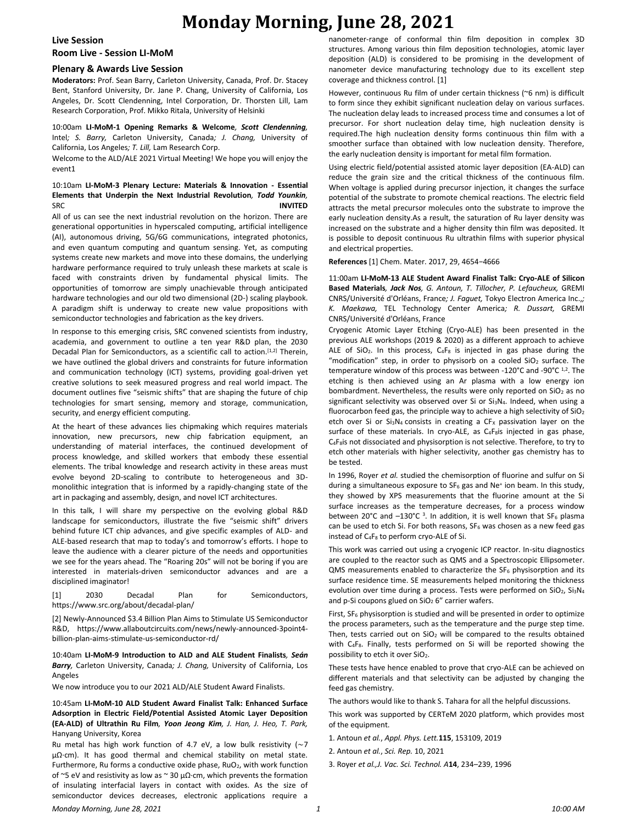### **Live Session**

**Room Live - Session LI-MoM**

#### **Plenary & Awards Live Session**

**Moderators:** Prof. Sean Barry, Carleton University, Canada, Prof. Dr. Stacey Bent, Stanford University, Dr. Jane P. Chang, University of California, Los Angeles, Dr. Scott Clendenning, Intel Corporation, Dr. Thorsten Lill, Lam Research Corporation, Prof. Mikko Ritala, University of Helsinki

10:00am **LI-MoM-1 Opening Remarks & Welcome***, Scott Clendenning,*  Intel*; S. Barry,* Carleton University, Canada*; J. Chang,* University of California, Los Angeles*; T. Lill,* Lam Research Corp.

Welcome to the ALD/ALE 2021 Virtual Meeting! We hope you will enjoy the event1

## 10:10am **LI-MoM-3 Plenary Lecture: Materials & Innovation - Essential Elements that Underpin the Next Industrial Revolution***, Todd Younkin,*  SRC **INVITED**

All of us can see the next industrial revolution on the horizon. There are generational opportunities in hyperscaled computing, artificial intelligence (AI), autonomous driving, 5G/6G communications, integrated photonics, and even quantum computing and quantum sensing. Yet, as computing systems create new markets and move into these domains, the underlying hardware performance required to truly unleash these markets at scale is faced with constraints driven by fundamental physical limits. The opportunities of tomorrow are simply unachievable through anticipated hardware technologies and our old two dimensional (2D-) scaling playbook. A paradigm shift is underway to create new value propositions with semiconductor technologies and fabrication as the key drivers.

In response to this emerging crisis, SRC convened scientists from industry, academia, and government to outline a ten year R&D plan, the 2030 Decadal Plan for Semiconductors, as a scientific call to action.<sup>[1,2]</sup> Therein, we have outlined the global drivers and constraints for future information and communication technology (ICT) systems, providing goal-driven yet creative solutions to seek measured progress and real world impact. The document outlines five "seismic shifts" that are shaping the future of chip technologies for smart sensing, memory and storage, communication, security, and energy efficient computing.

At the heart of these advances lies chipmaking which requires materials innovation, new precursors, new chip fabrication equipment, an understanding of material interfaces, the continued development of process knowledge, and skilled workers that embody these essential elements. The tribal knowledge and research activity in these areas must evolve beyond 2D-scaling to contribute to heterogeneous and 3Dmonolithic integration that is informed by a rapidly-changing state of the art in packaging and assembly, design, and novel ICT architectures.

In this talk, I will share my perspective on the evolving global R&D landscape for semiconductors, illustrate the five "seismic shift" drivers behind future ICT chip advances, and give specific examples of ALD- and ALE-based research that map to today's and tomorrow's efforts. I hope to leave the audience with a clearer picture of the needs and opportunities we see for the years ahead. The "Roaring 20s" will not be boring if you are interested in materials-driven semiconductor advances and are a disciplined imaginator!

[1] 2030 Decadal Plan for Semiconductors, https://www.src.org/about/decadal-plan/

[2] Newly-Announced \$3.4 Billion Plan Aims to Stimulate US Semiconductor R&D, https://www.allaboutcircuits.com/news/newly-announced-3point4 billion-plan-aims-stimulate-us-semiconductor-rd/

10:40am **LI-MoM-9 Introduction to ALD and ALE Student Finalists***, Seán Barry,* Carleton University, Canada*; J. Chang,* University of California, Los Angeles

We now introduce you to our 2021 ALD/ALE Student Award Finalists.

10:45am **LI-MoM-10 ALD Student Award Finalist Talk: Enhanced Surface Adsorption in Electric Field/Potential Assisted Atomic Layer Deposition (EA-ALD) of Ultrathin Ru Film***, Yoon Jeong Kim, J. Han, J. Heo, T. Park,*  Hanyang University, Korea

Ru metal has high work function of 4.7 eV, a low bulk resistivity (∼7 μΩ∙cm). It has good thermal and chemical stability on metal state. Furthermore, Ru forms a conductive oxide phase, RuO<sub>2</sub>, with work function of ~5 eV and resistivity as low as ~ 30 μΩ∙cm, which prevents the formation of insulating interfacial layers in contact with oxides. As the size of semiconductor devices decreases, electronic applications require a nanometer-range of conformal thin film deposition in complex 3D structures. Among various thin film deposition technologies, atomic layer deposition (ALD) is considered to be promising in the development of nanometer device manufacturing technology due to its excellent step coverage and thickness control. [1]

However, continuous Ru film of under certain thickness (~6 nm) is difficult to form since they exhibit significant nucleation delay on various surfaces. The nucleation delay leads to increased process time and consumes a lot of precursor. For short nucleation delay time, high nucleation density is required.The high nucleation density forms continuous thin film with a smoother surface than obtained with low nucleation density. Therefore, the early nucleation density is important for metal film formation.

Using electric field/potential assisted atomic layer deposition (EA-ALD) can reduce the grain size and the critical thickness of the continuous film. When voltage is applied during precursor injection, it changes the surface potential of the substrate to promote chemical reactions. The electric field attracts the metal precursor molecules onto the substrate to improve the early nucleation density.As a result, the saturation of Ru layer density was increased on the substrate and a higher density thin film was deposited. It is possible to deposit continuous Ru ultrathin films with superior physical and electrical properties.

**References** [1] Chem. Mater. 2017, 29, 4654−4666

11:00am **LI-MoM-13 ALE Student Award Finalist Talk: Cryo-ALE of Silicon Based Materials***, Jack Nos, G. Antoun, T. Tillocher, P. Lefaucheux,* GREMI CNRS/Université d'Orléans, France*; J. Faguet,* Tokyo Electron America Inc.,*; K. Maekawa,* TEL Technology Center America*; R. Dussart,* GREMI CNRS/Université d'Orléans, France

Cryogenic Atomic Layer Etching (Cryo-ALE) has been presented in the previous ALE workshops (2019 & 2020) as a different approach to achieve ALE of SiO<sub>2</sub>. In this process,  $C_4F_8$  is injected in gas phase during the "modification" step, in order to physisorb on a cooled  $SiO<sub>2</sub>$  surface. The temperature window of this process was between -120°C and -90°C 1,2. The etching is then achieved using an Ar plasma with a low energy ion bombardment. Nevertheless, the results were only reported on  $SiO<sub>2</sub>$  as no significant selectivity was observed over Si or  $Si<sub>3</sub>N<sub>4</sub>$ . Indeed, when using a fluorocarbon feed gas, the principle way to achieve a high selectivity of  $SiO<sub>2</sub>$ etch over Si or Si<sub>3</sub>N<sub>4</sub> consists in creating a CF<sub>x</sub> passivation layer on the surface of these materials. In cryo-ALE, as  $C_4F_8$ is injected in gas phase, C<sub>4</sub>F<sub>8</sub>is not dissociated and physisorption is not selective. Therefore, to try to etch other materials with higher selectivity, another gas chemistry has to be tested.

In 1996, Royer *et al.* studied the chemisorption of fluorine and sulfur on Si during a simultaneous exposure to SF<sub>6</sub> gas and Ne<sup>+</sup> ion beam. In this study, they showed by XPS measurements that the fluorine amount at the Si surface increases as the temperature decreases, for a process window between 20°C and  $-130^{\circ}$ C <sup>3</sup>. In addition, it is well known that SF<sub>6</sub> plasma can be used to etch Si. For both reasons,  $SF_6$  was chosen as a new feed gas instead of C<sub>4</sub>F<sub>8</sub> to perform cryo-ALE of Si.

This work was carried out using a cryogenic ICP reactor. In-situ diagnostics are coupled to the reactor such as QMS and a Spectroscopic Ellipsometer. QMS measurements enabled to characterize the SF<sub>6</sub> physisorption and its surface residence time. SE measurements helped monitoring the thickness evolution over time during a process. Tests were performed on SiO<sub>2</sub>, Si<sub>3</sub>N<sub>4</sub> and p-Si coupons glued on  $SiO<sub>2</sub> 6"$  carrier wafers.

First,  $SF<sub>6</sub>$  physisorption is studied and will be presented in order to optimize the process parameters, such as the temperature and the purge step time. Then, tests carried out on  $SiO<sub>2</sub>$  will be compared to the results obtained with C<sub>4</sub>F<sub>8</sub>. Finally, tests performed on Si will be reported showing the possibility to etch it over SiO<sub>2</sub>.

These tests have hence enabled to prove that cryo-ALE can be achieved on different materials and that selectivity can be adjusted by changing the feed gas chemistry.

The authors would like to thank S. Tahara for all the helpful discussions.

This work was supported by CERTeM 2020 platform, which provides most of the equipment.

- 1. Antoun *et al.*, *Appl. Phys. Lett.***115**, 153109, 2019
- 2. Antoun *et al.*, *Sci. Rep.* 10, 2021
- 3. Royer *et al.,J. Vac. Sci. Technol. A***14**, 234–239, 1996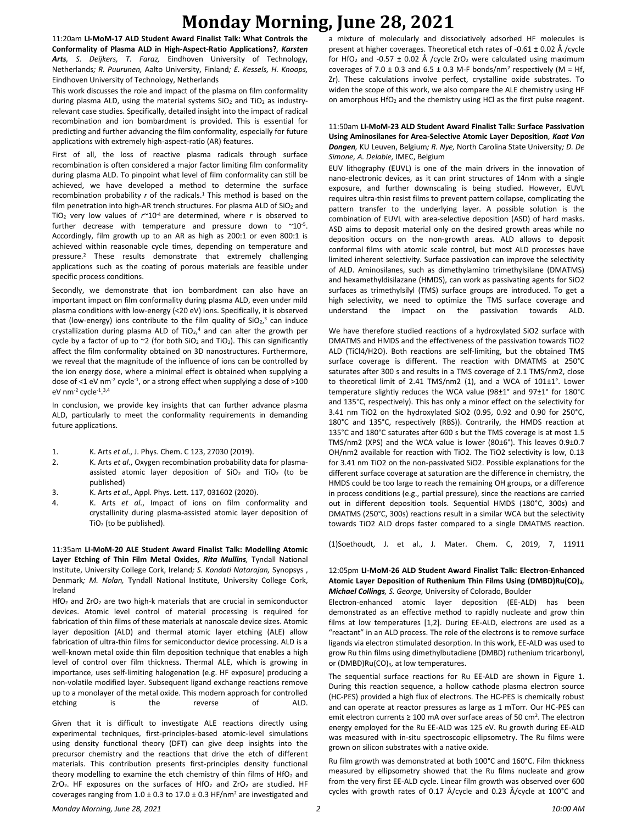11:20am **LI-MoM-17 ALD Student Award Finalist Talk: What Controls the Conformality of Plasma ALD in High-Aspect-Ratio Applications?***, Karsten Arts, S. Deijkers, T. Faraz,* Eindhoven University of Technology, Netherlands*; R. Puurunen,* Aalto University, Finland*; E. Kessels, H. Knoops,*  Eindhoven University of Technology, Netherlands

This work discusses the role and impact of the plasma on film conformality during plasma ALD, using the material systems  $SiO<sub>2</sub>$  and TiO<sub>2</sub> as industryrelevant case studies. Specifically, detailed insight into the impact of radical recombination and ion bombardment is provided. This is essential for predicting and further advancing the film conformality, especially for future applications with extremely high-aspect-ratio (AR) features.

First of all, the loss of reactive plasma radicals through surface recombination is often considered a major factor limiting film conformality during plasma ALD. To pinpoint what level of film conformality can still be achieved, we have developed a method to determine the surface recombination probability  $r$  of the radicals.<sup>1</sup> This method is based on the film penetration into high-AR trench structures. For plasma ALD of  $SiO<sub>2</sub>$  and TiO<sub>2</sub> very low values of  $r \sim 10^{-4}$  are determined, where *r* is observed to further decrease with temperature and pressure down to  $^{\sim}10^{-5}$ . Accordingly, film growth up to an AR as high as 200:1 or even 800:1 is achieved within reasonable cycle times, depending on temperature and pressure.<sup>2</sup> These results demonstrate that extremely challenging applications such as the coating of porous materials are feasible under specific process conditions.

Secondly, we demonstrate that ion bombardment can also have an important impact on film conformality during plasma ALD, even under mild plasma conditions with low-energy (<20 eV) ions. Specifically, it is observed that (low-energy) ions contribute to the film quality of  $SiO<sub>2</sub>$ <sup>3</sup> can induce crystallization during plasma ALD of TiO $_2$ ,<sup>4</sup> and can alter the growth per cycle by a factor of up to  $\approx$  2 (for both SiO<sub>2</sub> and TiO<sub>2</sub>). This can significantly affect the film conformality obtained on 3D nanostructures. Furthermore, we reveal that the magnitude of the influence of ions can be controlled by the ion energy dose, where a minimal effect is obtained when supplying a dose of  $\leq$  1 eV nm<sup>-2</sup> cycle<sup>-1</sup>, or a strong effect when supplying a dose of  $>$ 100 eV nm<sup>-2</sup> cycle<sup>-1</sup>.<sup>3,4</sup>

In conclusion, we provide key insights that can further advance plasma ALD, particularly to meet the conformality requirements in demanding future applications.

- 1. K. Arts *et al*., J. Phys. Chem. C 123, 27030 (2019).
- 2. K. Arts *et al*., Oxygen recombination probability data for plasmaassisted atomic layer deposition of  $SiO<sub>2</sub>$  and TiO<sub>2</sub> (to be published)
- 3. K. Arts *et al*., Appl. Phys. Lett. 117, 031602 (2020).
- 4. K. Arts *et al*., Impact of ions on film conformality and crystallinity during plasma-assisted atomic layer deposition of TiO<sup>2</sup> (to be published).

11:35am **LI-MoM-20 ALE Student Award Finalist Talk: Modelling Atomic Layer Etching of Thin Film Metal Oxides***, Rita Mullins,* Tyndall National Institute, University College Cork, Ireland*; S. Kondati Natarajan,* Synopsys , Denmark*; M. Nolan,* Tyndall National Institute, University College Cork, Ireland

HfO<sub>2</sub> and ZrO<sub>2</sub> are two high-k materials that are crucial in semiconductor devices. Atomic level control of material processing is required for fabrication of thin films of these materials at nanoscale device sizes. Atomic layer deposition (ALD) and thermal atomic layer etching (ALE) allow fabrication of ultra-thin films for semiconductor device processing. ALD is a well-known metal oxide thin film deposition technique that enables a high level of control over film thickness. Thermal ALE, which is growing in importance, uses self-limiting halogenation (e.g. HF exposure) producing a non-volatile modified layer. Subsequent ligand exchange reactions remove up to a monolayer of the metal oxide. This modern approach for controlled etching is the reverse of ALD.

Given that it is difficult to investigate ALE reactions directly using experimental techniques, first-principles-based atomic-level simulations using density functional theory (DFT) can give deep insights into the precursor chemistry and the reactions that drive the etch of different materials. This contribution presents first-principles density functional theory modelling to examine the etch chemistry of thin films of  $HfO<sub>2</sub>$  and  $ZrO<sub>2</sub>$ . HF exposures on the surfaces of HfO<sub>2</sub> and  $ZrO<sub>2</sub>$  are studied. HF coverages ranging from  $1.0 \pm 0.3$  to  $17.0 \pm 0.3$  HF/nm<sup>2</sup> are investigated and a mixture of molecularly and dissociatively adsorbed HF molecules is present at higher coverages. Theoretical etch rates of -0.61  $\pm$  0.02 Å /cycle for HfO<sub>2</sub> and -0.57  $\pm$  0.02 Å /cycle ZrO<sub>2</sub> were calculated using maximum coverages of 7.0  $\pm$  0.3 and 6.5  $\pm$  0.3 M-F bonds/nm<sup>2</sup> respectively (M = Hf, Zr). These calculations involve perfect, crystalline oxide substrates. To widen the scope of this work, we also compare the ALE chemistry using HF on amorphous HfO<sup>2</sup> and the chemistry using HCl as the first pulse reagent.

#### 11:50am **LI-MoM-23 ALD Student Award Finalist Talk: Surface Passivation Using Aminosilanes for Area-Selective Atomic Layer Deposition***, Kaat Van Dongen,* KU Leuven, Belgium*; R. Nye,* North Carolina State University*; D. De Simone, A. Delabie,* IMEC, Belgium

EUV lithography (EUVL) is one of the main drivers in the innovation of nano-electronic devices, as it can print structures of 14nm with a single exposure, and further downscaling is being studied. However, EUVL requires ultra-thin resist films to prevent pattern collapse, complicating the pattern transfer to the underlying layer. A possible solution is the combination of EUVL with area-selective deposition (ASD) of hard masks. ASD aims to deposit material only on the desired growth areas while no deposition occurs on the non-growth areas. ALD allows to deposit conformal films with atomic scale control, but most ALD processes have limited inherent selectivity. Surface passivation can improve the selectivity of ALD. Aminosilanes, such as dimethylamino trimethylsilane (DMATMS) and hexamethyldisilazane (HMDS), can work as passivating agents for SiO2 surfaces as trimethylsilyl (TMS) surface groups are introduced. To get a high selectivity, we need to optimize the TMS surface coverage and understand the impact on the passivation towards ALD.

We have therefore studied reactions of a hydroxylated SiO2 surface with DMATMS and HMDS and the effectiveness of the passivation towards TiO2 ALD (TiCl4/H2O). Both reactions are self-limiting, but the obtained TMS surface coverage is different. The reaction with DMATMS at 250°C saturates after 300 s and results in a TMS coverage of 2.1 TMS/nm2, close to theoretical limit of 2.41 TMS/nm2 (1), and a WCA of 101±1°. Lower temperature slightly reduces the WCA value (98±1° and 97±1° for 180°C and 135°C, respectively). This has only a minor effect on the selectivity for 3.41 nm TiO2 on the hydroxylated SiO2 (0.95, 0.92 and 0.90 for 250°C, 180°C and 135°C, respectively (RBS)). Contrarily, the HMDS reaction at 135°C and 180°C saturates after 600 s but the TMS coverage is at most 1.5 TMS/nm2 (XPS) and the WCA value is lower (80±6°). This leaves 0.9±0.7 OH/nm2 available for reaction with TiO2. The TiO2 selectivity is low, 0.13 for 3.41 nm TiO2 on the non-passivated SiO2. Possible explanations for the different surface coverage at saturation are the difference in chemistry, the HMDS could be too large to reach the remaining OH groups, or a difference in process conditions (e.g., partial pressure), since the reactions are carried out in different deposition tools. Sequential HMDS (180°C, 300s) and DMATMS (250°C, 300s) reactions result in a similar WCA but the selectivity towards TiO2 ALD drops faster compared to a single DMATMS reaction.

(1)Soethoudt, J. et al., J. Mater. Chem. C, 2019, 7, 11911

### 12:05pm **LI-MoM-26 ALD Student Award Finalist Talk: Electron-Enhanced Atomic Layer Deposition of Ruthenium Thin Films Using (DMBD)Ru(CO)3***, Michael Collings, S. George,* University of Colorado, Boulder

Electron-enhanced atomic layer deposition (EE-ALD) has been demonstrated as an effective method to rapidly nucleate and grow thin films at low temperatures [1,2]. During EE-ALD, electrons are used as a "reactant" in an ALD process. The role of the electrons is to remove surface ligands via electron stimulated desorption. In this work, EE-ALD was used to grow Ru thin films using dimethylbutadiene (DMBD) ruthenium tricarbonyl, or (DMBD)Ru(CO)<sub>3</sub>, at low temperatures.

The sequential surface reactions for Ru EE-ALD are shown in Figure 1. During this reaction sequence, a hollow cathode plasma electron source (HC-PES) provided a high flux of electrons. The HC-PES is chemically robust and can operate at reactor pressures as large as 1 mTorr. Our HC-PES can emit electron currents ≥ 100 mA over surface areas of 50 cm<sup>2</sup>. The electron energy employed for the Ru EE-ALD was 125 eV. Ru growth during EE-ALD was measured with in-situ spectroscopic ellipsometry. The Ru films were grown on silicon substrates with a native oxide.

Ru film growth was demonstrated at both 100°C and 160°C. Film thickness measured by ellipsometry showed that the Ru films nucleate and grow from the very first EE-ALD cycle. Linear film growth was observed over 600 cycles with growth rates of 0.17 Å/cycle and 0.23 Å/cycle at 100°C and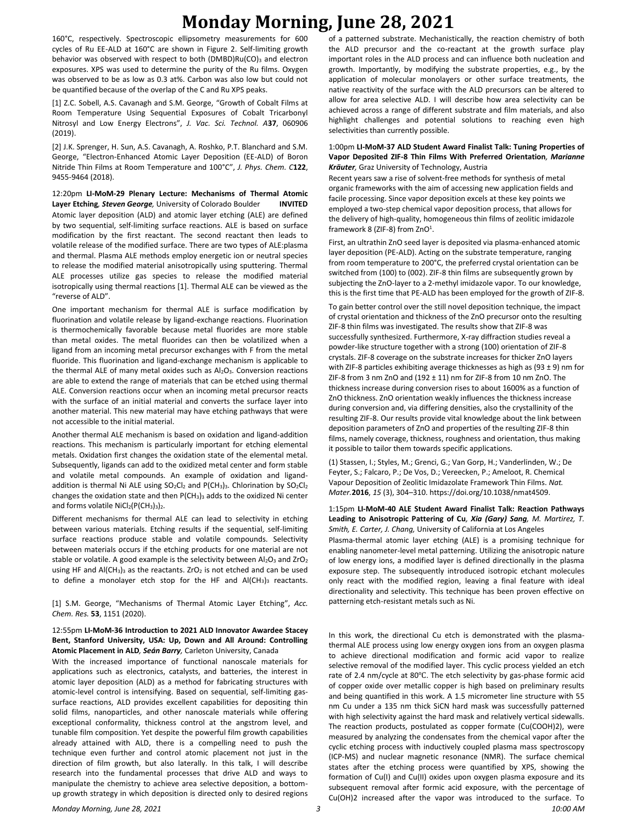160°C, respectively. Spectroscopic ellipsometry measurements for 600 cycles of Ru EE-ALD at 160°C are shown in Figure 2. Self-limiting growth behavior was observed with respect to both (DMBD)Ru(CO)3 and electron exposures. XPS was used to determine the purity of the Ru films. Oxygen was observed to be as low as 0.3 at%. Carbon was also low but could not be quantified because of the overlap of the C and Ru XPS peaks.

[1] Z.C. Sobell, A.S. Cavanagh and S.M. George, "Growth of Cobalt Films at Room Temperature Using Sequential Exposures of Cobalt Tricarbonyl Nitrosyl and Low Energy Electrons", *J. Vac. Sci. Technol. A***37**, 060906 (2019).

[2] J.K. Sprenger, H. Sun, A.S. Cavanagh, A. Roshko, P.T. Blanchard and S.M. George, "Electron-Enhanced Atomic Layer Deposition (EE-ALD) of Boron Nitride Thin Films at Room Temperature and 100°C", *J. Phys. Chem. C***122**, 9455-9464 (2018).

12:20pm **LI-MoM-29 Plenary Lecture: Mechanisms of Thermal Atomic Layer Etching***, Steven George,* University of Colorado Boulder **INVITED** Atomic layer deposition (ALD) and atomic layer etching (ALE) are defined by two sequential, self-limiting surface reactions. ALE is based on surface modification by the first reactant. The second reactant then leads to volatile release of the modified surface. There are two types of ALE:plasma and thermal. Plasma ALE methods employ energetic ion or neutral species to release the modified material anisotropically using sputtering. Thermal ALE processes utilize gas species to release the modified material isotropically using thermal reactions [1]. Thermal ALE can be viewed as the "reverse of ALD".

One important mechanism for thermal ALE is surface modification by fluorination and volatile release by ligand-exchange reactions. Fluorination is thermochemically favorable because metal fluorides are more stable than metal oxides. The metal fluorides can then be volatilized when a ligand from an incoming metal precursor exchanges with F from the metal fluoride. This fluorination and ligand-exchange mechanism is applicable to the thermal ALE of many metal oxides such as  $Al_2O_3$ . Conversion reactions are able to extend the range of materials that can be etched using thermal ALE. Conversion reactions occur when an incoming metal precursor reacts with the surface of an initial material and converts the surface layer into another material. This new material may have etching pathways that were not accessible to the initial material.

Another thermal ALE mechanism is based on oxidation and ligand-addition reactions. This mechanism is particularly important for etching elemental metals. Oxidation first changes the oxidation state of the elemental metal. Subsequently, ligands can add to the oxidized metal center and form stable and volatile metal compounds. An example of oxidation and ligandaddition is thermal Ni ALE using  $SO_2Cl_2$  and P(CH<sub>3</sub>)<sub>3</sub>. Chlorination by  $SO_2Cl_2$ changes the oxidation state and then P(CH3)<sup>3</sup> adds to the oxidized Ni center and forms volatile  $NiCl<sub>2</sub>(P(CH<sub>3</sub>)<sub>3</sub>)<sub>2</sub>$ .

Different mechanisms for thermal ALE can lead to selectivity in etching between various materials. Etching results if the sequential, self-limiting surface reactions produce stable and volatile compounds. Selectivity between materials occurs if the etching products for one material are not stable or volatile. A good example is the selectivity between  $Al_2O_3$  and ZrO<sub>2</sub> using HF and Al(CH<sub>3</sub>)<sub>3</sub> as the reactants. ZrO<sub>2</sub> is not etched and can be used to define a monolayer etch stop for the HF and  $AI(CH_3)_3$  reactants.

[1] S.M. George, "Mechanisms of Thermal Atomic Layer Etching", *Acc. Chem. Res.* **53**, 1151 (2020).

#### 12:55pm **LI-MoM-36 Introduction to 2021 ALD Innovator Awardee Stacey Bent, Stanford University, USA: Up, Down and All Around: Controlling Atomic Placement in ALD***, Seán Barry,* Carleton University, Canada

With the increased importance of functional nanoscale materials for applications such as electronics, catalysts, and batteries, the interest in atomic layer deposition (ALD) as a method for fabricating structures with atomic-level control is intensifying. Based on sequential, self-limiting gassurface reactions, ALD provides excellent capabilities for depositing thin solid films, nanoparticles, and other nanoscale materials while offering exceptional conformality, thickness control at the angstrom level, and tunable film composition. Yet despite the powerful film growth capabilities already attained with ALD, there is a compelling need to push the technique even further and control atomic placement not just in the direction of film growth, but also laterally. In this talk, I will describe research into the fundamental processes that drive ALD and ways to manipulate the chemistry to achieve area selective deposition, a bottomup growth strategy in which deposition is directed only to desired regions of a patterned substrate. Mechanistically, the reaction chemistry of both the ALD precursor and the co-reactant at the growth surface play important roles in the ALD process and can influence both nucleation and growth. Importantly, by modifying the substrate properties, e.g., by the application of molecular monolayers or other surface treatments, the native reactivity of the surface with the ALD precursors can be altered to allow for area selective ALD. I will describe how area selectivity can be achieved across a range of different substrate and film materials, and also highlight challenges and potential solutions to reaching even high selectivities than currently possible.

#### 1:00pm **LI-MoM-37 ALD Student Award Finalist Talk: Tuning Properties of Vapor Deposited ZIF-8 Thin Films With Preferred Orientation***, Marianne Kräuter,* Graz University of Technology, Austria

Recent years saw a rise of solvent-free methods for synthesis of metal organic frameworks with the aim of accessing new application fields and facile processing. Since vapor deposition excels at these key points we employed a two-step chemical vapor deposition process, that allows for the delivery of high-quality, homogeneous thin films of zeolitic imidazole framework 8 (ZIF-8) from ZnO<sup>1</sup>.

First, an ultrathin ZnO seed layer is deposited via plasma-enhanced atomic layer deposition (PE-ALD). Acting on the substrate temperature, ranging from room temperature to 200°C, the preferred crystal orientation can be switched from (100) to (002). ZIF-8 thin films are subsequently grown by subjecting the ZnO-layer to a 2-methyl imidazole vapor. To our knowledge, this is the first time that PE-ALD has been employed for the growth of ZIF-8.

To gain better control over the still novel deposition technique, the impact of crystal orientation and thickness of the ZnO precursor onto the resulting ZIF-8 thin films was investigated. The results show that ZIF-8 was successfully synthesized. Furthermore, X-ray diffraction studies reveal a powder-like structure together with a strong (100) orientation of ZIF-8 crystals. ZIF-8 coverage on the substrate increases for thicker ZnO layers with ZIF-8 particles exhibiting average thicknesses as high as (93  $\pm$  9) nm for ZIF-8 from 3 nm ZnO and (192  $\pm$  11) nm for ZIF-8 from 10 nm ZnO. The thickness increase during conversion rises to about 1600% as a function of ZnO thickness. ZnO orientation weakly influences the thickness increase during conversion and, via differing densities, also the crystallinity of the resulting ZIF-8. Our results provide vital knowledge about the link between deposition parameters of ZnO and properties of the resulting ZIF-8 thin films, namely coverage, thickness, roughness and orientation, thus making it possible to tailor them towards specific applications.

(1) Stassen, I.; Styles, M.; Grenci, G.; Van Gorp, H.; Vanderlinden, W.; De Feyter, S.; Falcaro, P.; De Vos, D.; Vereecken, P.; Ameloot, R. Chemical Vapour Deposition of Zeolitic Imidazolate Framework Thin Films. *Nat. Mater.***2016**, *15* (3), 304–310. https://doi.org/10.1038/nmat4509.

1:15pm **LI-MoM-40 ALE Student Award Finalist Talk: Reaction Pathways Leading to Anisotropic Pattering of Cu***, Xia (Gary) Sang, M. Martirez, T.* 

*Smith, E. Carter, J. Chang,* University of California at Los Angeles Plasma-thermal atomic layer etching (ALE) is a promising technique for enabling nanometer-level metal patterning. Utilizing the anisotropic nature of low energy ions, a modified layer is defined directionally in the plasma exposure step. The subsequently introduced isotropic etchant molecules only react with the modified region, leaving a final feature with ideal directionality and selectivity. This technique has been proven effective on patterning etch-resistant metals such as Ni.

*Monday Morning, June 28, 2021 3 10:00 AM* In this work, the directional Cu etch is demonstrated with the plasmathermal ALE process using low energy oxygen ions from an oxygen plasma to achieve directional modification and formic acid vapor to realize selective removal of the modified layer. This cyclic process yielded an etch rate of 2.4 nm/cycle at 80℃. The etch selectivity by gas-phase formic acid of copper oxide over metallic copper is high based on preliminary results and being quantified in this work. A 1.5 micrometer line structure with 55 nm Cu under a 135 nm thick SiCN hard mask was successfully patterned with high selectivity against the hard mask and relatively vertical sidewalls. The reaction products, postulated as copper formate (Cu(COOH)2), were measured by analyzing the condensates from the chemical vapor after the cyclic etching process with inductively coupled plasma mass spectroscopy (ICP-MS) and nuclear magnetic resonance (NMR). The surface chemical states after the etching process were quantified by XPS, showing the formation of Cu(I) and Cu(II) oxides upon oxygen plasma exposure and its subsequent removal after formic acid exposure, with the percentage of Cu(OH)2 increased after the vapor was introduced to the surface. To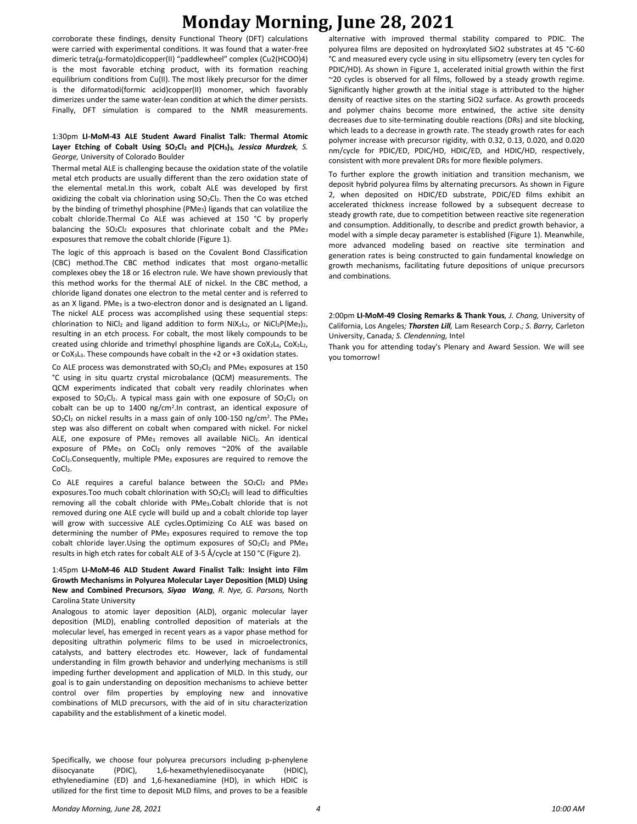corroborate these findings, density Functional Theory (DFT) calculations were carried with experimental conditions. It was found that a water-free dimeric tetra(μ-formato)dicopper(II) "paddlewheel" complex (Cu2(HCOO)4) is the most favorable etching product, with its formation reaching equilibrium conditions from Cu(II). The most likely precursor for the dimer is the diformatodi(formic acid)copper(II) monomer, which favorably dimerizes under the same water-lean condition at which the dimer persists. Finally, DFT simulation is compared to the NMR measurements.

## 1:30pm **LI-MoM-43 ALE Student Award Finalist Talk: Thermal Atomic Layer Etching of Cobalt Using SO2Cl<sup>2</sup> and P(CH3)3***, Jessica Murdzek, S. George,* University of Colorado Boulder

Thermal metal ALE is challenging because the oxidation state of the volatile metal etch products are usually different than the zero oxidation state of the elemental metal.In this work, cobalt ALE was developed by first oxidizing the cobalt via chlorination using SO<sub>2</sub>Cl<sub>2</sub>. Then the Co was etched by the binding of trimethyl phosphine (PMe<sub>3</sub>) ligands that can volatilize the cobalt chloride.Thermal Co ALE was achieved at 150 °C by properly balancing the  $SO_2Cl_2$  exposures that chlorinate cobalt and the PMe<sub>3</sub> exposures that remove the cobalt chloride (Figure 1).

The logic of this approach is based on the Covalent Bond Classification (CBC) method.The CBC method indicates that most organo-metallic complexes obey the 18 or 16 electron rule. We have shown previously that this method works for the thermal ALE of nickel. In the CBC method, a chloride ligand donates one electron to the metal center and is referred to as an X ligand. PMe<sub>3</sub> is a two-electron donor and is designated an L ligand. The nickel ALE process was accomplished using these sequential steps: chlorination to NiCl<sub>2</sub> and ligand addition to form NiX<sub>2</sub>L<sub>2</sub>, or NiCl<sub>2</sub>P(Me<sub>3</sub>)<sub>2</sub>, resulting in an etch process. For cobalt, the most likely compounds to be created using chloride and trimethyl phosphine ligands are CoX2L4, CoX2L2, or CoX3L3. These compounds have cobalt in the +2 or +3 oxidation states.

Co ALE process was demonstrated with SO<sub>2</sub>Cl<sub>2</sub> and PMe<sub>3</sub> exposures at 150 °C using in situ quartz crystal microbalance (QCM) measurements. The QCM experiments indicated that cobalt very readily chlorinates when exposed to  $SO_2Cl_2$ . A typical mass gain with one exposure of  $SO_2Cl_2$  on cobalt can be up to 1400 ng/cm<sup>2</sup>. In contrast, an identical exposure of  $SO_2Cl_2$  on nickel results in a mass gain of only 100-150 ng/cm<sup>2</sup>. The PMe<sub>3</sub> step was also different on cobalt when compared with nickel. For nickel ALE, one exposure of PMe<sub>3</sub> removes all available NiCl<sub>2</sub>. An identical exposure of PMe<sub>3</sub> on CoCl<sub>2</sub> only removes ~20% of the available CoCl<sub>2</sub>. Consequently, multiple PMe<sub>3</sub> exposures are required to remove the CoCl<sub>2</sub>.

Co ALE requires a careful balance between the  $SO_2Cl_2$  and PMe<sub>3</sub> exposures. Too much cobalt chlorination with SO<sub>2</sub>Cl<sub>2</sub> will lead to difficulties removing all the cobalt chloride with PMe3.Cobalt chloride that is not removed during one ALE cycle will build up and a cobalt chloride top layer will grow with successive ALE cycles.Optimizing Co ALE was based on determining the number of PMe<sub>3</sub> exposures required to remove the top cobalt chloride layer. Using the optimum exposures of SO<sub>2</sub>Cl<sub>2</sub> and PMe<sub>3</sub> results in high etch rates for cobalt ALE of 3-5 Å/cycle at 150 °C (Figure 2).

## 1:45pm **LI-MoM-46 ALD Student Award Finalist Talk: Insight into Film Growth Mechanisms in Polyurea Molecular Layer Deposition (MLD) Using New and Combined Precursors***, Siyao Wang, R. Nye, G. Parsons,* North Carolina State University

Analogous to atomic layer deposition (ALD), organic molecular layer deposition (MLD), enabling controlled deposition of materials at the molecular level, has emerged in recent years as a vapor phase method for depositing ultrathin polymeric films to be used in microelectronics, catalysts, and battery electrodes etc. However, lack of fundamental understanding in film growth behavior and underlying mechanisms is still impeding further development and application of MLD. In this study, our goal is to gain understanding on deposition mechanisms to achieve better control over film properties by employing new and innovative combinations of MLD precursors, with the aid of in situ characterization capability and the establishment of a kinetic model.

Specifically, we choose four polyurea precursors including p-phenylene diisocyanate (PDIC), 1,6-hexamethylenediisocyanate (HDIC), ethylenediamine (ED) and 1,6-hexanediamine (HD), in which HDIC is utilized for the first time to deposit MLD films, and proves to be a feasible

alternative with improved thermal stability compared to PDIC. The polyurea films are deposited on hydroxylated SiO2 substrates at 45 °C-60 °C and measured every cycle using in situ ellipsometry (every ten cycles for PDIC/HD). As shown in Figure 1, accelerated initial growth within the first ~20 cycles is observed for all films, followed by a steady growth regime. Significantly higher growth at the initial stage is attributed to the higher density of reactive sites on the starting SiO2 surface. As growth proceeds and polymer chains become more entwined, the active site density decreases due to site-terminating double reactions (DRs) and site blocking, which leads to a decrease in growth rate. The steady growth rates for each polymer increase with precursor rigidity, with 0.32, 0.13, 0.020, and 0.020 nm/cycle for PDIC/ED, PDIC/HD, HDIC/ED, and HDIC/HD, respectively, consistent with more prevalent DRs for more flexible polymers.

To further explore the growth initiation and transition mechanism, we deposit hybrid polyurea films by alternating precursors. As shown in Figure 2, when deposited on HDIC/ED substrate, PDIC/ED films exhibit an accelerated thickness increase followed by a subsequent decrease to steady growth rate, due to competition between reactive site regeneration and consumption. Additionally, to describe and predict growth behavior, a model with a simple decay parameter is established (Figure 1). Meanwhile, more advanced modeling based on reactive site termination and generation rates is being constructed to gain fundamental knowledge on growth mechanisms, facilitating future depositions of unique precursors and combinations.

2:00pm **LI-MoM-49 Closing Remarks & Thank Yous***, J. Chang,* University of California, Los Angeles*; Thorsten Lill,* Lam Research Corp.*; S. Barry,* Carleton University, Canada*; S. Clendenning,* Intel

Thank you for attending today's Plenary and Award Session. We will see you tomorrow!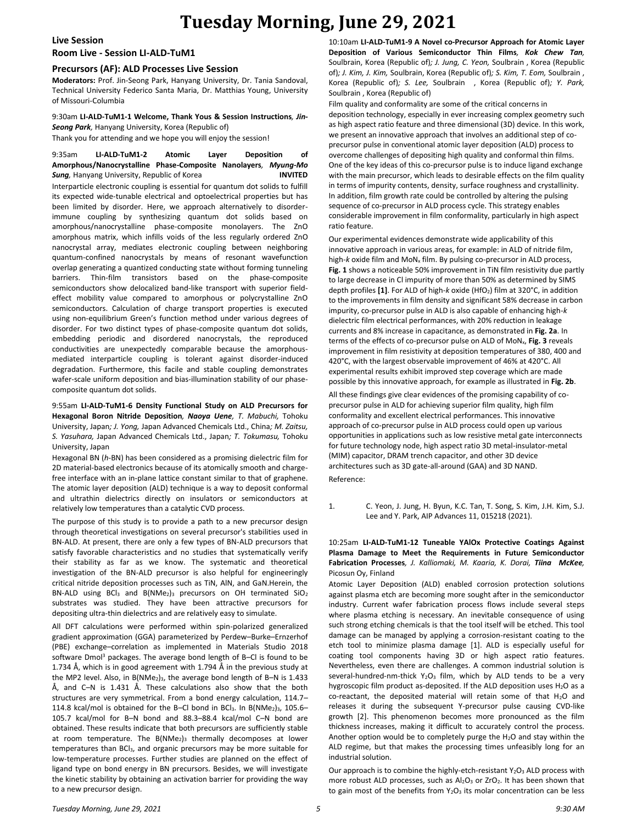#### **Live Session**

## **Room Live - Session LI-ALD-TuM1**

## **Precursors (AF): ALD Processes Live Session**

**Moderators:** Prof. Jin-Seong Park, Hanyang University, Dr. Tania Sandoval, Technical University Federico Santa Maria, Dr. Matthias Young, University of Missouri-Columbia

## 9:30am **LI-ALD-TuM1-1 Welcome, Thank Yous & Session Instructions***, Jin-Seong Park,* Hanyang University, Korea (Republic of)

Thank you for attending and we hope you will enjoy the session!

9:35am **LI-ALD-TuM1-2 Atomic Layer Deposition of Amorphous/Nanocrystalline Phase-Composite Nanolayers***, Myung-Mo Sung,* Hanyang University, Republic of Korea **INVITED**

Interparticle electronic coupling is essential for quantum dot solids to fulfill its expected wide-tunable electrical and optoelectrical properties but has been limited by disorder. Here, we approach alternatively to disorderimmune coupling by synthesizing quantum dot solids based on amorphous/nanocrystalline phase-composite monolayers. The ZnO amorphous matrix, which infills voids of the less regularly ordered ZnO nanocrystal array, mediates electronic coupling between neighboring quantum-confined nanocrystals by means of resonant wavefunction overlap generating a quantized conducting state without forming tunneling barriers. Thin-film transistors based on the phase-composite semiconductors show delocalized band-like transport with superior fieldeffect mobility value compared to amorphous or polycrystalline ZnO semiconductors. Calculation of charge transport properties is executed using non-equilibrium Green's function method under various degrees of disorder. For two distinct types of phase-composite quantum dot solids, embedding periodic and disordered nanocrystals, the reproduced conductivities are unexpectedly comparable because the amorphousmediated interparticle coupling is tolerant against disorder-induced degradation. Furthermore, this facile and stable coupling demonstrates wafer-scale uniform deposition and bias-illumination stability of our phasecomposite quantum dot solids.

9:55am **LI-ALD-TuM1-6 Density Functional Study on ALD Precursors for Hexagonal Boron Nitride Deposition***, Naoya Uene, T. Mabuchi,* Tohoku University, Japan*; J. Yong,* Japan Advanced Chemicals Ltd., China*; M. Zaitsu, S. Yasuhara,* Japan Advanced Chemicals Ltd., Japan*; T. Tokumasu,* Tohoku University, Japan

Hexagonal BN (*h*-BN) has been considered as a promising dielectric film for 2D material-based electronics because of its atomically smooth and chargefree interface with an in-plane lattice constant similar to that of graphene. The atomic layer deposition (ALD) technique is a way to deposit conformal and ultrathin dielectrics directly on insulators or semiconductors at relatively low temperatures than a catalytic CVD process.

The purpose of this study is to provide a path to a new precursor design through theoretical investigations on several precursor's stabilities used in BN-ALD. At present, there are only a few types of BN-ALD precursors that satisfy favorable characteristics and no studies that systematically verify their stability as far as we know. The systematic and theoretical investigation of the BN-ALD precursor is also helpful for engineeringly critical nitride deposition processes such as TiN, AlN, and GaN.Herein, the BN-ALD using BCl<sub>3</sub> and B(NMe<sub>2</sub>)<sub>3</sub> precursors on OH terminated  $SiO<sub>2</sub>$ substrates was studied. They have been attractive precursors for depositing ultra-thin dielectrics and are relatively easy to simulate.

All DFT calculations were performed within spin-polarized generalized gradient approximation (GGA) parameterized by Perdew–Burke–Ernzerhof (PBE) exchange–correlation as implemented in Materials Studio 2018 software Dmol<sup>3</sup> packages. The average bond length of B-Cl is found to be 1.734 Å, which is in good agreement with 1.794 Å in the previous study at the MP2 level. Also, in  $B(NMe<sub>2</sub>)<sub>3</sub>$ , the average bond length of B-N is 1.433 Å, and C–N is 1.431 Å. These calculations also show that the both structures are very symmetrical. From a bond energy calculation, 114.7– 114.8 kcal/mol is obtained for the B-Cl bond in BCl<sub>3</sub>. In B(NMe<sub>2</sub>)<sub>3</sub>, 105.6-105.7 kcal/mol for B–N bond and 88.3–88.4 kcal/mol C–N bond are obtained. These results indicate that both precursors are sufficiently stable at room temperature. The  $B(NMe<sub>2</sub>)<sub>3</sub>$  thermally decomposes at lower temperatures than BCl3, and organic precursors may be more suitable for low-temperature processes. Further studies are planned on the effect of ligand type on bond energy in BN precursors. Besides, we will investigate the kinetic stability by obtaining an activation barrier for providing the way to a new precursor design.

10:10am **LI-ALD-TuM1-9 A Novel co-Precursor Approach for Atomic Layer Deposition of Various Semiconductor Thin Films***, Kok Chew Tan,*  Soulbrain, Korea (Republic of)*; J. Jung, C. Yeon,* Soulbrain , Korea (Republic of)*; J. Kim, J. Kim,* Soulbrain, Korea (Republic of)*; S. Kim, T. Eom,* Soulbrain , Korea (Republic of)*; S. Lee,* Soulbrain , Korea (Republic of)*; Y. Park,*  Soulbrain , Korea (Republic of)

Film quality and conformality are some of the critical concerns in deposition technology, especially in ever increasing complex geometry such as high aspect ratio feature and three dimensional (3D) device. In this work, we present an innovative approach that involves an additional step of coprecursor pulse in conventional atomic layer deposition (ALD) process to overcome challenges of depositing high quality and conformal thin films. One of the key ideas of this co-precursor pulse is to induce ligand exchange with the main precursor, which leads to desirable effects on the film quality in terms of impurity contents, density, surface roughness and crystallinity. In addition, film growth rate could be controlled by altering the pulsing sequence of co-precursor in ALD process cycle. This strategy enables considerable improvement in film conformality, particularly in high aspect ratio feature.

Our experimental evidences demonstrate wide applicability of this innovative approach in various areas, for example: in ALD of nitride film, high-*k* oxide film and MoN<sub>x</sub> film. By pulsing co-precursor in ALD process, **Fig. 1** shows a noticeable 50% improvement in TiN film resistivity due partly to large decrease in Cl impurity of more than 50% as determined by SIMS depth profiles **[1]**. For ALD of high-*k* oxide (HfO2) film at 320°C, in addition to the improvements in film density and significant 58% decrease in carbon impurity, co-precursor pulse in ALD is also capable of enhancing high-*k* dielectric film electrical performances, with 20% reduction in leakage currents and 8% increase in capacitance, as demonstrated in **Fig. 2a**. In terms of the effects of co-precursor pulse on ALD of MoNx, **Fig. 3** reveals improvement in film resistivity at deposition temperatures of 380, 400 and 420°C, with the largest observable improvement of 46% at 420°C. All experimental results exhibit improved step coverage which are made possible by this innovative approach, for example as illustrated in **Fig. 2b**.

All these findings give clear evidences of the promising capability of coprecursor pulse in ALD for achieving superior film quality, high film conformality and excellent electrical performances. This innovative approach of co-precursor pulse in ALD process could open up various opportunities in applications such as low resistive metal gate interconnects for future technology node, high aspect ratio 3D metal-insulator-metal (MIM) capacitor, DRAM trench capacitor, and other 3D device architectures such as 3D gate-all-around (GAA) and 3D NAND.

Reference:

1. C. Yeon, J. Jung, H. Byun, K.C. Tan, T. Song, S. Kim, J.H. Kim, S.J. Lee and Y. Park, AIP Advances 11, 015218 (2021).

### 10:25am **LI-ALD-TuM1-12 Tuneable YAlOx Protective Coatings Against Plasma Damage to Meet the Requirements in Future Semiconductor Fabrication Processes***, J. Kalliomaki, M. Kaaria, K. Dorai, Tiina McKee,*  Picosun Oy, Finland

Atomic Layer Deposition (ALD) enabled corrosion protection solutions against plasma etch are becoming more sought after in the semiconductor industry. Current wafer fabrication process flows include several steps where plasma etching is necessary. An inevitable consequence of using such strong etching chemicals is that the tool itself will be etched. This tool damage can be managed by applying a corrosion-resistant coating to the etch tool to minimize plasma damage [1]. ALD is especially useful for coating tool components having 3D or high aspect ratio features. Nevertheless, even there are challenges. A common industrial solution is several-hundred-nm-thick  $Y_2O_3$  film, which by ALD tends to be a very hygroscopic film product as-deposited. If the ALD deposition uses  $H_2O$  as a co-reactant, the deposited material will retain some of that  $H_2O$  and releases it during the subsequent Y-precursor pulse causing CVD-like growth [2]. This phenomenon becomes more pronounced as the film thickness increases, making it difficult to accurately control the process. Another option would be to completely purge the  $H_2O$  and stay within the ALD regime, but that makes the processing times unfeasibly long for an industrial solution.

Our approach is to combine the highly-etch-resistant Y<sub>2</sub>O<sub>3</sub> ALD process with more robust ALD processes, such as  $Al_2O_3$  or  $ZrO_2$ . It has been shown that to gain most of the benefits from  $Y_2O_3$  its molar concentration can be less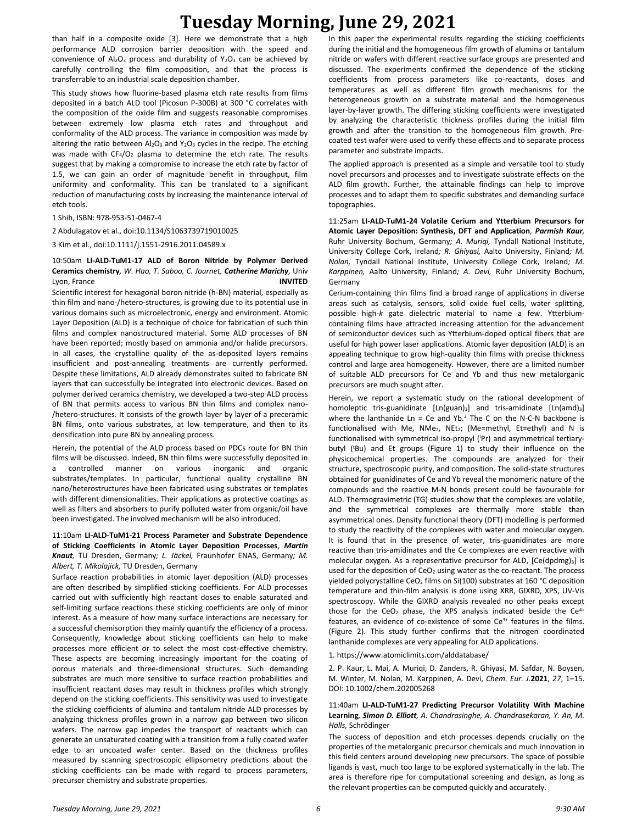than half in a composite oxide [3]. Here we demonstrate that a high performance ALD corrosion barrier deposition with the speed and convenience of  $Al_2O_3$  process and durability of  $Y_2O_3$  can be achieved by carefully controlling the film composition, and that the process is transferrable to an industrial scale deposition chamber.

This study shows how fluorine-based plasma etch rate results from films deposited in a batch ALD tool (Picosun P-300B) at 300 °C correlates with the composition of the oxide film and suggests reasonable compromises between extremely low plasma etch rates and throughput and conformality of the ALD process. The variance in composition was made by altering the ratio between  $Al_2O_3$  and  $Y_2O_3$  cycles in the recipe. The etching was made with  $CF_4/O_2$  plasma to determine the etch rate. The results suggest that by making a compromise to increase the etch rate by factor of 1.5, we can gain an order of magnitude benefit in throughput, film uniformity and conformality. This can be translated to a significant reduction of manufacturing costs by increasing the maintenance interval of etch tools.

1 Shih, ISBN: 978-953-51-0467-4

2 Abdulagatov et al., doi:10.1134/S1063739719010025

3 Kim et al., doi:10.1111/j.1551-2916.2011.04589.x

### 10:50am **LI-ALD-TuM1-17 ALD of Boron Nitride by Polymer Derived Ceramics chemistry***, W. Hao, T. Saboo, C. Journet, Catherine Marichy,* Univ Lyon, France **INVITED**

Scientific interest for hexagonal boron nitride (h-BN) material, especially as thin film and nano-/hetero-structures, is growing due to its potential use in various domains such as microelectronic, energy and environment. Atomic Layer Deposition (ALD) is a technique of choice for fabrication of such thin films and complex nanostructured material. Some ALD processes of BN have been reported; mostly based on ammonia and/or halide precursors. In all cases, the crystalline quality of the as-deposited layers remains insufficient and post-annealing treatments are currently performed. Despite these limitations, ALD already demonstrates suited to fabricate BN layers that can successfully be integrated into electronic devices. Based on polymer derived ceramics chemistry, we developed a two-step ALD process of BN that permits access to various BN thin films and complex nano- /hetero-structures. It consists of the growth layer by layer of a preceramic BN films, onto various substrates, at low temperature, and then to its densification into pure BN by annealing process.

Herein, the potential of the ALD process based on PDCs route for BN thin films will be discussed. Indeed, BN thin films were successfully deposited in a controlled manner on various inorganic and organic substrates/templates. In particular, functional quality crystalline BN nano/heterostructures have been fabricated using substrates or templates with different dimensionalities. Their applications as protective coatings as well as filters and absorbers to purify polluted water from organic/oil have been investigated. The involved mechanism will be also introduced.

## 11:10am **LI-ALD-TuM1-21 Process Parameter and Substrate Dependence of Sticking Coefficients in Atomic Layer Deposition Processes***, Martin Knaut,* TU Dresden, Germany*; L. Jäckel,* Fraunhofer ENAS, Germany*; M. Albert, T. Mikolajick,* TU Dresden, Germany

Surface reaction probabilities in atomic layer deposition (ALD) processes are often described by simplified sticking coefficients. For ALD processes carried out with sufficiently high reactant doses to enable saturated and self-limiting surface reactions these sticking coefficients are only of minor interest. As a measure of how many surface interactions are necessary for a successful chemisorption they mainly quantify the efficiency of a process. Consequently, knowledge about sticking coefficients can help to make processes more efficient or to select the most cost-effective chemistry. These aspects are becoming increasingly important for the coating of porous materials and three-dimensional structures. Such demanding substrates are much more sensitive to surface reaction probabilities and insufficient reactant doses may result in thickness profiles which strongly depend on the sticking coefficients. This sensitivity was used to investigate the sticking coefficients of alumina and tantalum nitride ALD processes by analyzing thickness profiles grown in a narrow gap between two silicon wafers. The narrow gap impedes the transport of reactants which can generate an unsaturated coating with a transition from a fully coated wafer edge to an uncoated wafer center. Based on the thickness profiles measured by scanning spectroscopic ellipsometry predictions about the sticking coefficients can be made with regard to process parameters, precursor chemistry and substrate properties.

In this paper the experimental results regarding the sticking coefficients during the initial and the homogeneous film growth of alumina or tantalum nitride on wafers with different reactive surface groups are presented and discussed. The experiments confirmed the dependence of the sticking coefficients from process parameters like co-reactants, doses and temperatures as well as different film growth mechanisms for the heterogeneous growth on a substrate material and the homogeneous layer-by-layer growth. The differing sticking coefficients were investigated by analyzing the characteristic thickness profiles during the initial film growth and after the transition to the homogeneous film growth. Precoated test wafer were used to verify these effects and to separate process parameter and substrate impacts.

The applied approach is presented as a simple and versatile tool to study novel precursors and processes and to investigate substrate effects on the ALD film growth. Further, the attainable findings can help to improve processes and to adapt them to specific substrates and demanding surface topographies.

11:25am **LI-ALD-TuM1-24 Volatile Cerium and Ytterbium Precursors for Atomic Layer Deposition: Synthesis, DFT and Application***, Parmish Kaur,*  Ruhr University Bochum, Germany*; A. Muriqi,* Tyndall National Institute, University College Cork, Ireland*; R. Ghiyasi,* Aalto University, Finland*; M. Nolan,* Tyndall National Institute, University College Cork, Ireland*; M. Karppinen,* Aalto University, Finland*; A. Devi,* Ruhr University Bochum, Germany

Cerium-containing thin films find a broad range of applications in diverse areas such as catalysis, sensors, solid oxide fuel cells, water splitting, possible high-*k* gate dielectric material to name a few. Ytterbiumcontaining films have attracted increasing attention for the advancement of semiconductor devices such as Ytterbium-doped optical fibers that are useful for high power laser applications. Atomic layer deposition (ALD) is an appealing technique to grow high-quality thin films with precise thickness control and large area homogeneity. However, there are a limited number of suitable ALD precursors for Ce and Yb and thus new metalorganic precursors are much sought after.

Herein, we report a systematic study on the rational development of homoleptic tris-guanidinate [Ln(guan)3] and tris-amidinate [Ln(amd)3] where the lanthanide  $Ln = Ce$  and  $Yb<sup>2</sup>$ . The C on the N-C-N backbone is functionalised with Me, NMe<sub>2</sub>, NEt<sub>2</sub>; (Me=methyl, Et=ethyl) and N is functionalised with symmetrical iso-propyl ('Pr) and asymmetrical tertiarybutyl ('Bu) and Et groups (Figure 1) to study their influence on the physicochemical properties. The compounds are analyzed for their structure, spectroscopic purity, and composition. The solid-state structures obtained for guanidinates of Ce and Yb reveal the monomeric nature of the compounds and the reactive M-N bonds present could be favourable for ALD. Thermogravimetric (TG) studies show that the complexes are volatile, and the symmetrical complexes are thermally more stable than asymmetrical ones. Density functional theory (DFT) modelling is performed to study the reactivity of the complexes with water and molecular oxygen. It is found that in the presence of water, tris-guanidinates are more reactive than tris-amidinates and the Ce complexes are even reactive with molecular oxygen. As a representative precursor for ALD, [Ce(dpdmg)3] is used for the deposition of CeO<sub>2</sub> using water as the co-reactant. The process yielded polycrystalline CeO<sub>2</sub> films on Si(100) substrates at 160 °C deposition temperature and thin-film analysis is done using XRR, GIXRD, XPS, UV-Vis spectroscopy. While the GIXRD analysis revealed no other peaks except those for the CeO<sub>2</sub> phase, the XPS analysis indicated beside the Ce<sup>4+</sup> features, an evidence of co-existence of some  $Ce<sup>3+</sup>$  features in the films. (Figure 2). This study further confirms that the nitrogen coordinated lanthanide complexes are very appealing for ALD applications.

#### 1. https://www.atomiclimits.com/alddatabase/

2. P. Kaur, L. Mai, A. Muriqi, D. Zanders, R. Ghiyasi, M. Safdar, N. Boysen, M. Winter, M. Nolan, M. Karppinen, A. Devi, *Chem. Eur. J.***2021**, *27*, 1–15. DOI: 10.1002/chem.202005268

#### 11:40am **LI-ALD-TuM1-27 Predicting Precursor Volatility With Machine Learning***, Simon D. Elliott, A. Chandrasinghe, A. Chandrasekaran, Y. An, M. Halls,* Schrödinger

The success of deposition and etch processes depends crucially on the properties of the metalorganic precursor chemicals and much innovation in this field centers around developing new precursors. The space of possible ligands is vast, much too large to be explored systematically in the lab. The area is therefore ripe for computational screening and design, as long as the relevant properties can be computed quickly and accurately.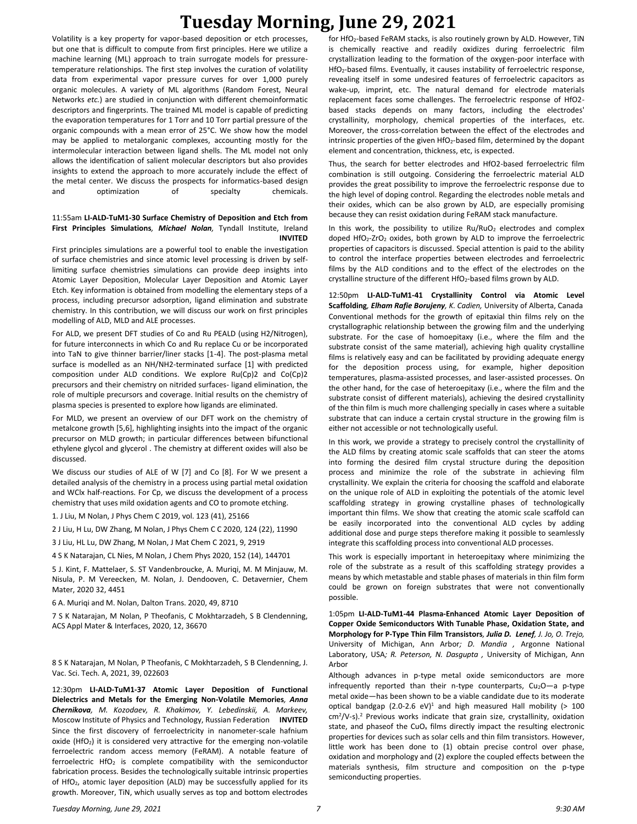Volatility is a key property for vapor-based deposition or etch processes, but one that is difficult to compute from first principles. Here we utilize a machine learning (ML) approach to train surrogate models for pressuretemperature relationships. The first step involves the curation of volatility data from experimental vapor pressure curves for over 1,000 purely organic molecules. A variety of ML algorithms (Random Forest, Neural Networks *etc.*) are studied in conjunction with different chemoinformatic descriptors and fingerprints. The trained ML model is capable of predicting the evaporation temperatures for 1 Torr and 10 Torr partial pressure of the organic compounds with a mean error of 25°C. We show how the model may be applied to metalorganic complexes, accounting mostly for the intermolecular interaction between ligand shells. The ML model not only allows the identification of salient molecular descriptors but also provides insights to extend the approach to more accurately include the effect of the metal center. We discuss the prospects for informatics-based design and optimization of specialty chemicals.

#### 11:55am **LI-ALD-TuM1-30 Surface Chemistry of Deposition and Etch from First Principles Simulations***, Michael Nolan,* Tyndall Institute, Ireland **INVITED**

First principles simulations are a powerful tool to enable the investigation of surface chemistries and since atomic level processing is driven by selflimiting surface chemistries simulations can provide deep insights into Atomic Layer Deposition, Molecular Layer Deposition and Atomic Layer Etch. Key information is obtained from modelling the elementary steps of a process, including precursor adsorption, ligand elimination and substrate chemistry. In this contribution, we will discuss our work on first principles modelling of ALD, MLD and ALE processes.

For ALD, we present DFT studies of Co and Ru PEALD (using H2/Nitrogen), for future interconnects in which Co and Ru replace Cu or be incorporated into TaN to give thinner barrier/liner stacks [1-4]. The post-plasma metal surface is modelled as an NH/NH2-terminated surface [1] with predicted composition under ALD conditions. We explore Ru(Cp)2 and Co(Cp)2 precursors and their chemistry on nitrided surfaces- ligand elimination, the role of multiple precursors and coverage. Initial results on the chemistry of plasma species is presented to explore how ligands are eliminated.

For MLD, we present an overview of our DFT work on the chemistry of metalcone growth [5,6], highlighting insights into the impact of the organic precursor on MLD growth; in particular differences between bifunctional ethylene glycol and glycerol . The chemistry at different oxides will also be discussed.

We discuss our studies of ALE of W [7] and Co [8]. For W we present a detailed analysis of the chemistry in a process using partial metal oxidation and WClx half-reactions. For Cp, we discuss the development of a process chemistry that uses mild oxidation agents and CO to promote etching.

1. J Liu, M Nolan, J Phys Chem C 2019, vol. 123 (41), 25166

2 J Liu, H Lu, DW Zhang, M Nolan, J Phys Chem C C 2020, 124 (22), 11990

3 J Liu, HL Lu, DW Zhang, M Nolan, J Mat Chem C 2021, 9, 2919

4 S K Natarajan, CL Nies, M Nolan, J Chem Phys 2020, 152 (14), 144701

5 J. Kint, F. Mattelaer, S. ST Vandenbroucke, A. Muriqi, M. M Minjauw, M. Nisula, P. M Vereecken, M. Nolan, J. Dendooven, C. Detavernier, Chem Mater, 2020 32, 4451

6 A. Muriqi and M. Nolan, Dalton Trans. 2020, 49, 8710

7 S K Natarajan, M Nolan, P Theofanis, C Mokhtarzadeh, S B Clendenning, ACS Appl Mater & Interfaces, 2020, 12, 36670

8 S K Natarajan, M Nolan, P Theofanis, C Mokhtarzadeh, S B Clendenning, J. Vac. Sci. Tech. A, 2021, 39, 022603

12:30pm **LI-ALD-TuM1-37 Atomic Layer Deposition of Functional Dielectrics and Metals for the Emerging Non-Volatile Memories***, Anna Chernikova, M. Kozodaev, R. Khakimov, Y. Lebedinskii, A. Markeev,*  Moscow Institute of Physics and Technology, Russian Federation **INVITED** Since the first discovery of ferroelectricity in nanometer-scale hafnium oxide (HfO<sub>2</sub>) it is considered very attractive for the emerging non-volatile ferroelectric random access memory (FeRAM). A notable feature of ferroelectric  $HfO<sub>2</sub>$  is complete compatibility with the semiconductor fabrication process. Besides the technologically suitable intrinsic properties of HfO2, atomic layer deposition (ALD) may be successfully applied for its growth. Moreover, TiN, which usually serves as top and bottom electrodes for HfO2-based FeRAM stacks, is also routinely grown by ALD. However, TiN is chemically reactive and readily oxidizes during ferroelectric film crystallization leading to the formation of the oxygen-poor interface with HfO2-based films. Eventually, it causes instability of ferroelectric response, revealing itself in some undesired features of ferroelectric capacitors as wake-up, imprint, etc. The natural demand for electrode materials replacement faces some challenges. The ferroelectric response of HfO2 based stacks depends on many factors, including the electrodes' crystallinity, morphology, chemical properties of the interfaces, etc. Moreover, the cross-correlation between the effect of the electrodes and intrinsic properties of the given  $HfO<sub>2</sub>$ -based film, determined by the dopant element and concentration, thickness, etc, is expected.

Thus, the search for better electrodes and HfO2-based ferroelectric film combination is still outgoing. Considering the ferroelectric material ALD provides the great possibility to improve the ferroelectric response due to the high level of doping control. Regarding the electrodes noble metals and their oxides, which can be also grown by ALD, are especially promising because they can resist oxidation during FeRAM stack manufacture.

In this work, the possibility to utilize  $Ru/RuO<sub>2</sub>$  electrodes and complex doped HfO<sub>2</sub>-ZrO<sub>2</sub> oxides, both grown by ALD to improve the ferroelectric properties of capacitors is discussed. Special attention is paid to the ability to control the interface properties between electrodes and ferroelectric films by the ALD conditions and to the effect of the electrodes on the crystalline structure of the different HfO<sub>2</sub>-based films grown by ALD.

12:50pm **LI-ALD-TuM1-41 Crystallinity Control via Atomic Level Scaffolding***, Elham Rafie Borujeny, K. Cadien,* University of Alberta, Canada Conventional methods for the growth of epitaxial thin films rely on the crystallographic relationship between the growing film and the underlying substrate. For the case of homoepitaxy (i.e., where the film and the substrate consist of the same material), achieving high quality crystalline films is relatively easy and can be facilitated by providing adequate energy for the deposition process using, for example, higher deposition temperatures, plasma-assisted processes, and laser-assisted processes. On the other hand, for the case of heteroepitaxy (i.e., where the film and the substrate consist of different materials), achieving the desired crystallinity of the thin film is much more challenging specially in cases where a suitable substrate that can induce a certain crystal structure in the growing film is either not accessible or not technologically useful.

In this work, we provide a strategy to precisely control the crystallinity of the ALD films by creating atomic scale scaffolds that can steer the atoms into forming the desired film crystal structure during the deposition process and minimize the role of the substrate in achieving film crystallinity. We explain the criteria for choosing the scaffold and elaborate on the unique role of ALD in exploiting the potentials of the atomic level scaffolding strategy in growing crystalline phases of technologically important thin films. We show that creating the atomic scale scaffold can be easily incorporated into the conventional ALD cycles by adding additional dose and purge steps therefore making it possible to seamlessly integrate this scaffolding process into conventional ALD processes.

This work is especially important in heteroepitaxy where minimizing the role of the substrate as a result of this scaffolding strategy provides a means by which metastable and stable phases of materials in thin film form could be grown on foreign substrates that were not conventionally possible.

1:05pm **LI-ALD-TuM1-44 Plasma-Enhanced Atomic Layer Deposition of Copper Oxide Semiconductors With Tunable Phase, Oxidation State, and Morphology for P-Type Thin Film Transistors***, Julia D. Lenef, J. Jo, O. Trejo,*  University of Michigan, Ann Arbor*; D. Mandia ,* Argonne National Laboratory, USA*; R. Peterson, N. Dasgupta ,* University of Michigan, Ann Arbor

Although advances in p-type metal oxide semiconductors are more infrequently reported than their n-type counterparts,  $Cu<sub>2</sub>O-a$  p-type metal oxide—has been shown to be a viable candidate due to its moderate optical bandgap (2.0-2.6 eV)<sup>1</sup> and high measured Hall mobility ( $> 100$ cm<sup>2</sup>/V-s).<sup>2</sup> Previous works indicate that grain size, crystallinity, oxidation state, and phaseof the CuO<sub>x</sub> films directly impact the resulting electronic properties for devices such as solar cells and thin film transistors. However, little work has been done to (1) obtain precise control over phase, oxidation and morphology and (2) explore the coupled effects between the materials synthesis, film structure and composition on the p-type semiconducting properties.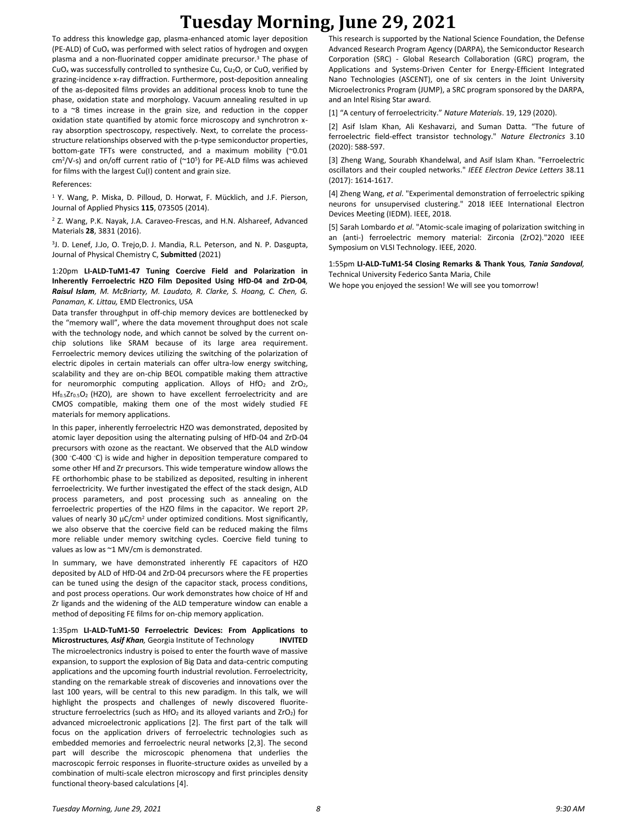To address this knowledge gap, plasma-enhanced atomic layer deposition (PE-ALD) of  $CuO<sub>x</sub>$  was performed with select ratios of hydrogen and oxygen plasma and a non-fluorinated copper amidinate precursor.<sup>3</sup> The phase of CuO<sup>x</sup> was successfully controlled to synthesize Cu, Cu2O, or CuO, verified by grazing-incidence x-ray diffraction. Furthermore, post-deposition annealing of the as-deposited films provides an additional process knob to tune the phase, oxidation state and morphology. Vacuum annealing resulted in up to a ~8 times increase in the grain size, and reduction in the copper oxidation state quantified by atomic force microscopy and synchrotron xray absorption spectroscopy, respectively. Next, to correlate the processstructure relationships observed with the p-type semiconductor properties, bottom-gate TFTs were constructed, and a maximum mobility (~0.01  $cm<sup>2</sup>/V-s$ ) and on/off current ratio of ( $\sim 10^{5}$ ) for PE-ALD films was achieved for films with the largest Cu(I) content and grain size.

## References:

<sup>1</sup> Y. Wang, P. Miska, D. Pilloud, D. Horwat, F. Mücklich, and J.F. Pierson, Journal of Applied Physics **115**, 073505 (2014).

<sup>2</sup> Z. Wang, P.K. Nayak, J.A. Caraveo‐Frescas, and H.N. Alshareef, Advanced Materials **28**, 3831 (2016).

3 J. D. Lenef, J.Jo, O. Trejo,D. J. Mandia, R.L. Peterson, and N. P. Dasgupta, Journal of Physical Chemistry C, **Submitted** (2021)

1:20pm **LI-ALD-TuM1-47 Tuning Coercive Field and Polarization in Inherently Ferroelectric HZO Film Deposited Using HfD-04 and ZrD-04***, Raisul Islam, M. McBriarty, M. Laudato, R. Clarke, S. Hoang, C. Chen, G. Panaman, K. Littau,* EMD Electronics, USA

Data transfer throughput in off-chip memory devices are bottlenecked by the "memory wall", where the data movement throughput does not scale with the technology node, and which cannot be solved by the current onchip solutions like SRAM because of its large area requirement. Ferroelectric memory devices utilizing the switching of the polarization of electric dipoles in certain materials can offer ultra-low energy switching, scalability and they are on-chip BEOL compatible making them attractive for neuromorphic computing application. Alloys of  $HfO<sub>2</sub>$  and  $ZrO<sub>2</sub>$ , Hf<sub>0.5</sub>Zr<sub>0.5</sub>O<sub>2</sub> (HZO), are shown to have excellent ferroelectricity and are CMOS compatible, making them one of the most widely studied FE materials for memory applications.

In this paper, inherently ferroelectric HZO was demonstrated, deposited by atomic layer deposition using the alternating pulsing of HfD-04 and ZrD-04 precursors with ozone as the reactant. We observed that the ALD window (300 ◦C-400 ◦C) is wide and higher in deposition temperature compared to some other Hf and Zr precursors. This wide temperature window allows the FE orthorhombic phase to be stabilized as deposited, resulting in inherent ferroelectricity. We further investigated the effect of the stack design, ALD process parameters, and post processing such as annealing on the ferroelectric properties of the HZO films in the capacitor. We report 2P<sup>r</sup> values of nearly 30 μC/cm<sup>2</sup> under optimized conditions. Most significantly, we also observe that the coercive field can be reduced making the films more reliable under memory switching cycles. Coercive field tuning to values as low as ~1 MV/cm is demonstrated.

In summary, we have demonstrated inherently FE capacitors of HZO deposited by ALD of HfD-04 and ZrD-04 precursors where the FE properties can be tuned using the design of the capacitor stack, process conditions, and post process operations. Our work demonstrates how choice of Hf and Zr ligands and the widening of the ALD temperature window can enable a method of depositing FE films for on-chip memory application.

1:35pm **LI-ALD-TuM1-50 Ferroelectric Devices: From Applications to Microstructures***, Asif Khan,* Georgia Institute of Technology **INVITED** The microelectronics industry is poised to enter the fourth wave of massive expansion, to support the explosion of Big Data and data-centric computing applications and the upcoming fourth industrial revolution. Ferroelectricity, standing on the remarkable streak of discoveries and innovations over the last 100 years, will be central to this new paradigm. In this talk, we will highlight the prospects and challenges of newly discovered fluoritestructure ferroelectrics (such as HfO<sub>2</sub> and its alloyed variants and  $ZrO<sub>2</sub>$ ) for advanced microelectronic applications [2]. The first part of the talk will focus on the application drivers of ferroelectric technologies such as embedded memories and ferroelectric neural networks [2,3]. The second part will describe the microscopic phenomena that underlies the macroscopic ferroic responses in fluorite-structure oxides as unveiled by a combination of multi-scale electron microscopy and first principles density functional theory-based calculations [4].

This research is supported by the National Science Foundation, the Defense Advanced Research Program Agency (DARPA), the Semiconductor Research Corporation (SRC) - Global Research Collaboration (GRC) program, the Applications and Systems-Driven Center for Energy-Efficient Integrated Nano Technologies (ASCENT), one of six centers in the Joint University Microelectronics Program (JUMP), a SRC program sponsored by the DARPA, and an Intel Rising Star award.

[1] "A century of ferroelectricity." *Nature Materials*. 19, 129 (2020).

[2] Asif Islam Khan, Ali Keshavarzi, and Suman Datta. "The future of ferroelectric field-effect transistor technology." *Nature Electronics* 3.10 (2020): 588-597.

[3] Zheng Wang, Sourabh Khandelwal, and Asif Islam Khan. "Ferroelectric oscillators and their coupled networks." *IEEE Electron Device Letters* 38.11 (2017): 1614-1617.

[4] Zheng Wang, *et al*. "Experimental demonstration of ferroelectric spiking neurons for unsupervised clustering." 2018 IEEE International Electron Devices Meeting (IEDM). IEEE, 2018.

[5] Sarah Lombardo *et al*. "Atomic-scale imaging of polarization switching in an (anti-) ferroelectric memory material: Zirconia (ZrO2)."2020 IEEE Symposium on VLSI Technology. IEEE, 2020.

#### 1:55pm **LI-ALD-TuM1-54 Closing Remarks & Thank Yous***, Tania Sandoval,*  Technical University Federico Santa Maria, Chile

We hope you enjoyed the session! We will see you tomorrow!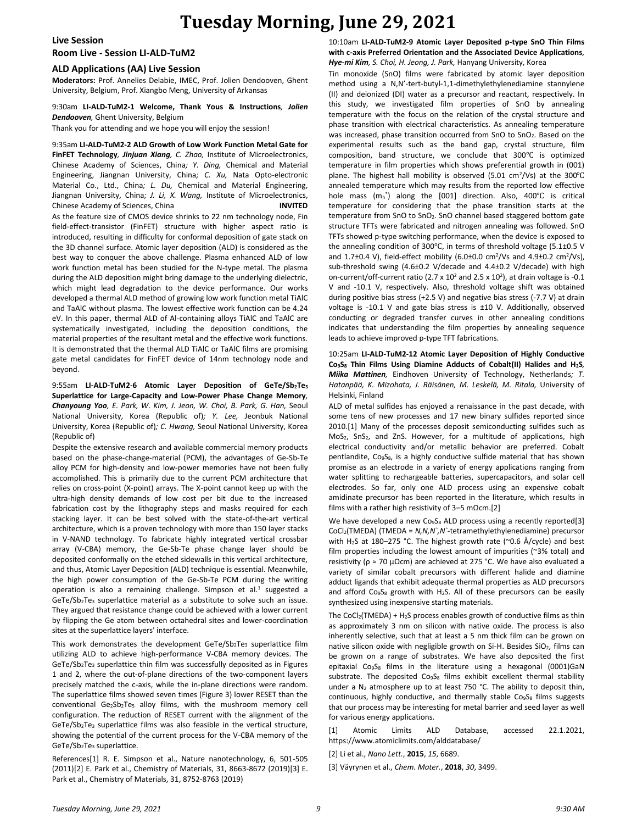**Live Session**

**Room Live - Session LI-ALD-TuM2**

### **ALD Applications (AA) Live Session**

**Moderators:** Prof. Annelies Delabie, IMEC, Prof. Jolien Dendooven, Ghent University, Belgium, Prof. Xiangbo Meng, University of Arkansas

## 9:30am **LI-ALD-TuM2-1 Welcome, Thank Yous & Instructions***, Jolien Dendooven,* Ghent University, Belgium

Thank you for attending and we hope you will enjoy the session!

9:35am **LI-ALD-TuM2-2 ALD Growth of Low Work Function Metal Gate for FinFET Technology***, Jinjuan Xiang, C. Zhao,* Institute of Microelectronics, Chinese Academy of Sciences, China*; Y. Ding,* Chemical and Material Engineering, Jiangnan University, China*; C. Xu,* Nata Opto-electronic Material Co., Ltd., China*; L. Du,* Chemical and Material Engineering, Jiangnan University, China*; J. Li, X. Wang,* Institute of Microelectronics, Chinese Academy of Sciences, China **INVITED** As the feature size of CMOS device shrinks to 22 nm technology node, Fin field-effect-transistor (FinFET) structure with higher aspect ratio is introduced, resulting in difficulty for conformal deposition of gate stack on the 3D channel surface. Atomic layer deposition (ALD) is considered as the best way to conquer the above challenge. Plasma enhanced ALD of low work function metal has been studied for the N-type metal. The plasma during the ALD deposition might bring damage to the underlying dielectric, which might lead degradation to the device performance. Our works developed a thermal ALD method of growing low work function metal TiAlC and TaAlC without plasma. The lowest effective work function can be 4.24 eV. In this paper, thermal ALD of Al-containing alloys TiAlC and TaAlC are systematically investigated, including the deposition conditions, the material properties of the resultant metal and the effective work functions. It is demonstrated that the thermal ALD TiAlC or TaAlC films are promising gate metal candidates for FinFET device of 14nm technology node and beyond.

9:55am **LI-ALD-TuM2-6 Atomic Layer Deposition of GeTe/Sb2Te<sup>3</sup> Superlattice for Large-Capacity and Low-Power Phase Change Memory***, Chanyoung Yoo, E. Park, W. Kim, J. Jeon, W. Choi, B. Park, G. Han,* Seoul National University, Korea (Republic of)*; Y. Lee,* Jeonbuk National University, Korea (Republic of)*; C. Hwang,* Seoul National University, Korea (Republic of)

Despite the extensive research and available commercial memory products based on the phase-change-material (PCM), the advantages of Ge-Sb-Te alloy PCM for high-density and low-power memories have not been fully accomplished. This is primarily due to the current PCM architecture that relies on cross-point (X-point) arrays. The X-point cannot keep up with the ultra-high density demands of low cost per bit due to the increased fabrication cost by the lithography steps and masks required for each stacking layer. It can be best solved with the state-of-the-art vertical architecture, which is a proven technology with more than 150 layer stacks in V-NAND technology. To fabricate highly integrated vertical crossbar array (V-CBA) memory, the Ge-Sb-Te phase change layer should be deposited conformally on the etched sidewalls in this vertical architecture, and thus, Atomic Layer Deposition (ALD) technique is essential. Meanwhile, the high power consumption of the Ge-Sb-Te PCM during the writing operation is also a remaining challenge. Simpson et al.<sup>1</sup> suggested a GeTe/Sb2Te<sup>3</sup> superlattice material as a substitute to solve such an issue. They argued that resistance change could be achieved with a lower current by flipping the Ge atom between octahedral sites and lower-coordination sites at the superlattice layers' interface.

This work demonstrates the development  $Ger(Sb_2Te_3$  superlattice film utilizing ALD to achieve high-performance V-CBA memory devices. The  $GeTe/Sb<sub>2</sub>Te<sub>3</sub>$  superlattice thin film was successfully deposited as in Figures 1 and 2, where the out-of-plane directions of the two-component layers precisely matched the c-axis, while the in-plane directions were random. The superlattice films showed seven times (Figure 3) lower RESET than the conventional  $Ge_2Sb_2Te_5$  alloy films, with the mushroom memory cell configuration. The reduction of RESET current with the alignment of the GeTe/Sb2Te<sup>3</sup> superlattice films was also feasible in the vertical structure, showing the potential of the current process for the V-CBA memory of the GeTe/Sb2Te<sup>3</sup> superlattice.

References[1] R. E. Simpson et al., Nature nanotechnology, 6, 501-505 (2011)[2] E. Park et al., Chemistry of Materials, 31, 8663-8672 (2019)[3] E. Park et al., Chemistry of Materials, 31, 8752-8763 (2019)

10:10am **LI-ALD-TuM2-9 Atomic Layer Deposited p-type SnO Thin Films with c-axis Preferred Orientation and the Associated Device Applications***, Hye-mi Kim, S. Choi, H. Jeong, J. Park,* Hanyang University, Korea

Tin monoxide (SnO) films were fabricated by atomic layer deposition method using a N,N'-tert-butyl-1,1-dimethylethylenediamine stannylene (II) and deionized (DI) water as a precursor and reactant, respectively. In this study, we investigated film properties of SnO by annealing temperature with the focus on the relation of the crystal structure and phase transition with electrical characteristics. As annealing temperature was increased, phase transition occurred from SnO to SnO<sub>2</sub>. Based on the experimental results such as the band gap, crystal structure, film composition, band structure, we conclude that 300℃ is optimized temperature in film properties which shows preferential growth in (001) plane. The highest hall mobility is observed (5.01 cm<sup>2</sup>/Vs) at the 300℃ annealed temperature which may results from the reported low effective hole mass  $(m_h^*)$  along the [001] direction. Also, 400°C is critical temperature for considering that the phase transition starts at the temperature from SnO to SnO<sub>2</sub>. SnO channel based staggered bottom gate structure TFTs were fabricated and nitrogen annealing was followed. SnO TFTs showed p-type switching performance, when the device is exposed to the annealing condition of 300℃, in terms of threshold voltage (5.1±0.5 V and  $1.7\pm0.4$  V), field-effect mobility (6.0 $\pm0.0$  cm<sup>2</sup>/Vs and  $4.9\pm0.2$  cm<sup>2</sup>/Vs), sub-threshold swing (4.6±0.2 V/decade and 4.4±0.2 V/decade) with high on-current/off-current ratio (2.7 x 10<sup>2</sup> and 2.5 x 10<sup>2</sup>), at drain voltage is -0.1 V and -10.1 V, respectively. Also, threshold voltage shift was obtained during positive bias stress (+2.5 V) and negative bias stress (-7.7 V) at drain voltage is -10.1 V and gate bias stress is ±10 V. Additionally, observed conducting or degraded transfer curves in other annealing conditions indicates that understanding the film properties by annealing sequence leads to achieve improved p-type TFT fabrications.

10:25am **LI-ALD-TuM2-12 Atomic Layer Deposition of Highly Conductive Co9S<sup>8</sup> Thin Films Using Diamine Adducts of Cobalt(II) Halides and H2S***, Miika Mattinen,* Eindhoven University of Technology, Netherlands*; T. Hatanpää, K. Mizohata, J. Räisänen, M. Leskelä, M. Ritala,* University of Helsinki, Finland

ALD of metal sulfides has enjoyed a renaissance in the past decade, with some tens of new processes and 17 new binary sulfides reported since 2010.[1] Many of the processes deposit semiconducting sulfides such as MoS<sub>2</sub>, SnS<sub>2</sub>, and ZnS. However, for a multitude of applications, high electrical conductivity and/or metallic behavior are preferred. Cobalt pentlandite, Co<sub>9</sub>S<sub>8</sub>, is a highly conductive sulfide material that has shown promise as an electrode in a variety of energy applications ranging from water splitting to rechargeable batteries, supercapacitors, and solar cell electrodes. So far, only one ALD process using an expensive cobalt amidinate precursor has been reported in the literature, which results in films with a rather high resistivity of 3–5 mΩcm.[2]

We have developed a new Co<sub>9</sub>S<sub>8</sub> ALD process using a recently reported[3] CoCl2(TMEDA) (TMEDA = *N,N,N`,N`*-tetramethylethylenediamine) precursor with H<sub>2</sub>S at 180–275 °C. The highest growth rate (~0.6 Å/cycle) and best film properties including the lowest amount of impurities (~3% total) and resistivity ( $\rho \approx 70 \mu \Omega$ cm) are achieved at 275 °C. We have also evaluated a variety of similar cobalt precursors with different halide and diamine adduct ligands that exhibit adequate thermal properties as ALD precursors and afford  $Co<sub>9</sub>S<sub>8</sub>$  growth with H<sub>2</sub>S. All of these precursors can be easily synthesized using inexpensive starting materials.

The CoCl<sub>2</sub>(TMEDA) + H<sub>2</sub>S process enables growth of conductive films as thin as approximately 3 nm on silicon with native oxide. The process is also inherently selective, such that at least a 5 nm thick film can be grown on native silicon oxide with negligible growth on Si-H. Besides SiO<sub>2</sub>, films can be grown on a range of substrates. We have also deposited the first epitaxial Co<sub>9</sub>S<sub>8</sub> films in the literature using a hexagonal (0001)GaN substrate. The deposited  $Co<sub>9</sub>S<sub>8</sub>$  films exhibit excellent thermal stability under a  $N_2$  atmosphere up to at least 750 °C. The ability to deposit thin, continuous, highly conductive, and thermally stable Co<sub>9</sub>S<sub>8</sub> films suggests that our process may be interesting for metal barrier and seed layer as well for various energy applications.

[1] Atomic Limits ALD Database, accessed 22.1.2021, https://www.atomiclimits.com/alddatabase/

[2] Li et al., *Nano Lett.*, **2015**, *15*, 6689.

[3] Väyrynen et al., *Chem. Mater.*, **2018**, *30*, 3499.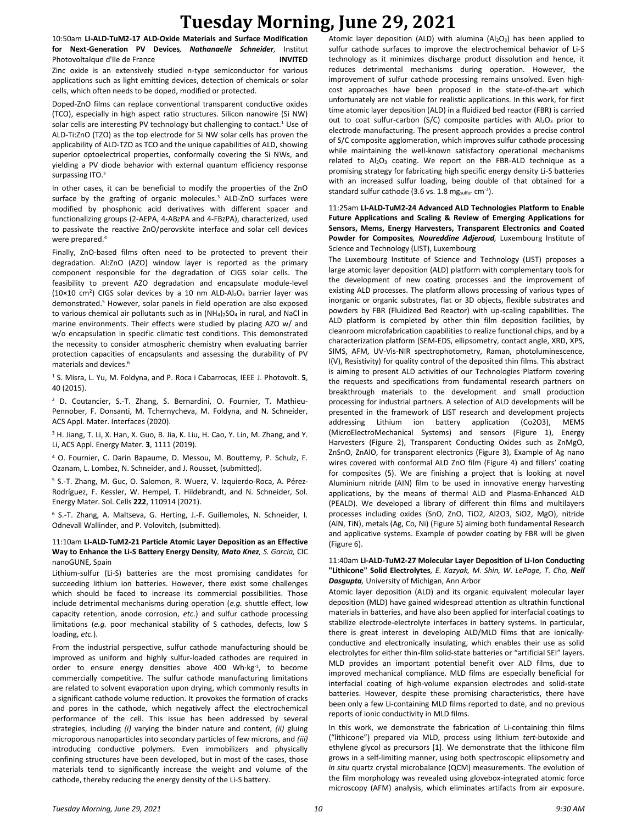10:50am **LI-ALD-TuM2-17 ALD-Oxide Materials and Surface Modification for Next-Generation PV Devices***, Nathanaelle Schneider,* Institut Photovoltaïque d'Ile de France **INVITED**

Zinc oxide is an extensively studied n-type semiconductor for various applications such as light emitting devices, detection of chemicals or solar cells, which often needs to be doped, modified or protected.

Doped-ZnO films can replace conventional transparent conductive oxides (TCO), especially in high aspect ratio structures. Silicon nanowire (Si NW) solar cells are interesting PV technology but challenging to contact.<sup>1</sup> Use of ALD-Ti:ZnO (TZO) as the top electrode for Si NW solar cells has proven the applicability of ALD-TZO as TCO and the unique capabilities of ALD, showing superior optoelectrical properties, conformally covering the Si NWs, and yielding a PV diode behavior with external quantum efficiency response surpassing ITO.<sup>2</sup>

In other cases, it can be beneficial to modify the properties of the ZnO surface by the grafting of organic molecules.<sup>3</sup> ALD-ZnO surfaces were modified by phosphonic acid derivatives with different spacer and functionalizing groups (2-AEPA, 4-ABzPA and 4-FBzPA), characterized, used to passivate the reactive ZnO/perovskite interface and solar cell devices were prepared.<sup>4</sup>

Finally, ZnO-based films often need to be protected to prevent their degradation. Al:ZnO (AZO) window layer is reported as the primary component responsible for the degradation of CIGS solar cells. The feasibility to prevent AZO degradation and encapsulate module-level ( $10\times10$  cm<sup>2</sup>) CIGS solar devices by a 10 nm ALD-Al<sub>2</sub>O<sub>3</sub> barrier layer was demonstrated.<sup>5</sup> However, solar panels in field operation are also exposed to various chemical air pollutants such as in  $(NH<sub>4</sub>)<sub>2</sub>SO<sub>4</sub>$  in rural, and NaCl in marine environments. Their effects were studied by placing AZO w/ and w/o encapsulation in specific climatic test conditions. This demonstrated the necessity to consider atmospheric chemistry when evaluating barrier protection capacities of encapsulants and assessing the durability of PV materials and devices.<sup>6</sup>

<sup>1</sup> S. Misra, L. Yu, M. Foldyna, and P. Roca i Cabarrocas, IEEE J. Photovolt. **5**, 40 (2015).

<sup>2</sup> D. Coutancier, S.-T. Zhang, S. Bernardini, O. Fournier, T. Mathieu-Pennober, F. Donsanti, M. Tchernycheva, M. Foldyna, and N. Schneider, ACS Appl. Mater. Interfaces (2020).

<sup>3</sup> H. Jiang, T. Li, X. Han, X. Guo, B. Jia, K. Liu, H. Cao, Y. Lin, M. Zhang, and Y. Li, ACS Appl. Energy Mater. **3**, 1111 (2019).

<sup>4</sup> O. Fournier, C. Darin Bapaume, D. Messou, M. Bouttemy, P. Schulz, F. Ozanam, L. Lombez, N. Schneider, and J. Rousset, (submitted).

<sup>5</sup> S.-T. Zhang, M. Guc, O. Salomon, R. Wuerz, V. Izquierdo-Roca, A. Pérez-Rodríguez, F. Kessler, W. Hempel, T. Hildebrandt, and N. Schneider, Sol. Energy Mater. Sol. Cells **222**, 110914 (2021).

<sup>6</sup> S.-T. Zhang, A. Maltseva, G. Herting, J.-F. Guillemoles, N. Schneider, I. Odnevall Wallinder, and P. Volovitch, (submitted).

## 11:10am **LI-ALD-TuM2-21 Particle Atomic Layer Deposition as an Effective Way to Enhance the Li-S Battery Energy Density***, Mato Knez, S. Garcia,* CIC nanoGUNE, Spain

Lithium-sulfur (Li-S) batteries are the most promising candidates for succeeding lithium ion batteries. However, there exist some challenges which should be faced to increase its commercial possibilities. Those include detrimental mechanisms during operation (*e.g.* shuttle effect, low capacity retention, anode corrosion, *etc.*) and sulfur cathode processing limitations (*e.g.* poor mechanical stability of S cathodes, defects, low S loading, *etc.*).

From the industrial perspective, sulfur cathode manufacturing should be improved as uniform and highly sulfur-loaded cathodes are required in order to ensure energy densities above 400 Wh·kg<sup>-1</sup>, to become commercially competitive. The sulfur cathode manufacturing limitations are related to solvent evaporation upon drying, which commonly results in a significant cathode volume reduction. It provokes the formation of cracks and pores in the cathode, which negatively affect the electrochemical performance of the cell. This issue has been addressed by several strategies, including *(i)* varying the binder nature and content, *(ii)* gluing microporous nanoparticles into secondary particles of few microns, and *(iii)* introducing conductive polymers. Even immobilizers and physically confining structures have been developed, but in most of the cases, those materials tend to significantly increase the weight and volume of the cathode, thereby reducing the energy density of the Li-S battery.

Atomic layer deposition (ALD) with alumina ( $Al_2O_3$ ) has been applied to sulfur cathode surfaces to improve the electrochemical behavior of Li-S technology as it minimizes discharge product dissolution and hence, it reduces detrimental mechanisms during operation. However, the improvement of sulfur cathode processing remains unsolved. Even highcost approaches have been proposed in the state-of-the-art which unfortunately are not viable for realistic applications. In this work, for first time atomic layer deposition (ALD) in a fluidized bed reactor (FBR) is carried out to coat sulfur-carbon (S/C) composite particles with  $Al_2O_3$  prior to electrode manufacturing. The present approach provides a precise control of S/C composite agglomeration, which improves sulfur cathode processing while maintaining the well-known satisfactory operational mechanisms related to  $Al_2O_3$  coating. We report on the FBR-ALD technique as a promising strategy for fabricating high specific energy density Li-S batteries with an increased sulfur loading, being double of that obtained for a standard sulfur cathode (3.6 vs. 1.8 mgsulfur  $cm^{-2}$ ).

#### 11:25am **LI-ALD-TuM2-24 Advanced ALD Technologies Platform to Enable Future Applications and Scaling & Review of Emerging Applications for Sensors, Mems, Energy Harvesters, Transparent Electronics and Coated Powder for Composites***, Noureddine Adjeroud,* Luxembourg Institute of Science and Technology (LIST), Luxembourg

The Luxembourg Institute of Science and Technology (LIST) proposes a large atomic layer deposition (ALD) platform with complementary tools for the development of new coating processes and the improvement of existing ALD processes. The platform allows processing of various types of inorganic or organic substrates, flat or 3D objects, flexible substrates and powders by FBR (Fluidized Bed Reactor) with up-scaling capabilities. The ALD platform is completed by other thin film deposition facilities, by cleanroom microfabrication capabilities to realize functional chips, and by a characterization platform (SEM-EDS, ellipsometry, contact angle, XRD, XPS, SIMS, AFM, UV-Vis-NIR spectrophotometry, Raman, photoluminescence, I(V), Resistivity) for quality control of the deposited thin films. This abstract is aiming to present ALD activities of our Technologies Platform covering the requests and specifications from fundamental research partners on breakthrough materials to the development and small production processing for industrial partners. A selection of ALD developments will be presented in the framework of LIST research and development projects addressing Lithium ion battery application (Co2O3), MEMS (MicroElectroMechanical Systems) and sensors (Figure 1), Energy Harvesters (Figure 2), Transparent Conducting Oxides such as ZnMgO, ZnSnO, ZnAlO, for transparent electronics (Figure 3), Example of Ag nano wires covered with conformal ALD ZnO film (Figure 4) and fillers' coating for composites (5). We are finishing a project that is looking at novel Aluminium nitride (AIN) film to be used in innovative energy harvesting applications, by the means of thermal ALD and Plasma-Enhanced ALD (PEALD). We developed a library of different thin films and multilayers processes including oxides (SnO, ZnO, TiO2, Al2O3, SiO2, MgO), nitride (AlN, TiN), metals (Ag, Co, Ni) (Figure 5) aiming both fundamental Research and applicative systems. Example of powder coating by FBR will be given (Figure 6).

#### 11:40am **LI-ALD-TuM2-27 Molecular Layer Deposition of Li-Ion Conducting "Lithicone" Solid Electrolytes***, E. Kazyak, M. Shin, W. LePage, T. Cho, Neil Dasgupta,* University of Michigan, Ann Arbor

Atomic layer deposition (ALD) and its organic equivalent molecular layer deposition (MLD) have gained widespread attention as ultrathin functional materials in batteries, and have also been applied for interfacial coatings to stabilize electrode-electrolyte interfaces in battery systems. In particular, there is great interest in developing ALD/MLD films that are ionicallyconductive and electronically insulating, which enables their use as solid electrolytes for either thin-film solid-state batteries or "artificial SEI" layers. MLD provides an important potential benefit over ALD films, due to improved mechanical compliance. MLD films are especially beneficial for interfacial coating of high-volume expansion electrodes and solid-state batteries. However, despite these promising characteristics, there have been only a few Li-containing MLD films reported to date, and no previous reports of ionic conductivity in MLD films.

In this work, we demonstrate the fabrication of Li-containing thin films ("lithicone") prepared via MLD, process using lithium *tert*-butoxide and ethylene glycol as precursors [1]. We demonstrate that the lithicone film grows in a self-limiting manner, using both spectroscopic ellipsometry and *in situ* quartz crystal microbalance (QCM) measurements. The evolution of the film morphology was revealed using glovebox-integrated atomic force microscopy (AFM) analysis, which eliminates artifacts from air exposure.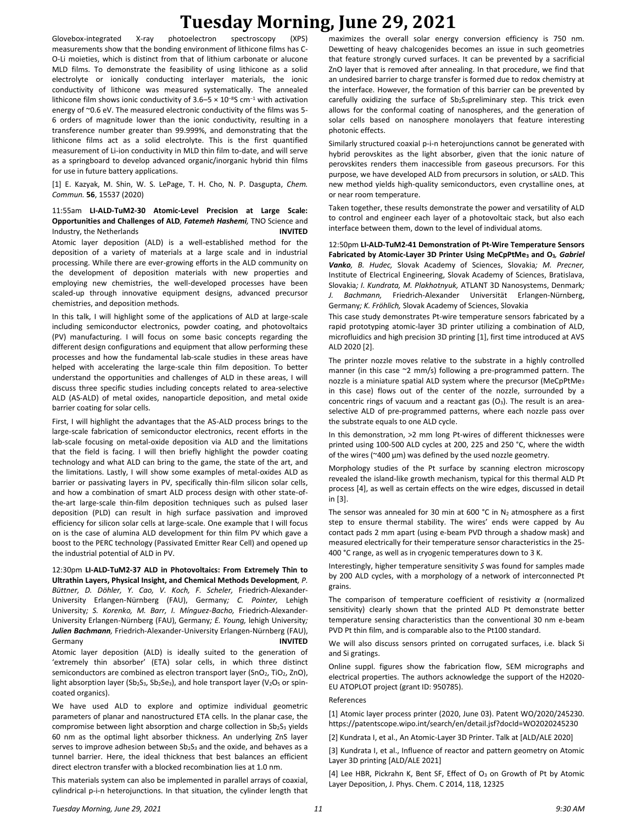Glovebox-integrated X-ray photoelectron spectroscopy (XPS) measurements show that the bonding environment of lithicone films has C-O-Li moieties, which is distinct from that of lithium carbonate or alucone MLD films. To demonstrate the feasibility of using lithicone as a solid electrolyte or ionically conducting interlayer materials, the ionic conductivity of lithicone was measured systematically. The annealed lithicone film shows ionic conductivity of 3.6–5  $\times$  10<sup>-8</sup>S cm<sup>-1</sup> with activation energy of ~0.6 eV. The measured electronic conductivity of the films was 5- 6 orders of magnitude lower than the ionic conductivity, resulting in a transference number greater than 99.999%, and demonstrating that the lithicone films act as a solid electrolyte. This is the first quantified measurement of Li-ion conductivity in MLD thin film to-date, and will serve as a springboard to develop advanced organic/inorganic hybrid thin films for use in future battery applications.

[1] E. Kazyak, M. Shin, W. S. LePage, T. H. Cho, N. P. Dasgupta, *Chem. Commun.* **56**, 15537 (2020)

### 11:55am **LI-ALD-TuM2-30 Atomic-Level Precision at Large Scale: Opportunities and Challenges of ALD***, Fatemeh Hashemi,* TNO Science and Industry, the Netherlands **INVITED**

Atomic layer deposition (ALD) is a well-established method for the deposition of a variety of materials at a large scale and in industrial processing. While there are ever-growing efforts in the ALD community on the development of deposition materials with new properties and employing new chemistries, the well-developed processes have been scaled-up through innovative equipment designs, advanced precursor chemistries, and deposition methods.

In this talk, I will highlight some of the applications of ALD at large-scale including semiconductor electronics, powder coating, and photovoltaics (PV) manufacturing. I will focus on some basic concepts regarding the different design configurations and equipment that allow performing these processes and how the fundamental lab-scale studies in these areas have helped with accelerating the large-scale thin film deposition. To better understand the opportunities and challenges of ALD in these areas, I will discuss three specific studies including concepts related to area-selective ALD (AS-ALD) of metal oxides, nanoparticle deposition, and metal oxide barrier coating for solar cells.

First, I will highlight the advantages that the AS-ALD process brings to the large-scale fabrication of semiconductor electronics, recent efforts in the lab-scale focusing on metal-oxide deposition via ALD and the limitations that the field is facing. I will then briefly highlight the powder coating technology and what ALD can bring to the game, the state of the art, and the limitations. Lastly, I will show some examples of metal-oxides ALD as barrier or passivating layers in PV, specifically thin-film silicon solar cells, and how a combination of smart ALD process design with other state-ofthe-art large-scale thin-film deposition techniques such as pulsed laser deposition (PLD) can result in high surface passivation and improved efficiency for silicon solar cells at large-scale. One example that I will focus on is the case of alumina ALD development for thin film PV which gave a boost to the PERC technology (Passivated Emitter Rear Cell) and opened up the industrial potential of ALD in PV.

12:30pm **LI-ALD-TuM2-37 ALD in Photovoltaics: From Extremely Thin to Ultrathin Layers, Physical Insight, and Chemical Methods Development***, P. Büttner, D. Döhler, Y. Cao, V. Koch, F. Scheler,* Friedrich-Alexander-University Erlangen-Nürnberg (FAU), Germany*; C. Pointer,* Lehigh University*; S. Korenko, M. Barr, I. Mínguez-Bacho,* Friedrich-Alexander-University Erlangen-Nürnberg (FAU), Germany*; E. Young,* lehigh University*; Julien Bachmann,* Friedrich-Alexander-University Erlangen-Nürnberg (FAU), Germany **INVITED**

Atomic layer deposition (ALD) is ideally suited to the generation of 'extremely thin absorber' (ETA) solar cells, in which three distinct semiconductors are combined as electron transport layer (SnO<sub>2</sub>, TiO<sub>2</sub>, ZnO), light absorption layer (Sb<sub>2</sub>S<sub>3</sub>, Sb<sub>2</sub>Se<sub>3</sub>), and hole transport layer (V<sub>2</sub>O<sub>5</sub> or spincoated organics).

We have used ALD to explore and optimize individual geometric parameters of planar and nanostructured ETA cells. In the planar case, the compromise between light absorption and charge collection in Sb2S3 yields 60 nm as the optimal light absorber thickness. An underlying ZnS layer serves to improve adhesion between  $Sb_2S_3$  and the oxide, and behaves as a tunnel barrier. Here, the ideal thickness that best balances an efficient direct electron transfer with a blocked recombination lies at 1.0 nm.

This materials system can also be implemented in parallel arrays of coaxial, cylindrical p-i-n heterojunctions. In that situation, the cylinder length that maximizes the overall solar energy conversion efficiency is 750 nm. Dewetting of heavy chalcogenides becomes an issue in such geometries that feature strongly curved surfaces. It can be prevented by a sacrificial ZnO layer that is removed after annealing. In that procedure, we find that an undesired barrier to charge transfer is formed due to redox chemistry at the interface. However, the formation of this barrier can be prevented by carefully oxidizing the surface of Sb<sub>2</sub>S<sub>3</sub>preliminary step. This trick even allows for the conformal coating of nanospheres, and the generation of solar cells based on nanosphere monolayers that feature interesting photonic effects.

Similarly structured coaxial p-i-n heterojunctions cannot be generated with hybrid perovskites as the light absorber, given that the ionic nature of perovskites renders them inaccessible from gaseous precursors. For this purpose, we have developed ALD from precursors in solution, or sALD. This new method yields high-quality semiconductors, even crystalline ones, at or near room temperature.

Taken together, these results demonstrate the power and versatility of ALD to control and engineer each layer of a photovoltaic stack, but also each interface between them, down to the level of individual atoms.

12:50pm **LI-ALD-TuM2-41 Demonstration of Pt-Wire Temperature Sensors Fabricated by Atomic-Layer 3D Printer Using MeCpPtMe<sup>3</sup> and O3***, Gabriel Vanko, B. Hudec,* Slovak Academy of Sciences, Slovakia*; M. Precner,* Institute of Electrical Engineering, Slovak Academy of Sciences, Bratislava, Slovakia*; I. Kundrata, M. Plakhotnyuk,* ATLANT 3D Nanosystems, Denmark*; J. Bachmann,* Friedrich-Alexander Universität Erlangen-Nürnberg, Germany*; K. Fröhlich,* Slovak Academy of Sciences, Slovakia

This case study demonstrates Pt-wire temperature sensors fabricated by a rapid prototyping atomic-layer 3D printer utilizing a combination of ALD, microfluidics and high precision 3D printing [1], first time introduced at AVS ALD 2020 [2].

The printer nozzle moves relative to the substrate in a highly controlled manner (in this case ~2 mm/s) following a pre-programmed pattern. The nozzle is a miniature spatial ALD system where the precursor (MeCpPtMe<sup>3</sup> in this case) flows out of the center of the nozzle, surrounded by a concentric rings of vacuum and a reactant gas  $(O_3)$ . The result is an areaselective ALD of pre-programmed patterns, where each nozzle pass over the substrate equals to one ALD cycle.

In this demonstration, >2 mm long Pt-wires of different thicknesses were printed using 100-500 ALD cycles at 200, 225 and 250 °C, where the width of the wires ( $\approx$ 400  $\mu$ m) was defined by the used nozzle geometry.

Morphology studies of the Pt surface by scanning electron microscopy revealed the island-like growth mechanism, typical for this thermal ALD Pt process [4], as well as certain effects on the wire edges, discussed in detail in [3].

The sensor was annealed for 30 min at 600 °C in  $N_2$  atmosphere as a first step to ensure thermal stability. The wires' ends were capped by Au contact pads 2 mm apart (using e-beam PVD through a shadow mask) and measured electrically for their temperature sensor characteristics in the 25- 400 °C range, as well as in cryogenic temperatures down to 3 K.

Interestingly, higher temperature sensitivity *S* was found for samples made by 200 ALD cycles, with a morphology of a network of interconnected Pt grains.

The comparison of temperature coefficient of resistivity *α* (normalized sensitivity) clearly shown that the printed ALD Pt demonstrate better temperature sensing characteristics than the conventional 30 nm e-beam PVD Pt thin film, and is comparable also to the Pt100 standard.

We will also discuss sensors printed on corrugated surfaces, i.e. black Si and Si gratings.

Online suppl. figures show the fabrication flow, SEM micrographs and electrical properties. The authors acknowledge the support of the H2020- EU ATOPLOT project (grant ID: 950785).

#### References

[1] Atomic layer process printer (2020, June 03). Patent WO/2020/245230. https://patentscope.wipo.int/search/en/detail.jsf?docId=WO2020245230

[2] Kundrata I, et al., An Atomic-Layer 3D Printer. Talk at [ALD/ALE 2020]

[3] Kundrata I, et al., Influence of reactor and pattern geometry on Atomic Layer 3D printing [ALD/ALE 2021]

[4] Lee HBR, Pickrahn K, Bent SF, Effect of O<sub>3</sub> on Growth of Pt by Atomic Layer Deposition, J. Phys. Chem. C 2014, 118, 12325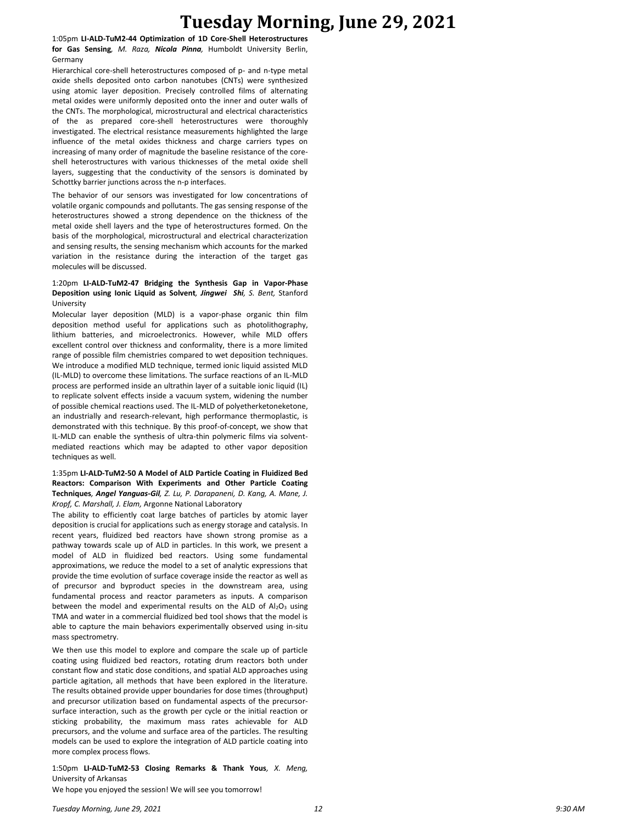1:05pm **LI-ALD-TuM2-44 Optimization of 1D Core-Shell Heterostructures for Gas Sensing***, M. Raza, Nicola Pinna,* Humboldt University Berlin, Germany

Hierarchical core-shell heterostructures composed of p- and n-type metal oxide shells deposited onto carbon nanotubes (CNTs) were synthesized using atomic layer deposition. Precisely controlled films of alternating metal oxides were uniformly deposited onto the inner and outer walls of the CNTs. The morphological, microstructural and electrical characteristics of the as prepared core-shell heterostructures were thoroughly investigated. The electrical resistance measurements highlighted the large influence of the metal oxides thickness and charge carriers types on increasing of many order of magnitude the baseline resistance of the coreshell heterostructures with various thicknesses of the metal oxide shell layers, suggesting that the conductivity of the sensors is dominated by Schottky barrier junctions across the n-p interfaces.

The behavior of our sensors was investigated for low concentrations of volatile organic compounds and pollutants. The gas sensing response of the heterostructures showed a strong dependence on the thickness of the metal oxide shell layers and the type of heterostructures formed. On the basis of the morphological, microstructural and electrical characterization and sensing results, the sensing mechanism which accounts for the marked variation in the resistance during the interaction of the target gas molecules will be discussed.

### 1:20pm **LI-ALD-TuM2-47 Bridging the Synthesis Gap in Vapor-Phase Deposition using Ionic Liquid as Solvent***, Jingwei Shi, S. Bent,* Stanford University

Molecular layer deposition (MLD) is a vapor-phase organic thin film deposition method useful for applications such as photolithography, lithium batteries, and microelectronics. However, while MLD offers excellent control over thickness and conformality, there is a more limited range of possible film chemistries compared to wet deposition techniques. We introduce a modified MLD technique, termed ionic liquid assisted MLD (IL-MLD) to overcome these limitations. The surface reactions of an IL-MLD process are performed inside an ultrathin layer of a suitable ionic liquid (IL) to replicate solvent effects inside a vacuum system, widening the number of possible chemical reactions used. The IL-MLD of polyetherketoneketone, an industrially and research-relevant, high performance thermoplastic, is demonstrated with this technique. By this proof-of-concept, we show that IL-MLD can enable the synthesis of ultra-thin polymeric films via solventmediated reactions which may be adapted to other vapor deposition techniques as well.

## 1:35pm **LI-ALD-TuM2-50 A Model of ALD Particle Coating in Fluidized Bed Reactors: Comparison With Experiments and Other Particle Coating Techniques***, Angel Yanguas-Gil, Z. Lu, P. Darapaneni, D. Kang, A. Mane, J. Kropf, C. Marshall, J. Elam,* Argonne National Laboratory

The ability to efficiently coat large batches of particles by atomic layer deposition is crucial for applications such as energy storage and catalysis. In recent years, fluidized bed reactors have shown strong promise as a pathway towards scale up of ALD in particles. In this work, we present a model of ALD in fluidized bed reactors. Using some fundamental approximations, we reduce the model to a set of analytic expressions that provide the time evolution of surface coverage inside the reactor as well as of precursor and byproduct species in the downstream area, using fundamental process and reactor parameters as inputs. A comparison between the model and experimental results on the ALD of Al2O3 using TMA and water in a commercial fluidized bed tool shows that the model is able to capture the main behaviors experimentally observed using in-situ mass spectrometry.

We then use this model to explore and compare the scale up of particle coating using fluidized bed reactors, rotating drum reactors both under constant flow and static dose conditions, and spatial ALD approaches using particle agitation, all methods that have been explored in the literature. The results obtained provide upper boundaries for dose times (throughput) and precursor utilization based on fundamental aspects of the precursorsurface interaction, such as the growth per cycle or the initial reaction or sticking probability, the maximum mass rates achievable for ALD precursors, and the volume and surface area of the particles. The resulting models can be used to explore the integration of ALD particle coating into more complex process flows.

1:50pm **LI-ALD-TuM2-53 Closing Remarks & Thank Yous***, X. Meng,*  University of Arkansas

We hope you enjoyed the session! We will see you tomorrow!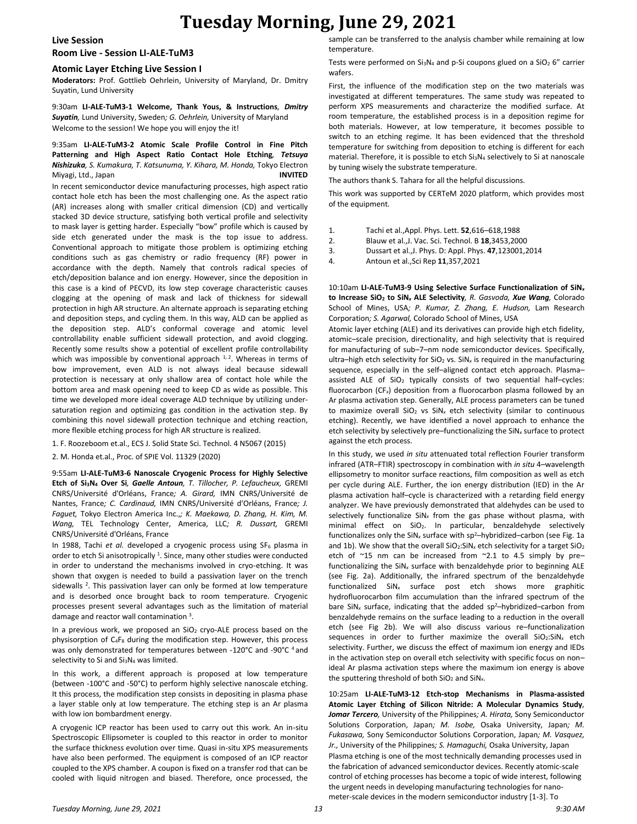### **Live Session**

### **Room Live - Session LI-ALE-TuM3**

### **Atomic Layer Etching Live Session I**

**Moderators:** Prof. Gottlieb Oehrlein, University of Maryland, Dr. Dmitry Suyatin, Lund University

9:30am **LI-ALE-TuM3-1 Welcome, Thank Yous, & Instructions***, Dmitry Suyatin,* Lund University, Sweden*; G. Oehrlein,* University of Maryland Welcome to the session! We hope you will enjoy the it!

#### 9:35am **LI-ALE-TuM3-2 Atomic Scale Profile Control in Fine Pitch Patterning and High Aspect Ratio Contact Hole Etching***, Tetsuya Nishizuka, S. Kumakura, T. Katsunuma, Y. Kihara, M. Honda,* Tokyo Electron Miyagi, Ltd., Japan **INVITED**

In recent semiconductor device manufacturing processes, high aspect ratio contact hole etch has been the most challenging one. As the aspect ratio (AR) increases along with smaller critical dimension (CD) and vertically stacked 3D device structure, satisfying both vertical profile and selectivity to mask layer is getting harder. Especially "bow" profile which is caused by side etch generated under the mask is the top issue to address. Conventional approach to mitigate those problem is optimizing etching conditions such as gas chemistry or radio frequency (RF) power in accordance with the depth. Namely that controls radical species of etch/deposition balance and ion energy. However, since the deposition in this case is a kind of PECVD, its low step coverage characteristic causes clogging at the opening of mask and lack of thickness for sidewall protection in high AR structure. An alternate approach is separating etching and deposition steps, and cycling them. In this way, ALD can be applied as the deposition step. ALD's conformal coverage and atomic level controllability enable sufficient sidewall protection, and avoid clogging. Recently some results show a potential of excellent profile controllability which was impossible by conventional approach  $1, 2$ . Whereas in terms of bow improvement, even ALD is not always ideal because sidewall protection is necessary at only shallow area of contact hole while the bottom area and mask opening need to keep CD as wide as possible. This time we developed more ideal coverage ALD technique by utilizing undersaturation region and optimizing gas condition in the activation step. By combining this novel sidewall protection technique and etching reaction, more flexible etching process for high AR structure is realized.

1. F. Roozeboom et.al., ECS J. Solid State Sci. Technol. 4 N5067 (2015)

2. M. Honda et.al., Proc. of SPIE Vol. 11329 (2020)

9:55am **LI-ALE-TuM3-6 Nanoscale Cryogenic Process for Highly Selective Etch of Si3N<sup>4</sup> Over Si***, Gaelle Antoun, T. Tillocher, P. Lefaucheux,* GREMI CNRS/Université d'Orléans, France*; A. Girard,* IMN CNRS/Université de Nantes, France*; C. Cardinaud,* IMN CNRS/Université d'Orléans, France*; J. Faguet,* Tokyo Electron America Inc.,*; K. Maekawa, D. Zhang, H. Kim, M. Wang,* TEL Technology Center, America, LLC*; R. Dussart,* GREMI CNRS/Université d'Orléans, France

In 1988, Tachi et al. developed a cryogenic process using SF<sub>6</sub> plasma in order to etch Si anisotropically <sup>1</sup>. Since, many other studies were conducted in order to understand the mechanisms involved in cryo-etching. It was shown that oxygen is needed to build a passivation layer on the trench sidewalls <sup>2</sup>. This passivation layer can only be formed at low temperature and is desorbed once brought back to room temperature. Cryogenic processes present several advantages such as the limitation of material damage and reactor wall contamination<sup>3</sup>.

In a previous work, we proposed an  $SiO<sub>2</sub>$  cryo-ALE process based on the physisorption of  $C_4F_8$  during the modification step. However, this process was only demonstrated for temperatures between -120°C and -90°C <sup>4</sup> and selectivity to Si and Si3N<sup>4</sup> was limited.

In this work, a different approach is proposed at low temperature (between -100°C and -50°C) to perform highly selective nanoscale etching. It this process, the modification step consists in depositing in plasma phase a layer stable only at low temperature. The etching step is an Ar plasma with low ion bombardment energy.

A cryogenic ICP reactor has been used to carry out this work. An in-situ Spectroscopic Ellipsometer is coupled to this reactor in order to monitor the surface thickness evolution over time. Quasi in-situ XPS measurements have also been performed. The equipment is composed of an ICP reactor coupled to the XPS chamber. A coupon is fixed on a transfer rod that can be cooled with liquid nitrogen and biased. Therefore, once processed, the

sample can be transferred to the analysis chamber while remaining at low temperature.

Tests were performed on  $Si_3N_4$  and p-Si coupons glued on a  $SiO_2$  6" carrier wafers.

First, the influence of the modification step on the two materials was investigated at different temperatures. The same study was repeated to perform XPS measurements and characterize the modified surface. At room temperature, the established process is in a deposition regime for both materials. However, at low temperature, it becomes possible to switch to an etching regime. It has been evidenced that the threshold temperature for switching from deposition to etching is different for each material. Therefore, it is possible to etch Si3N<sup>4</sup> selectively to Si at nanoscale by tuning wisely the substrate temperature.

The authors thank S. Tahara for all the helpful discussions.

This work was supported by CERTeM 2020 platform, which provides most of the equipment.

- 1. Tachi et al.,Appl. Phys. Lett. **52**,616–618,1988
- 2. Blauw et al.,J. Vac. Sci. Technol. B **18**,3453,2000
- 3. Dussart et al.,J. Phys. D: Appl. Phys. **47**,123001,2014
- 4. Antoun et al.,Sci Rep **11**,357,2021

10:10am **LI-ALE-TuM3-9 Using Selective Surface Functionalization of SiN***<sup>x</sup>* **to Increase SiO<sup>2</sup> to SiN***<sup>x</sup>* **ALE Selectivity***, R. Gasvoda, Xue Wang,* Colorado School of Mines, USA*; P. Kumar, Z. Zhang, E. Hudson,* Lam Research Corporation*; S. Agarwal,* Colorado School of Mines, USA

Atomic layer etching (ALE) and its derivatives can provide high etch fidelity, atomic–scale precision, directionality, and high selectivity that is required for manufacturing of sub–7–nm node semiconductor devices. Specifically, ultra–high etch selectivity for SiO<sub>2</sub> vs. SiN<sub>x</sub> is required in the manufacturing sequence, especially in the self–aligned contact etch approach. Plasma– assisted ALE of  $SiO<sub>2</sub>$  typically consists of two sequential half-cycles: fluorocarbon (CF*x*) deposition from a fluorocarbon plasma followed by an Ar plasma activation step. Generally, ALE process parameters can be tuned to maximize overall SiO<sub>2</sub> vs SiN<sub>x</sub> etch selectivity (similar to continuous etching). Recently, we have identified a novel approach to enhance the etch selectivity by selectively pre–functionalizing the SiN*<sup>x</sup>* surface to protect against the etch process.

In this study, we used *in situ* attenuated total reflection Fourier transform infrared (ATR–FTIR) spectroscopy in combination with *in situ* 4–wavelength ellipsometry to monitor surface reactions, film composition as well as etch per cycle during ALE. Further, the ion energy distribution (IED) in the Ar plasma activation half–cycle is characterized with a retarding field energy analyzer. We have previously demonstrated that aldehydes can be used to selectively functionalize SiN*<sup>x</sup>* from the gas phase without plasma, with minimal effect on SiO2. In particular, benzaldehyde selectively functionalizes only the SiN<sub>x</sub> surface with sp<sup>2</sup>-hybridized-carbon (see Fig. 1a and 1b). We show that the overall  $SiO<sub>2</sub>:SiN<sub>x</sub>$  etch selectivity for a target  $SiO<sub>2</sub>$ etch of ~15 nm can be increased from ~2.1 to 4.5 simply by pre– functionalizing the SiN*<sup>x</sup>* surface with benzaldehyde prior to beginning ALE (see Fig. 2a). Additionally, the infrared spectrum of the benzaldehyde functionalized SiN*<sup>x</sup>* surface post etch shows more graphitic hydrofluorocarbon film accumulation than the infrared spectrum of the bare SiN<sub>x</sub> surface, indicating that the added sp<sup>2</sup>-hybridized-carbon from benzaldehyde remains on the surface leading to a reduction in the overall etch (see Fig 2b). We will also discuss various re–functionalization sequences in order to further maximize the overall SiO<sub>2</sub>:SiN<sub>x</sub> etch selectivity. Further, we discuss the effect of maximum ion energy and IEDs in the activation step on overall etch selectivity with specific focus on non– ideal Ar plasma activation steps where the maximum ion energy is above the sputtering threshold of both SiO<sub>2</sub> and SiN<sub>x</sub>.

10:25am **LI-ALE-TuM3-12 Etch-stop Mechanisms in Plasma-assisted Atomic Layer Etching of Silicon Nitride: A Molecular Dynamics Study***, Jomar Tercero,* University of the Philippines*; A. Hirata,* Sony Semiconductor Solutions Corporation, Japan*; M. Isobe,* Osaka University, Japan*; M. Fukasawa,* Sony Semiconductor Solutions Corporation, Japan*; M. Vasquez, Jr.,* University of the Philippines*; S. Hamaguchi,* Osaka University, Japan Plasma etching is one of the most technically demanding processes used in the fabrication of advanced semiconductor devices. Recently atomic-scale control of etching processes has become a topic of wide interest, following the urgent needs in developing manufacturing technologies for nanometer-scale devices in the modern semiconductor industry [1-3]. To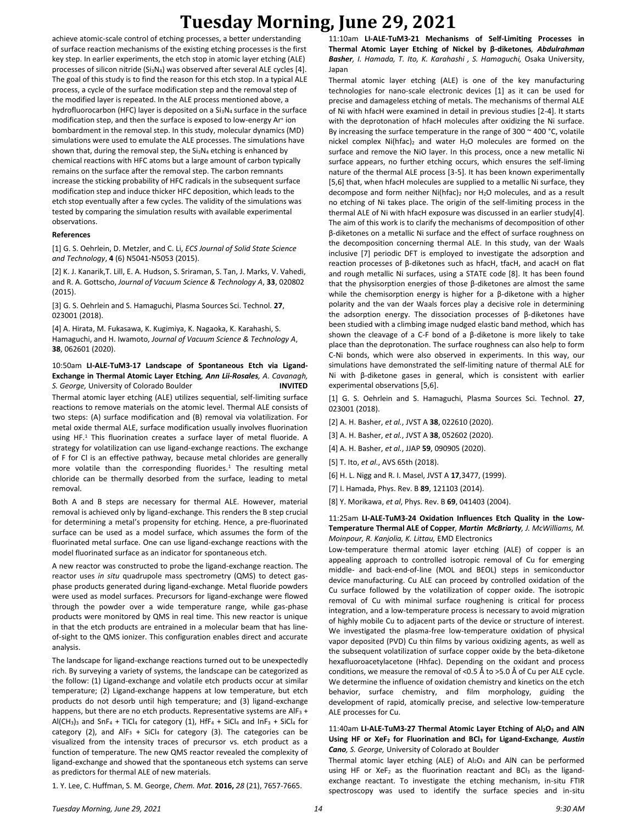achieve atomic-scale control of etching processes, a better understanding of surface reaction mechanisms of the existing etching processes is the first key step. In earlier experiments, the etch stop in atomic layer etching (ALE) processes of silicon nitride (Si<sub>3</sub>N<sub>4</sub>) was observed after several ALE cycles [4]. The goal of this study is to find the reason for this etch stop. In a typical ALE process, a cycle of the surface modification step and the removal step of the modified layer is repeated. In the ALE process mentioned above, a hydrofluorocarbon (HFC) layer is deposited on a Si<sub>3</sub>N<sub>4</sub> surface in the surface modification step, and then the surface is exposed to low-energy Ar<sup>+</sup> ion bombardment in the removal step. In this study, molecular dynamics (MD) simulations were used to emulate the ALE processes. The simulations have shown that, during the removal step, the  $Si<sub>3</sub>N<sub>4</sub>$  etching is enhanced by chemical reactions with HFC atoms but a large amount of carbon typically remains on the surface after the removal step. The carbon remnants increase the sticking probability of HFC radicals in the subsequent surface modification step and induce thicker HFC deposition, which leads to the etch stop eventually after a few cycles. The validity of the simulations was tested by comparing the simulation results with available experimental observations.

#### **References**

[1] G. S. Oehrlein, D. Metzler, and C. Li, *ECS Journal of Solid State Science and Technology*, **4** (6) N5041-N5053 (2015).

[2] K. J. Kanarik,T. Lill, E. A. Hudson, S. Sriraman, S. Tan, J. Marks, V. Vahedi, and R. A. Gottscho, *Journal of Vacuum Science & Technology A*, **33**, 020802 (2015).

[3] G. S. Oehrlein and S. Hamaguchi, Plasma Sources Sci. Technol. **27**, 023001 (2018).

[4] A. Hirata, M. Fukasawa, K. Kugimiya, K. Nagaoka, K. Karahashi, S. Hamaguchi, and H. Iwamoto, *Journal of Vacuum Science & Technology A*, **38**, 062601 (2020).

## 10:50am **LI-ALE-TuM3-17 Landscape of Spontaneous Etch via Ligand-Exchange in Thermal Atomic Layer Etching***, Ann Lii-Rosales, A. Cavanagh, S. George,* University of Colorado Boulder **INVITED**

Thermal atomic layer etching (ALE) utilizes sequential, self-limiting surface reactions to remove materials on the atomic level. Thermal ALE consists of two steps: (A) surface modification and (B) removal via volatilization. For metal oxide thermal ALE, surface modification usually involves fluorination using HF.<sup>1</sup> This fluorination creates a surface layer of metal fluoride. A strategy for volatilization can use ligand-exchange reactions. The exchange of F for Cl is an effective pathway, because metal chlorides are generally more volatile than the corresponding fluorides.<sup>1</sup> The resulting metal chloride can be thermally desorbed from the surface, leading to metal removal.

Both A and B steps are necessary for thermal ALE. However, material removal is achieved only by ligand-exchange. This renders the B step crucial for determining a metal's propensity for etching. Hence, a pre-fluorinated surface can be used as a model surface, which assumes the form of the fluorinated metal surface. One can use ligand-exchange reactions with the model fluorinated surface as an indicator for spontaneous etch.

A new reactor was constructed to probe the ligand-exchange reaction. The reactor uses *in situ* quadrupole mass spectrometry (QMS) to detect gasphase products generated during ligand-exchange. Metal fluoride powders were used as model surfaces. Precursors for ligand-exchange were flowed through the powder over a wide temperature range, while gas-phase products were monitored by QMS in real time. This new reactor is unique in that the etch products are entrained in a molecular beam that has lineof-sight to the QMS ionizer. This configuration enables direct and accurate analysis.

The landscape for ligand-exchange reactions turned out to be unexpectedly rich. By surveying a variety of systems, the landscape can be categorized as the follow: (1) Ligand-exchange and volatile etch products occur at similar temperature; (2) Ligand-exchange happens at low temperature, but etch products do not desorb until high temperature; and (3) ligand-exchange happens, but there are no etch products. Representative systems are  $AIF<sub>3</sub> +$ Al(CH<sub>3</sub>)<sub>3</sub> and SnF<sub>4</sub> + TiCl<sub>4</sub> for category (1), HfF<sub>4</sub> + SiCl<sub>4</sub> and InF<sub>3</sub> + SiCl<sub>4</sub> for category (2), and  $AlF_3$  + SiCl<sub>4</sub> for category (3). The categories can be visualized from the intensity traces of precursor vs. etch product as a function of temperature. The new QMS reactor revealed the complexity of ligand-exchange and showed that the spontaneous etch systems can serve as predictors for thermal ALE of new materials.

1. Y. Lee, C. Huffman, S. M. George, *Chem. Mat.* **2016,** *28* (21), 7657-7665.

11:10am **LI-ALE-TuM3-21 Mechanisms of Self-Limiting Processes in Thermal Atomic Layer Etching of Nickel by β-diketones***, Abdulrahman Basher, I. Hamada, T. Ito, K. Karahashi , S. Hamaguchi,* Osaka University, Japan

Thermal atomic layer etching (ALE) is one of the key manufacturing technologies for nano-scale electronic devices [1] as it can be used for precise and damageless etching of metals. The mechanisms of thermal ALE of Ni with hfacH were examined in detail in previous studies [2-4]. It starts with the deprotonation of hfacH molecules after oxidizing the Ni surface. By increasing the surface temperature in the range of 300  $\sim$  400 °C, volatile nickel complex  $Ni(hfac)_{2}$  and water  $H_{2}O$  molecules are formed on the surface and remove the NiO layer. In this process, once a new metallic Ni surface appears, no further etching occurs, which ensures the self-liming nature of the thermal ALE process [3-5]. It has been known experimentally [5,6] that, when hfacH molecules are supplied to a metallic Ni surface, they decompose and form neither Ni(hfac)<sub>2</sub> nor  $H_2O$  molecules, and as a result no etching of Ni takes place. The origin of the self-limiting process in the thermal ALE of Ni with hfacH exposure was discussed in an earlier study[4]. The aim of this work is to clarify the mechanisms of decomposition of other β-diketones on a metallic Ni surface and the effect of surface roughness on the decomposition concerning thermal ALE. In this study, van der Waals inclusive [7] periodic DFT is employed to investigate the adsorption and reaction processes of β-diketones such as hfacH, tfacH, and acacH on flat and rough metallic Ni surfaces, using a STATE code [8]. It has been found that the physisorption energies of those β-diketones are almost the same while the chemisorption energy is higher for a β-diketone with a higher polarity and the van der Waals forces play a decisive role in determining the adsorption energy. The dissociation processes of β-diketones have been studied with a climbing image nudged elastic band method, which has shown the cleavage of a C-F bond of a β-diketone is more likely to take place than the deprotonation. The surface roughness can also help to form C-Ni bonds, which were also observed in experiments. In this way, our simulations have demonstrated the self-limiting nature of thermal ALE for Ni with β-diketone gases in general, which is consistent with earlier experimental observations [5,6].

[1] G. S. Oehrlein and S. Hamaguchi, Plasma Sources Sci. Technol. **27**, 023001 (2018).

- [2] A. H. Basher, *et al.*, JVST A **38**, 022610 (2020).
- [3] A. H. Basher, *et al.*, JVST A **38**, 052602 (2020).
- [4] A. H. Basher, *et al.*, JJAP **59**, 090905 (2020).
- [5] T. Ito, *et al*., AVS 65th (2018).
- [6] H. L. Nigg and R. I. Masel, JVST A **17**,3477, (1999).
- [7] I. Hamada, Phys. Rev. B **89**, 121103 (2014).
- [8] Y. Morikawa, *et al*, Phys. Rev. B **69**, 041403 (2004).

#### 11:25am **LI-ALE-TuM3-24 Oxidation Influences Etch Quality in the Low-Temperature Thermal ALE of Copper***, Martin McBriarty, J. McWilliams, M. Moinpour, R. Kanjolia, K. Littau,* EMD Electronics

Low-temperature thermal atomic layer etching (ALE) of copper is an appealing approach to controlled isotropic removal of Cu for emerging middle- and back-end-of-line (MOL and BEOL) steps in semiconductor device manufacturing. Cu ALE can proceed by controlled oxidation of the Cu surface followed by the volatilization of copper oxide. The isotropic removal of Cu with minimal surface roughening is critical for process integration, and a low-temperature process is necessary to avoid migration of highly mobile Cu to adjacent parts of the device or structure of interest. We investigated the plasma-free low-temperature oxidation of physical vapor deposited (PVD) Cu thin films by various oxidizing agents, as well as the subsequent volatilization of surface copper oxide by the beta-diketone hexafluoroacetylacetone (Hhfac). Depending on the oxidant and process conditions, we measure the removal of <0.5 Å to >5.0 Å of Cu per ALE cycle. We determine the influence of oxidation chemistry and kinetics on the etch behavior, surface chemistry, and film morphology, guiding the development of rapid, atomically precise, and selective low-temperature ALE processes for Cu.

#### 11:40am **LI-ALE-TuM3-27 Thermal Atomic Layer Etching of Al2O<sup>3</sup> and AlN Using HF or XeF<sup>2</sup> for Fluorination and BCl<sup>3</sup> for Ligand-Exchange***, Austin Cano, S. George,* University of Colorado at Boulder

Thermal atomic layer etching (ALE) of Al<sub>2</sub>O<sub>3</sub> and AlN can be performed using HF or  $XeF_2$  as the fluorination reactant and BCl<sub>3</sub> as the ligandexchange reactant. To investigate the etching mechanism, in-situ FTIR spectroscopy was used to identify the surface species and in-situ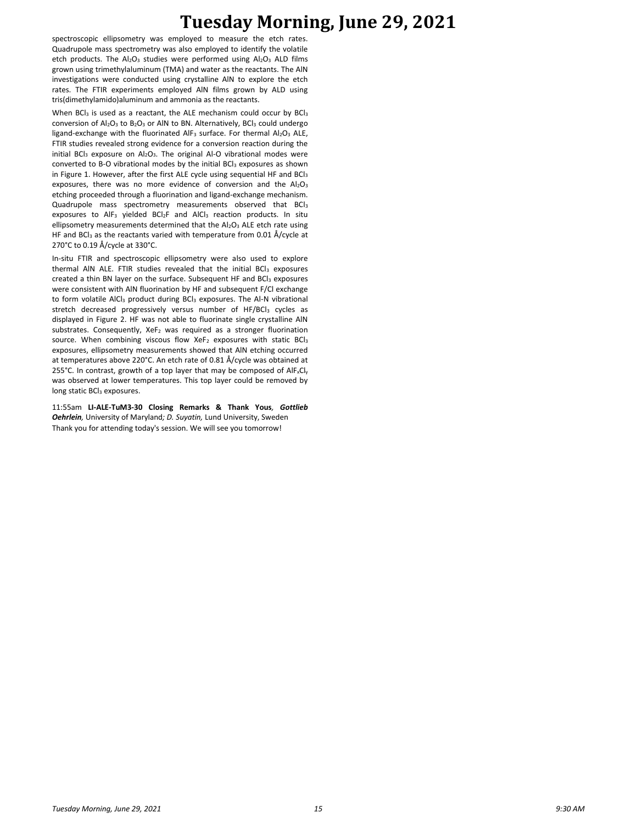spectroscopic ellipsometry was employed to measure the etch rates. Quadrupole mass spectrometry was also employed to identify the volatile etch products. The  $Al_2O_3$  studies were performed using  $Al_2O_3$  ALD films grown using trimethylaluminum (TMA) and water as the reactants. The AlN investigations were conducted using crystalline AlN to explore the etch rates. The FTIR experiments employed AlN films grown by ALD using tris(dimethylamido)aluminum and ammonia as the reactants.

When BCl<sub>3</sub> is used as a reactant, the ALE mechanism could occur by BCl<sub>3</sub> conversion of  $Al_2O_3$  to  $B_2O_3$  or AIN to BN. Alternatively, BCI<sub>3</sub> could undergo ligand-exchange with the fluorinated AlF<sub>3</sub> surface. For thermal Al<sub>2</sub>O<sub>3</sub> ALE, FTIR studies revealed strong evidence for a conversion reaction during the initial BCl<sub>3</sub> exposure on  $Al_2O_3$ . The original Al-O vibrational modes were converted to B-O vibrational modes by the initial BCl<sub>3</sub> exposures as shown in Figure 1. However, after the first ALE cycle using sequential HF and  $BCI<sub>3</sub>$ exposures, there was no more evidence of conversion and the  $Al_2O_3$ etching proceeded through a fluorination and ligand-exchange mechanism. Quadrupole mass spectrometry measurements observed that BCl<sup>3</sup> exposures to  $AIF_3$  yielded  $BCl_2F$  and  $AICI_3$  reaction products. In situ ellipsometry measurements determined that the  $Al_2O_3$  ALE etch rate using HF and BC $I_3$  as the reactants varied with temperature from 0.01 Å/cycle at 270°C to 0.19 Å/cycle at 330°C.

In-situ FTIR and spectroscopic ellipsometry were also used to explore thermal AIN ALE. FTIR studies revealed that the initial BCl3 exposures created a thin BN layer on the surface. Subsequent HF and BCl<sub>3</sub> exposures were consistent with AlN fluorination by HF and subsequent F/Cl exchange to form volatile AlCl<sub>3</sub> product during BCl<sub>3</sub> exposures. The Al-N vibrational stretch decreased progressively versus number of HF/BCl3 cycles as displayed in Figure 2. HF was not able to fluorinate single crystalline AlN substrates. Consequently, XeF<sub>2</sub> was required as a stronger fluorination source. When combining viscous flow XeF<sub>2</sub> exposures with static BCl<sub>3</sub> exposures, ellipsometry measurements showed that AlN etching occurred at temperatures above 220°C. An etch rate of 0.81 Å/cycle was obtained at 255°C. In contrast, growth of a top layer that may be composed of  $AIF_xCl_y$ was observed at lower temperatures. This top layer could be removed by long static BCl<sub>3</sub> exposures.

11:55am **LI-ALE-TuM3-30 Closing Remarks & Thank Yous***, Gottlieb Oehrlein,* University of Maryland*; D. Suyatin,* Lund University, Sweden Thank you for attending today's session. We will see you tomorrow!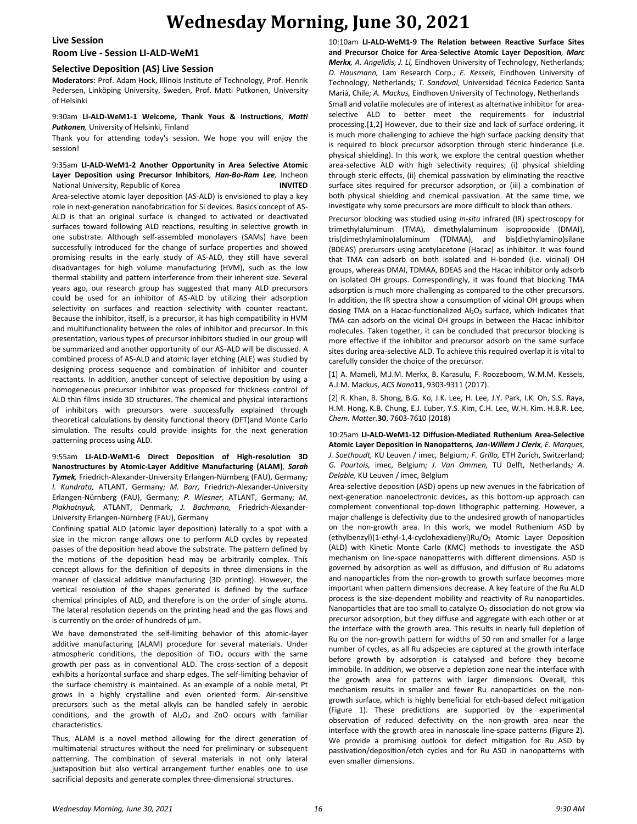## **Live Session**

## **Room Live - Session LI-ALD-WeM1**

#### **Selective Deposition (AS) Live Session**

**Moderators:** Prof. Adam Hock, Illinois Institute of Technology, Prof. Henrik Pedersen, Linköping University, Sweden, Prof. Matti Putkonen, University of Helsinki

#### 9:30am **LI-ALD-WeM1-1 Welcome, Thank Yous & Instructions***, Matti Putkonen,* University of Helsinki, Finland

Thank you for attending today's session. We hope you will enjoy the session!

## 9:35am **LI-ALD-WeM1-2 Another Opportunity in Area Selective Atomic Layer Deposition using Precursor Inhibitors***, Han-Bo-Ram Lee,* Incheon National University, Republic of Korea **INVITED**

Area-selective atomic layer deposition (AS-ALD) is envisioned to play a key role in next-generation nanofabrication for Si devices. Basics concept of AS-ALD is that an original surface is changed to activated or deactivated surfaces toward following ALD reactions, resulting in selective growth in one substrate. Although self-assembled monolayers (SAMs) have been successfully introduced for the change of surface properties and showed promising results in the early study of AS-ALD, they still have several disadvantages for high volume manufacturing (HVM), such as the low thermal stability and pattern interference from their inherent size. Several years ago, our research group has suggested that many ALD precursors could be used for an inhibitor of AS-ALD by utilizing their adsorption selectivity on surfaces and reaction selectivity with counter reactant. Because the inhibitor, itself, is a precursor, it has high compatibility in HVM and multifunctionality between the roles of inhibitor and precursor. In this presentation, various types of precursor inhibitors studied in our group will be summarized and another opportunity of our AS-ALD will be discussed. A combined process of AS-ALD and atomic layer etching (ALE) was studied by designing process sequence and combination of inhibitor and counter reactants. In addition, another concept of selective deposition by using a homogeneous precursor inhibitor was proposed for thickness control of ALD thin films inside 3D structures. The chemical and physical interactions of inhibitors with precursors were successfully explained through theoretical calculations by density functional theory (DFT)and Monte Carlo simulation. The results could provide insights for the next generation patterning process using ALD.

9:55am **LI-ALD-WeM1-6 Direct Deposition of High-resolution 3D Nanostructures by Atomic-Layer Additive Manufacturing (ALAM)***, Sarah Tymek,* Friedrich-Alexander-University Erlangen-Nürnberg (FAU), Germany*; I. Kundrata,* ATLANT, Germany*; M. Barr,* Friedrich-Alexander-University Erlangen-Nürnberg (FAU), Germany*; P. Wiesner,* ATLANT, Germany*; M. Plakhotnyuk,* ATLANT, Denmark*; J. Bachmann,* Friedrich-Alexander-University Erlangen-Nürnberg (FAU), Germany

Confining spatial ALD (atomic layer deposition) laterally to a spot with a size in the micron range allows one to perform ALD cycles by repeated passes of the deposition head above the substrate. The pattern defined by the motions of the deposition head may be arbitrarily complex. This concept allows for the definition of deposits in three dimensions in the manner of classical additive manufacturing (3D printing). However, the vertical resolution of the shapes generated is defined by the surface chemical principles of ALD, and therefore is on the order of single atoms. The lateral resolution depends on the printing head and the gas flows and is currently on the order of hundreds of µm.

We have demonstrated the self-limiting behavior of this atomic-layer additive manufacturing (ALAM) procedure for several materials. Under atmospheric conditions, the deposition of  $TiO<sub>2</sub>$  occurs with the same growth per pass as in conventional ALD. The cross-section of a deposit exhibits a horizontal surface and sharp edges. The self-limiting behavior of the surface chemistry is maintained. As an example of a noble metal, Pt grows in a highly crystalline and even oriented form. Air-sensitive precursors such as the metal alkyls can be handled safely in aerobic conditions, and the growth of  $Al_2O_3$  and ZnO occurs with familiar characteristics.

Thus, ALAM is a novel method allowing for the direct generation of multimaterial structures without the need for preliminary or subsequent patterning. The combination of several materials in not only lateral juxtaposition but also vertical arrangement further enables one to use sacrificial deposits and generate complex three-dimensional structures.

10:10am **LI-ALD-WeM1-9 The Relation between Reactive Surface Sites and Precursor Choice for Area-Selective Atomic Layer Deposition***, Marc Merkx, A. Angelidis, J. Li,* Eindhoven University of Technology, Netherlands*; D. Hausmann,* Lam Research Corp.*; E. Kessels,* Eindhoven University of Technology, Netherlands*; T. Sandoval,* Universidad Técnica Federico Santa Mariá, Chile*; A. Mackus,* Eindhoven University of Technology, Netherlands Small and volatile molecules are of interest as alternative inhibitor for areaselective ALD to better meet the requirements for industrial processing.[1,2] However, due to their size and lack of surface ordering, it is much more challenging to achieve the high surface packing density that is required to block precursor adsorption through steric hinderance (i.e. physical shielding). In this work, we explore the central question whether area-selective ALD with high selectivity requires; (i) physical shielding through steric effects, (ii) chemical passivation by eliminating the reactive surface sites required for precursor adsorption, or (iii) a combination of both physical shielding and chemical passivation. At the same time, we investigate why some precursors are more difficult to block than others.

Precursor blocking was studied using *in-situ* infrared (IR) spectroscopy for trimethylaluminum (TMA), dimethylaluminum isopropoxide (DMAI), tris(dimethylamino)aluminum (TDMAA), and bis(diethylamino)silane (BDEAS) precursors using acetylacetone (Hacac) as inhibitor. It was found that TMA can adsorb on both isolated and H-bonded (i.e. vicinal) OH groups, whereas DMAI, TDMAA, BDEAS and the Hacac inhibitor only adsorb on isolated OH groups. Correspondingly, it was found that blocking TMA adsorption is much more challenging as compared to the other precursors. In addition, the IR spectra show a consumption of vicinal OH groups when dosing TMA on a Hacac-functionalized  $Al_2O_3$  surface, which indicates that TMA can adsorb on the vicinal OH groups in between the Hacac inhibitor molecules. Taken together, it can be concluded that precursor blocking is more effective if the inhibitor and precursor adsorb on the same surface sites during area-selective ALD. To achieve this required overlap it is vital to carefully consider the choice of the precursor.

[1] A. Mameli, M.J.M. Merkx, B. Karasulu, F. Roozeboom, W.M.M. Kessels, A.J.M. Mackus, *ACS Nano***11**, 9303-9311 (2017).

[2] R. Khan, B. Shong, B.G. Ko, J.K. Lee, H. Lee, J.Y. Park, I.K. Oh, S.S. Raya, H.M. Hong, K.B. Chung, E.J. Luber, Y.S. Kim, C.H. Lee, W.H. Kim. H.B.R. Lee, *Chem. Matter.***30**, 7603-7610 (2018)

10:25am **LI-ALD-WeM1-12 Diffusion-Mediated Ruthenium Area-Selective Atomic Layer Deposition in Nanopatterns***, Jan-Willem J Clerix, E. Marques, J. Soethoudt,* KU Leuven / imec, Belgium*; F. Grillo,* ETH Zurich, Switzerland*; G. Pourtois,* imec, Belgium*; J. Van Ommen,* TU Delft, Netherlands*; A. Delabie,* KU Leuven / imec, Belgium

Area-selective deposition (ASD) opens up new avenues in the fabrication of next-generation nanoelectronic devices, as this bottom-up approach can complement conventional top-down lithographic patterning. However, a major challenge is defectivity due to the undesired growth of nanoparticles on the non-growth area. In this work, we model Ruthenium ASD by (ethylbenzyl)(1-ethyl-1,4-cyclohexadienyl)Ru/O<sup>2</sup> Atomic Layer Deposition (ALD) with Kinetic Monte Carlo (KMC) methods to investigate the ASD mechanism on line-space nanopatterns with different dimensions. ASD is governed by adsorption as well as diffusion, and diffusion of Ru adatoms and nanoparticles from the non-growth to growth surface becomes more important when pattern dimensions decrease. A key feature of the Ru ALD process is the size-dependent mobility and reactivity of Ru nanoparticles. Nanoparticles that are too small to catalyze  $O<sub>2</sub>$  dissociation do not grow via precursor adsorption, but they diffuse and aggregate with each other or at the interface with the growth area. This results in nearly full depletion of Ru on the non-growth pattern for widths of 50 nm and smaller for a large number of cycles, as all Ru adspecies are captured at the growth interface before growth by adsorption is catalysed and before they become immobile. In addition, we observe a depletion zone near the interface with the growth area for patterns with larger dimensions. Overall, this mechanism results in smaller and fewer Ru nanoparticles on the nongrowth surface, which is highly beneficial for etch-based defect mitigation (Figure 1). These predictions are supported by the experimental observation of reduced defectivity on the non-growth area near the interface with the growth area in nanoscale line-space patterns (Figure 2). We provide a promising outlook for defect mitigation for Ru ASD by passivation/deposition/etch cycles and for Ru ASD in nanopatterns with even smaller dimensions.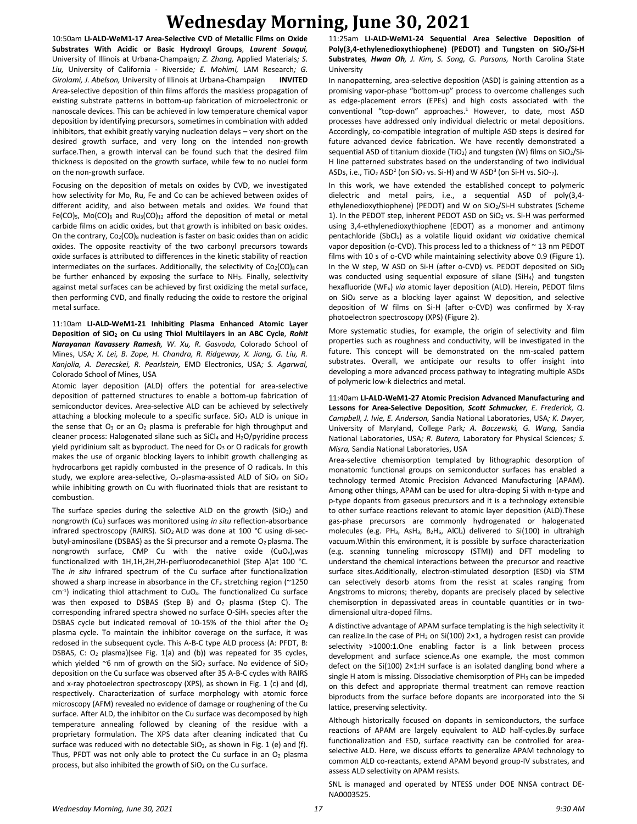10:50am **LI-ALD-WeM1-17 Area-Selective CVD of Metallic Films on Oxide Substrates With Acidic or Basic Hydroxyl Groups***, Laurent Souqui,*  University of Illinois at Urbana-Champaign*; Z. Zhang,* Applied Materials*; S. Liu,* University of California - Riverside*; E. Mohimi,* LAM Research*; G. Girolami, J. Abelson,* University of Illinois at Urbana-Champaign **INVITED** Area-selective deposition of thin films affords the maskless propagation of existing substrate patterns in bottom-up fabrication of microelectronic or nanoscale devices. This can be achieved in low temperature chemical vapor deposition by identifying precursors, sometimes in combination with added inhibitors, that exhibit greatly varying nucleation delays – very short on the desired growth surface, and very long on the intended non-growth surface.Then, a growth interval can be found such that the desired film thickness is deposited on the growth surface, while few to no nuclei form on the non-growth surface.

Focusing on the deposition of metals on oxides by CVD, we investigated how selectivity for Mo, Ru, Fe and Co can be achieved between oxides of different acidity, and also between metals and oxides. We found that Fe(CO)<sub>5</sub>, Mo(CO)<sub>6</sub> and Ru<sub>3</sub>(CO)<sub>12</sub> afford the deposition of metal or metal carbide films on acidic oxides, but that growth is inhibited on basic oxides. On the contrary,  $Co<sub>2</sub>(CO)<sub>8</sub>$  nucleation is faster on basic oxides than on acidic oxides. The opposite reactivity of the two carbonyl precursors towards oxide surfaces is attributed to differences in the kinetic stability of reaction intermediates on the surfaces. Additionally, the selectivity of  $Co<sub>2</sub>(CO)<sub>8</sub>$  can be further enhanced by exposing the surface to NH<sub>3</sub>. Finally, selectivity against metal surfaces can be achieved by first oxidizing the metal surface, then performing CVD, and finally reducing the oxide to restore the original metal surface.

11:10am **LI-ALD-WeM1-21 Inhibiting Plasma Enhanced Atomic Layer Deposition of SiO<sup>2</sup> on Cu using Thiol Multilayers in an ABC Cycle***, Rohit Narayanan Kavassery Ramesh, W. Xu, R. Gasvoda,* Colorado School of Mines, USA*; X. Lei, B. Zope, H. Chandra, R. Ridgeway, X. Jiang, G. Liu, R. Kanjolia, A. Derecskei, R. Pearlstein,* EMD Electronics, USA*; S. Agarwal,*  Colorado School of Mines, USA

Atomic layer deposition (ALD) offers the potential for area-selective deposition of patterned structures to enable a bottom-up fabrication of semiconductor devices. Area-selective ALD can be achieved by selectively attaching a blocking molecule to a specific surface. SiO<sub>2</sub> ALD is unique in the sense that  $O_3$  or an  $O_2$  plasma is preferable for high throughput and cleaner process: Halogenated silane such as  $SiCl<sub>4</sub>$  and  $H<sub>2</sub>O/p$ yridine process yield pyridinium salt as byproduct. The need for  $O_3$  or O radicals for growth makes the use of organic blocking layers to inhibit growth challenging as hydrocarbons get rapidly combusted in the presence of O radicals. In this study, we explore area-selective,  $O_2$ -plasma-assisted ALD of SiO<sub>2</sub> on SiO<sub>2</sub> while inhibiting growth on Cu with fluorinated thiols that are resistant to combustion.

The surface species during the selective ALD on the growth  $(SiO<sub>2</sub>)$  and nongrowth (Cu) surfaces was monitored using *in situ* reflection-absorbance infrared spectroscopy (RAIRS). SiO2 ALD was done at 100 °C using di-secbutyl-aminosilane (DSBAS) as the Si precursor and a remote  $O<sub>2</sub>$  plasma. The nongrowth surface, CMP Cu with the native oxide (CuO*x*),was functionalized with 1H,1H,2H,2H-perfluorodecanethiol (Step A)at 100 °C. The *in situ* infrared spectrum of the Cu surface after functionalization showed a sharp increase in absorbance in the CF<sub>2</sub> stretching region ( $\approx$ 1250 cm-1 ) indicating thiol attachment to CuO*x*. The functionalized Cu surface was then exposed to DSBAS (Step B) and  $O<sub>2</sub>$  plasma (Step C). The corresponding infrared spectra showed no surface O-SiH<sup>3</sup> species after the DSBAS cycle but indicated removal of 10-15% of the thiol after the O<sub>2</sub> plasma cycle. To maintain the inhibitor coverage on the surface, it was redosed in the subsequent cycle. This A-B-C type ALD process (A: PFDT, B: DSBAS, C: O<sub>2</sub> plasma)(see Fig. 1(a) and (b)) was repeated for 35 cycles, which yielded ~6 nm of growth on the  $SiO<sub>2</sub>$  surface. No evidence of  $SiO<sub>2</sub>$ deposition on the Cu surface was observed after 35 A-B-C cycles with RAIRS and x-ray photoelectron spectroscopy (XPS), as shown in Fig. 1 (c) and (d), respectively. Characterization of surface morphology with atomic force microscopy (AFM) revealed no evidence of damage or roughening of the Cu surface. After ALD, the inhibitor on the Cu surface was decomposed by high temperature annealing followed by cleaning of the residue with a proprietary formulation. The XPS data after cleaning indicated that Cu surface was reduced with no detectable SiO<sub>2</sub>, as shown in Fig. 1 (e) and (f). Thus, PFDT was not only able to protect the Cu surface in an  $O<sub>2</sub>$  plasma process, but also inhibited the growth of  $SiO<sub>2</sub>$  on the Cu surface.

11:25am **LI-ALD-WeM1-24 Sequential Area Selective Deposition of Poly(3,4-ethylenedioxythiophene) (PEDOT) and Tungsten on SiO2/Si-H Substrates***, Hwan Oh, J. Kim, S. Song, G. Parsons,* North Carolina State University

In nanopatterning, area-selective deposition (ASD) is gaining attention as a promising vapor-phase "bottom-up" process to overcome challenges such as edge-placement errors (EPEs) and high costs associated with the conventional "top-down" approaches.<sup>1</sup> However, to date, most ASD processes have addressed only individual dielectric or metal depositions. Accordingly, co-compatible integration of multiple ASD steps is desired for future advanced device fabrication. We have recently demonstrated a sequential ASD of titanium dioxide (TiO<sub>2</sub>) and tungsten (W) films on  $SiO<sub>2</sub>/Si-$ H line patterned substrates based on the understanding of two individual ASDs, i.e., TiO<sub>2</sub> ASD<sup>2</sup> (on SiO<sub>2</sub> vs. Si-H) and W ASD<sup>3</sup> (on Si-H vs. SiO-<sub>2</sub>).

In this work, we have extended the established concept to polymeric dielectric and metal pairs, i.e., a sequential ASD of poly(3,4 ethylenedioxythiophene) (PEDOT) and W on SiO2/Si-H substrates (Scheme 1). In the PEDOT step, inherent PEDOT ASD on  $SiO<sub>2</sub>$  vs. Si-H was performed using 3,4-ethylenedioxythiophene (EDOT) as a monomer and antimony pentachloride (SbCl5) as a volatile liquid oxidant *via* oxidative chemical vapor deposition (o-CVD). This process led to a thickness of ~ 13 nm PEDOT films with 10 s of o-CVD while maintaining selectivity above 0.9 (Figure 1). In the W step, W ASD on Si-H (after o-CVD) vs. PEDOT deposited on SiO<sub>2</sub> was conducted using sequential exposure of silane (SiH4) and tungsten hexafluoride (WF6) *via* atomic layer deposition (ALD). Herein, PEDOT films on SiO<sup>2</sup> serve as a blocking layer against W deposition, and selective deposition of W films on Si-H (after o-CVD) was confirmed by X-ray photoelectron spectroscopy (XPS) (Figure 2).

More systematic studies, for example, the origin of selectivity and film properties such as roughness and conductivity, will be investigated in the future. This concept will be demonstrated on the nm-scaled pattern substrates. Overall, we anticipate our results to offer insight into developing a more advanced process pathway to integrating multiple ASDs of polymeric low-k dielectrics and metal.

11:40am **LI-ALD-WeM1-27 Atomic Precision Advanced Manufacturing and Lessons for Area-Selective Deposition***, Scott Schmucker, E. Frederick, Q. Campbell, J. Ivie, E. Anderson,* Sandia National Laboratories, USA*; K. Dwyer,*  University of Maryland, College Park*; A. Baczewski, G. Wang,* Sandia National Laboratories, USA*; R. Butera,* Laboratory for Physical Sciences*; S. Misra,* Sandia National Laboratories, USA

Area-selective chemisorption templated by lithographic desorption of monatomic functional groups on semiconductor surfaces has enabled a technology termed Atomic Precision Advanced Manufacturing (APAM). Among other things, APAM can be used for ultra-doping Si with n-type and p-type dopants from gaseous precursors and it is a technology extensible to other surface reactions relevant to atomic layer deposition (ALD).These gas-phase precursors are commonly hydrogenated or halogenated molecules (e.g. PH3, AsH3, B2H6, AlCl3) delivered to Si(100) in ultrahigh vacuum.Within this environment, it is possible by surface characterization (e.g. scanning tunneling microscopy (STM)) and DFT modeling to understand the chemical interactions between the precursor and reactive surface sites.Additionally, electron-stimulated desorption (ESD) via STM can selectively desorb atoms from the resist at scales ranging from Angstroms to microns; thereby, dopants are precisely placed by selective chemisorption in depassivated areas in countable quantities or in twodimensional ultra-doped films.

A distinctive advantage of APAM surface templating is the high selectivity it can realize. In the case of PH<sub>3</sub> on Si(100)  $2\times1$ , a hydrogen resist can provide selectivity >1000:1.One enabling factor is a link between process development and surface science.As one example, the most common defect on the Si(100) 2×1:H surface is an isolated dangling bond where a single H atom is missing. Dissociative chemisorption of  $PH_3$  can be impeded on this defect and appropriate thermal treatment can remove reaction biproducts from the surface before dopants are incorporated into the Si lattice, preserving selectivity.

Although historically focused on dopants in semiconductors, the surface reactions of APAM are largely equivalent to ALD half-cycles.By surface functionalization and ESD, surface reactivity can be controlled for areaselective ALD. Here, we discuss efforts to generalize APAM technology to common ALD co-reactants, extend APAM beyond group-IV substrates, and assess ALD selectivity on APAM resists.

SNL is managed and operated by NTESS under DOE NNSA contract DE-NA0003525.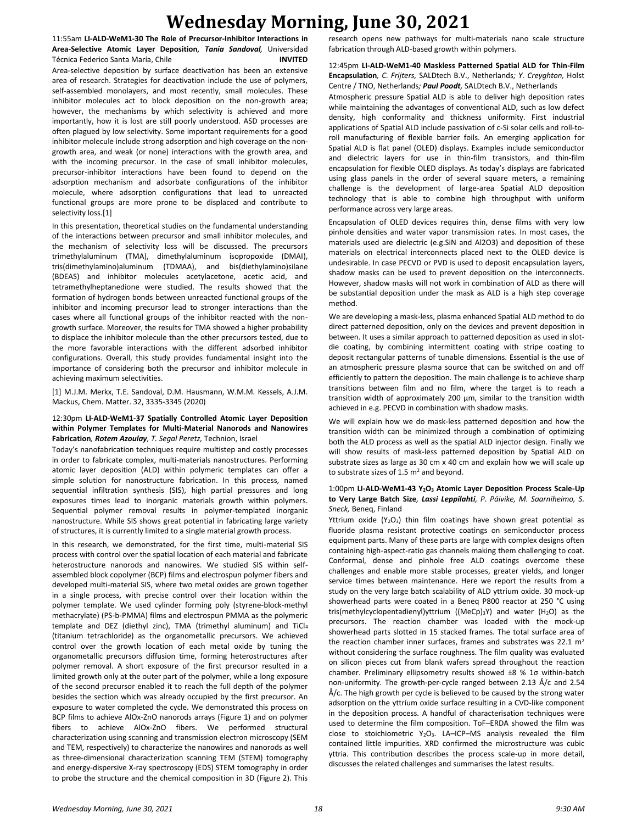11:55am **LI-ALD-WeM1-30 The Role of Precursor-Inhibitor Interactions in Area-Selective Atomic Layer Deposition***, Tania Sandoval,* Universidad Técnica Federico Santa María, Chile **INVITED**

Area-selective deposition by surface deactivation has been an extensive area of research. Strategies for deactivation include the use of polymers, self-assembled monolayers, and most recently, small molecules. These inhibitor molecules act to block deposition on the non-growth area; however, the mechanisms by which selectivity is achieved and more importantly, how it is lost are still poorly understood. ASD processes are often plagued by low selectivity. Some important requirements for a good inhibitor molecule include strong adsorption and high coverage on the nongrowth area, and weak (or none) interactions with the growth area, and with the incoming precursor. In the case of small inhibitor molecules, precursor-inhibitor interactions have been found to depend on the adsorption mechanism and adsorbate configurations of the inhibitor molecule, where adsorption configurations that lead to unreacted functional groups are more prone to be displaced and contribute to selectivity loss.[1]

In this presentation, theoretical studies on the fundamental understanding of the interactions between precursor and small inhibitor molecules, and the mechanism of selectivity loss will be discussed. The precursors trimethylaluminum (TMA), dimethylaluminum isopropoxide (DMAI), tris(dimethylamino)aluminum (TDMAA), and bis(diethylamino)silane (BDEAS) and inhibitor molecules acetylacetone, acetic acid, and tetramethylheptanedione were studied. The results showed that the formation of hydrogen bonds between unreacted functional groups of the inhibitor and incoming precursor lead to stronger interactions than the cases where all functional groups of the inhibitor reacted with the nongrowth surface. Moreover, the results for TMA showed a higher probability to displace the inhibitor molecule than the other precursors tested, due to the more favorable interactions with the different adsorbed inhibitor configurations. Overall, this study provides fundamental insight into the importance of considering both the precursor and inhibitor molecule in achieving maximum selectivities.

[1] M.J.M. Merkx, T.E. Sandoval, D.M. Hausmann, W.M.M. Kessels, A.J.M. Mackus, Chem. Matter. 32, 3335-3345 (2020)

## 12:30pm **LI-ALD-WeM1-37 Spatially Controlled Atomic Layer Deposition within Polymer Templates for Multi-Material Nanorods and Nanowires Fabrication***, Rotem Azoulay, T. Segal Peretz,* Technion, Israel

Today's nanofabrication techniques require multistep and costly processes in order to fabricate complex, multi-materials nanostructures. Performing atomic layer deposition (ALD) within polymeric templates can offer a simple solution for nanostructure fabrication. In this process, named sequential infiltration synthesis (SIS), high partial pressures and long exposures times lead to inorganic materials growth within polymers. Sequential polymer removal results in polymer-templated inorganic nanostructure. While SIS shows great potential in fabricating large variety of structures, it is currently limited to a single material growth process.

In this research, we demonstrated, for the first time, multi-material SIS process with control over the spatial location of each material and fabricate heterostructure nanorods and nanowires. We studied SIS within selfassembled block copolymer (BCP) films and electrospun polymer fibers and developed multi-material SIS, where two metal oxides are grown together in a single process, with precise control over their location within the polymer template. We used cylinder forming poly (styrene-block-methyl methacrylate) (PS-b-PMMA) films and electrospun PMMA as the polymeric template and DEZ (diethyl zinc), TMA (trimethyl aluminum) and TiCl<sup>4</sup> (titanium tetrachloride) as the organometallic precursors. We achieved control over the growth location of each metal oxide by tuning the organometallic precursors diffusion time, forming heterostructures after polymer removal. A short exposure of the first precursor resulted in a limited growth only at the outer part of the polymer, while a long exposure of the second precursor enabled it to reach the full depth of the polymer besides the section which was already occupied by the first precursor. An exposure to water completed the cycle. We demonstrated this process on BCP films to achieve AlOx-ZnO nanorods arrays (Figure 1) and on polymer fibers to achieve AlOx-ZnO fibers. We performed structural characterization using scanning and transmission electron microscopy (SEM and TEM, respectively) to characterize the nanowires and nanorods as well as three-dimensional characterization scanning TEM (STEM) tomography and energy-dispersive X-ray spectroscopy (EDS) STEM tomography in order to probe the structure and the chemical composition in 3D (Figure 2). This

research opens new pathways for multi-materials nano scale structure fabrication through ALD-based growth within polymers.

### 12:45pm **LI-ALD-WeM1-40 Maskless Patterned Spatial ALD for Thin-Film Encapsulation***, C. Frijters,* SALDtech B.V., Netherlands*; Y. Creyghton,* Holst Centre / TNO, Netherlands*; Paul Poodt,* SALDtech B.V., Netherlands

Atmospheric pressure Spatial ALD is able to deliver high deposition rates while maintaining the advantages of conventional ALD, such as low defect density, high conformality and thickness uniformity. First industrial applications of Spatial ALD include passivation of c-Si solar cells and roll-toroll manufacturing of flexible barrier foils. An emerging application for Spatial ALD is flat panel (OLED) displays. Examples include semiconductor and dielectric layers for use in thin-film transistors, and thin-film encapsulation for flexible OLED displays. As today's displays are fabricated using glass panels in the order of several square meters, a remaining challenge is the development of large-area Spatial ALD deposition technology that is able to combine high throughput with uniform performance across very large areas.

Encapsulation of OLED devices requires thin, dense films with very low pinhole densities and water vapor transmission rates. In most cases, the materials used are dielectric (e.g.SiN and Al2O3) and deposition of these materials on electrical interconnects placed next to the OLED device is undesirable. In case PECVD or PVD is used to deposit encapsulation layers, shadow masks can be used to prevent deposition on the interconnects. However, shadow masks will not work in combination of ALD as there will be substantial deposition under the mask as ALD is a high step coverage method.

We are developing a mask-less, plasma enhanced Spatial ALD method to do direct patterned deposition, only on the devices and prevent deposition in between. It uses a similar approach to patterned deposition as used in slotdie coating, by combining intermittent coating with stripe coating to deposit rectangular patterns of tunable dimensions. Essential is the use of an atmospheric pressure plasma source that can be switched on and off efficiently to pattern the deposition. The main challenge is to achieve sharp transitions between film and no film, where the target is to reach a transition width of approximately 200 µm, similar to the transition width achieved in e.g. PECVD in combination with shadow masks.

We will explain how we do mask-less patterned deposition and how the transition width can be minimized through a combination of optimizing both the ALD process as well as the spatial ALD injector design. Finally we will show results of mask-less patterned deposition by Spatial ALD on substrate sizes as large as 30 cm x 40 cm and explain how we will scale up to substrate sizes of 1.5  $m<sup>2</sup>$  and beyond.

#### 1:00pm **LI-ALD-WeM1-43 Y2O<sup>3</sup> Atomic Layer Deposition Process Scale-Up to Very Large Batch Size***, Lassi Leppilahti, P. Päivike, M. Saarniheimo, S. Sneck,* Beneq, Finland

Yttrium oxide  $(Y_2O_3)$  thin film coatings have shown great potential as fluoride plasma resistant protective coatings on semiconductor process equipment parts. Many of these parts are large with complex designs often containing high-aspect-ratio gas channels making them challenging to coat. Conformal, dense and pinhole free ALD coatings overcome these challenges and enable more stable processes, greater yields, and longer service times between maintenance. Here we report the results from a study on the very large batch scalability of ALD yttrium oxide. 30 mock-up showerhead parts were coated in a Beneq P800 reactor at 250 °C using tris(methylcyclopentadienyl)yttrium ((MeCp)3Y) and water (H<sub>2</sub>O) as the precursors. The reaction chamber was loaded with the mock-up showerhead parts slotted in 15 stacked frames. The total surface area of the reaction chamber inner surfaces, frames and substrates was 22.1  $m<sup>2</sup>$ without considering the surface roughness. The film quality was evaluated on silicon pieces cut from blank wafers spread throughout the reaction chamber. Preliminary ellipsometry results showed ±8 % 1σ within-batch non-uniformity. The growth-per-cycle ranged between 2.13 Å/c and 2.54 Å/c. The high growth per cycle is believed to be caused by the strong water adsorption on the yttrium oxide surface resulting in a CVD-like component in the deposition process. A handful of characterisation techniques were used to determine the film composition. ToF–ERDA showed the film was close to stoichiometric  $Y_2O_3$ . LA-ICP-MS analysis revealed the film contained little impurities. XRD confirmed the microstructure was cubic yttria. This contribution describes the process scale-up in more detail, discusses the related challenges and summarises the latest results.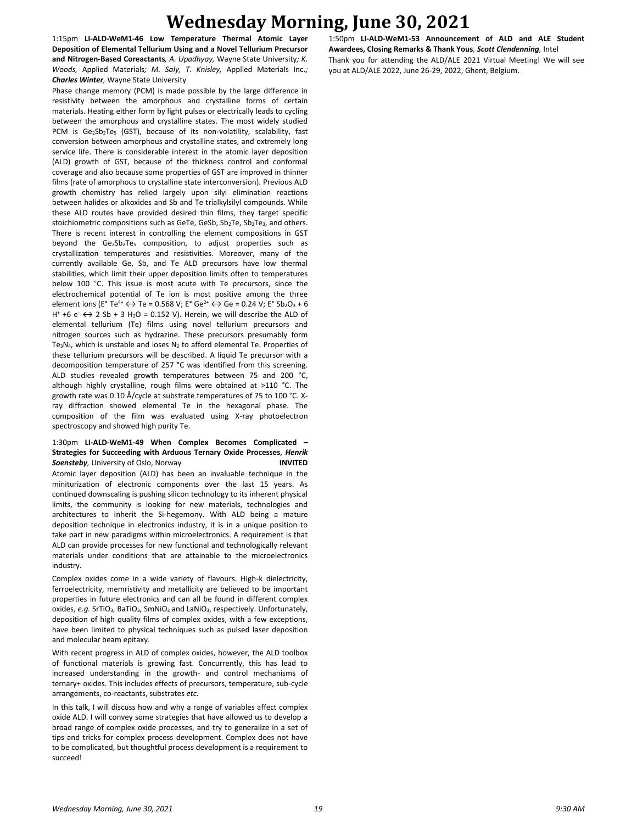1:15pm **LI-ALD-WeM1-46 Low Temperature Thermal Atomic Layer Deposition of Elemental Tellurium Using and a Novel Tellurium Precursor and Nitrogen-Based Coreactants***, A. Upadhyay,* Wayne State University*; K. Woods,* Applied Materials*; M. Saly, T. Knisley,* Applied Materials Inc.*; Charles Winter,* Wayne State University

Phase change memory (PCM) is made possible by the large difference in resistivity between the amorphous and crystalline forms of certain materials. Heating either form by light pulses or electrically leads to cycling between the amorphous and crystalline states. The most widely studied PCM is Ge2Sb<sub>2</sub>Te<sub>5</sub> (GST), because of its non-volatility, scalability, fast conversion between amorphous and crystalline states, and extremely long service life. There is considerable interest in the atomic layer deposition (ALD) growth of GST, because of the thickness control and conformal coverage and also because some properties of GST are improved in thinner films (rate of amorphous to crystalline state interconversion). Previous ALD growth chemistry has relied largely upon silyl elimination reactions between halides or alkoxides and Sb and Te trialkylsilyl compounds. While these ALD routes have provided desired thin films, they target specific stoichiometric compositions such as GeTe, GeSb,  $Sb_2Te$ ,  $Sb_2Te_3$ , and others. There is recent interest in controlling the element compositions in GST beyond the  $Ge_2Sb_2Te_5$  composition, to adjust properties such as crystallization temperatures and resistivities. Moreover, many of the currently available Ge, Sb, and Te ALD precursors have low thermal stabilities, which limit their upper deposition limits often to temperatures below 100 °C. This issue is most acute with Te precursors, since the electrochemical potential of Te ion is most positive among the three element ions (E° Te<sup>4+</sup>  $\leftrightarrow$  Te = 0.568 V; E° Ge<sup>2+</sup>  $\leftrightarrow$  Ge = 0.24 V; E° Sb<sub>2</sub>O<sub>3</sub> + 6 H<sup>+</sup> +6 e  $\leftrightarrow$  2 Sb + 3 H<sub>2</sub>O = 0.152 V). Herein, we will describe the ALD of elemental tellurium (Te) films using novel tellurium precursors and nitrogen sources such as hydrazine. These precursors presumably form Te<sub>3</sub>N<sub>4</sub>, which is unstable and loses N<sub>2</sub> to afford elemental Te. Properties of these tellurium precursors will be described. A liquid Te precursor with a decomposition temperature of 257 °C was identified from this screening. ALD studies revealed growth temperatures between 75 and 200 °C, although highly crystalline, rough films were obtained at >110 °C. The growth rate was 0.10 Å/cycle at substrate temperatures of 75 to 100 °C. Xray diffraction showed elemental Te in the hexagonal phase. The composition of the film was evaluated using X-ray photoelectron spectroscopy and showed high purity Te.

## 1:30pm **LI-ALD-WeM1-49 When Complex Becomes Complicated – Strategies for Succeeding with Arduous Ternary Oxide Processes***, Henrik*  **Soensteby**, University of Oslo, Norway **INVITED**

Atomic layer deposition (ALD) has been an invaluable technique in the miniturization of electronic components over the last 15 years. As continued downscaling is pushing silicon technology to its inherent physical limits, the community is looking for new materials, technologies and architectures to inherit the Si-hegemony. With ALD being a mature deposition technique in electronics industry, it is in a unique position to take part in new paradigms within microelectronics. A requirement is that ALD can provide processes for new functional and technologically relevant materials under conditions that are attainable to the microelectronics industry.

Complex oxides come in a wide variety of flavours. High-k dielectricity, ferroelectricity, memristivity and metallicity are believed to be important properties in future electronics and can all be found in different complex oxides, *e.g.* SrTiO<sub>3</sub>, BaTiO<sub>3</sub>, SmNiO<sub>3</sub> and LaNiO<sub>3</sub>, respectively. Unfortunately, deposition of high quality films of complex oxides, with a few exceptions, have been limited to physical techniques such as pulsed laser deposition and molecular beam epitaxy.

With recent progress in ALD of complex oxides, however, the ALD toolbox of functional materials is growing fast. Concurrently, this has lead to increased understanding in the growth- and control mechanisms of ternary+ oxides. This includes effects of precursors, temperature, sub-cycle arrangements, co-reactants, substrates *etc.*

In this talk, I will discuss how and why a range of variables affect complex oxide ALD. I will convey some strategies that have allowed us to develop a broad range of complex oxide processes, and try to generalize in a set of tips and tricks for complex process development. Complex does not have to be complicated, but thoughtful process development is a requirement to succeed!

1:50pm **LI-ALD-WeM1-53 Announcement of ALD and ALE Student Awardees, Closing Remarks & Thank Yous***, Scott Clendenning,* Intel Thank you for attending the ALD/ALE 2021 Virtual Meeting! We will see you at ALD/ALE 2022, June 26-29, 2022, Ghent, Belgium.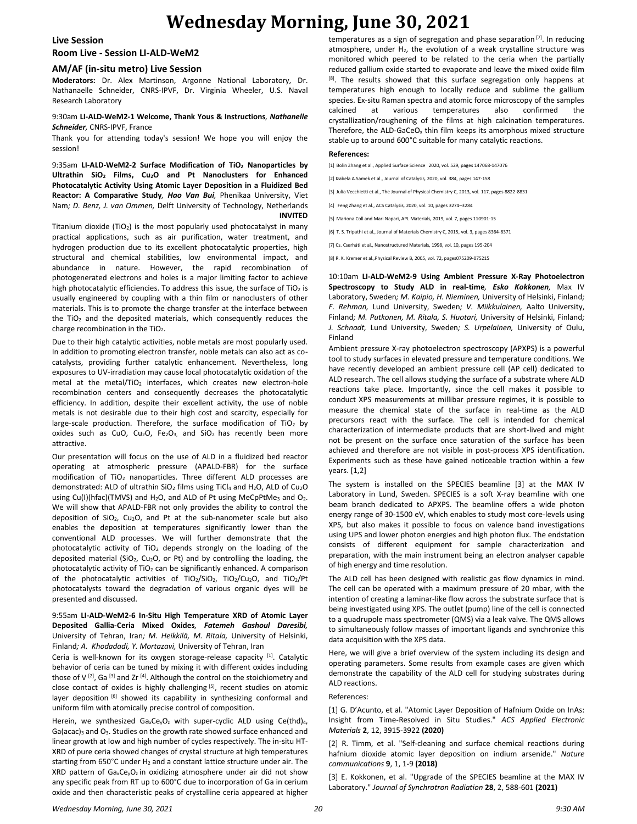#### **Live Session**

### **Room Live - Session LI-ALD-WeM2**

#### **AM/AF (in-situ metro) Live Session**

**Moderators:** Dr. Alex Martinson, Argonne National Laboratory, Dr. Nathanaelle Schneider, CNRS-IPVF, Dr. Virginia Wheeler, U.S. Naval Research Laboratory

#### 9:30am **LI-ALD-WeM2-1 Welcome, Thank Yous & Instructions***, Nathanelle Schneider,* CNRS-IPVF, France

Thank you for attending today's session! We hope you will enjoy the session!

9:35am **LI-ALD-WeM2-2 Surface Modification of TiO<sup>2</sup> Nanoparticles by Ultrathin SiO<sup>2</sup> Films, Cu2O and Pt Nanoclusters for Enhanced Photocatalytic Activity Using Atomic Layer Deposition in a Fluidized Bed Reactor: A Comparative Study***, Hao Van Bui,* Phenikaa University, Viet Nam*; D. Benz, J. van Ommen,* Delft University of Technology, Netherlands **INVITED**

Titanium dioxide (TiO<sub>2</sub>) is the most popularly used photocatalyst in many practical applications, such as air purification, water treatment, and hydrogen production due to its excellent photocatalytic properties, high structural and chemical stabilities, low environmental impact, and abundance in nature. However, the rapid recombination of photogenerated electrons and holes is a major limiting factor to achieve high photocatalytic efficiencies. To address this issue, the surface of TiO<sub>2</sub> is usually engineered by coupling with a thin film or nanoclusters of other materials. This is to promote the charge transfer at the interface between the TiO<sub>2</sub> and the deposited materials, which consequently reduces the charge recombination in the TiO<sub>2</sub>.

Due to their high catalytic activities, noble metals are most popularly used. In addition to promoting electron transfer, noble metals can also act as cocatalysts, providing further catalytic enhancement. Nevertheless, long exposures to UV-irradiation may cause local photocatalytic oxidation of the metal at the metal/TiO<sub>2</sub> interfaces, which creates new electron-hole recombination centers and consequently decreases the photocatalytic efficiency. In addition, despite their excellent activity, the use of noble metals is not desirable due to their high cost and scarcity, especially for large-scale production. Therefore, the surface modification of  $TiO<sub>2</sub>$  by oxides such as CuO, Cu<sub>2</sub>O, Fe<sub>2</sub>O<sub>3</sub>, and SiO<sub>2</sub> has recently been more attractive.

Our presentation will focus on the use of ALD in a fluidized bed reactor operating at atmospheric pressure (APALD-FBR) for the surface modification of TiO<sub>2</sub> nanoparticles. Three different ALD processes are demonstrated: ALD of ultrathin SiO<sub>2</sub> films using TiCl<sub>4</sub> and H<sub>2</sub>O, ALD of Cu<sub>2</sub>O using Cu(I)(hfac)(TMVS) and H<sub>2</sub>O, and ALD of Pt using MeCpPtMe<sub>3</sub> and O<sub>2</sub>. We will show that APALD-FBR not only provides the ability to control the deposition of SiO2, Cu2O, and Pt at the sub-nanometer scale but also enables the deposition at temperatures significantly lower than the conventional ALD processes. We will further demonstrate that the photocatalytic activity of  $TiO<sub>2</sub>$  depends strongly on the loading of the deposited material (SiO<sub>2</sub>, Cu<sub>2</sub>O, or Pt) and by controlling the loading, the photocatalytic activity of  $TiO<sub>2</sub>$  can be significantly enhanced. A comparison of the photocatalytic activities of TiO<sub>2</sub>/SiO<sub>2</sub>, TiO<sub>2</sub>/Cu<sub>2</sub>O, and TiO<sub>2</sub>/Pt photocatalysts toward the degradation of various organic dyes will be presented and discussed.

9:55am **LI-ALD-WeM2-6 In-Situ High Temperature XRD of Atomic Layer Deposited Gallia-Ceria Mixed Oxides***, Fatemeh Gashoul Daresibi,*  University of Tehran, Iran*; M. Heikkilä, M. Ritala,* University of Helsinki, Finland*; A. Khodadadi, Y. Mortazavi,* University of Tehran, Iran

Ceria is well-known for its oxygen storage-release capacity [1]. Catalytic behavior of ceria can be tuned by mixing it with different oxides including those of V  $^{[2]}$ , Ga  $^{[3]}$  and Zr  $^{[4]}$ . Although the control on the stoichiometry and close contact of oxides is highly challenging [5], recent studies on atomic layer deposition [6] showed its capability in synthesizing conformal and uniform film with atomically precise control of composition.

Herein, we synthesized Ga<sub>x</sub>Ce<sub>y</sub>O<sub>z</sub> with super-cyclic ALD using Ce(thd)<sub>4</sub>, Ga(acac)<sub>3</sub> and O<sub>3</sub>. Studies on the growth rate showed surface enhanced and linear growth at low and high number of cycles respectively. The in-situ HT-XRD of pure ceria showed changes of crystal structure at high temperatures starting from 650°C under H<sup>2</sup> and a constant lattice structure under air. The XRD pattern of  $Ga_xCe_yO_z$  in oxidizing atmosphere under air did not show any specific peak from RT up to 600°C due to incorporation of Ga in cerium oxide and then characteristic peaks of crystalline ceria appeared at higher

temperatures as a sign of segregation and phase separation  $[7]$ . In reducing atmosphere, under  $H_2$ , the evolution of a weak crystalline structure was monitored which peered to be related to the ceria when the partially reduced gallium oxide started to evaporate and leave the mixed oxide film [8]. The results showed that this surface segregation only happens at temperatures high enough to locally reduce and sublime the gallium species. Ex-situ Raman spectra and atomic force microscopy of the samples calcined at various temperatures also confirmed the crystallization/roughening of the films at high calcination temperatures. Therefore, the ALD-GaCeO<sub>x</sub> thin film keeps its amorphous mixed structure stable up to around 600°C suitable for many catalytic reactions.

#### **References:**

[1] Bolin Zhang et al., Applied Surface Science 2020, vol. 529, pages 147068-147076

[2] Izabela A.Samek et al., Journal of Catalysis, 2020, vol. 384, pages 147-158

[3] Julia Vecchietti et al., The Journal of Physical Chemistry C, 2013, vol. 117, pages 8822-8831

[4] Feng Zhang et al., ACS Catalysis, 2020, vol. 10, pages 3274–3284

[5] Mariona Coll and Mari Napari, APL Materials, 2019, vol. 7, pages 110901-15

[6] T. S. Tripathi et al., Journal of Materials Chemistry C, 2015, vol. 3, pages 8364-8371

[7] Cs. Cserháti et al., Nanostructured Materials, 1998, vol. 10, pages 195-204

[8] R. K. Kremer et al.,Physical Review B, 2005, vol. 72, pages075209-075215

10:10am **LI-ALD-WeM2-9 Using Ambient Pressure X-Ray Photoelectron Spectroscopy to Study ALD in real-time***, Esko Kokkonen,* Max IV Laboratory, Sweden*; M. Kaipio, H. Nieminen,* University of Helsinki, Finland*; F. Rehman,* Lund University, Sweden*; V. Miikkulainen,* Aalto University, Finland*; M. Putkonen, M. Ritala, S. Huotari,* University of Helsinki, Finland*; J. Schnadt,* Lund University, Sweden*; S. Urpelainen,* University of Oulu, Finland

Ambient pressure X-ray photoelectron spectroscopy (APXPS) is a powerful tool to study surfaces in elevated pressure and temperature conditions. We have recently developed an ambient pressure cell (AP cell) dedicated to ALD research. The cell allows studying the surface of a substrate where ALD reactions take place. Importantly, since the cell makes it possible to conduct XPS measurements at millibar pressure regimes, it is possible to measure the chemical state of the surface in real-time as the ALD precursors react with the surface. The cell is intended for chemical characterization of intermediate products that are short-lived and might not be present on the surface once saturation of the surface has been achieved and therefore are not visible in post-process XPS identification. Experiments such as these have gained noticeable traction within a few years. [1,2]

The system is installed on the SPECIES beamline [3] at the MAX IV Laboratory in Lund, Sweden. SPECIES is a soft X-ray beamline with one beam branch dedicated to APXPS. The beamline offers a wide photon energy range of 30-1500 eV, which enables to study most core-levels using XPS, but also makes it possible to focus on valence band investigations using UPS and lower photon energies and high photon flux. The endstation consists of different equipment for sample characterization and preparation, with the main instrument being an electron analyser capable of high energy and time resolution.

The ALD cell has been designed with realistic gas flow dynamics in mind. The cell can be operated with a maximum pressure of 20 mbar, with the intention of creating a laminar-like flow across the substrate surface that is being investigated using XPS. The outlet (pump) line of the cell is connected to a quadrupole mass spectrometer (QMS) via a leak valve. The QMS allows to simultaneously follow masses of important ligands and synchronize this data acquisition with the XPS data.

Here, we will give a brief overview of the system including its design and operating parameters. Some results from example cases are given which demonstrate the capability of the ALD cell for studying substrates during ALD reactions.

#### References:

[1] G. D'Acunto, et al. "Atomic Layer Deposition of Hafnium Oxide on InAs: Insight from Time-Resolved in Situ Studies." *ACS Applied Electronic Materials* **2**, 12, 3915-3922 **(2020)** 

[2] R. Timm, et al. "Self-cleaning and surface chemical reactions during hafnium dioxide atomic layer deposition on indium arsenide." *Nature communications* **9**, 1, 1-9 **(2018)**

[3] E. Kokkonen, et al. "Upgrade of the SPECIES beamline at the MAX IV Laboratory." *Journal of Synchrotron Radiation* **28**, 2, 588-601 **(2021)**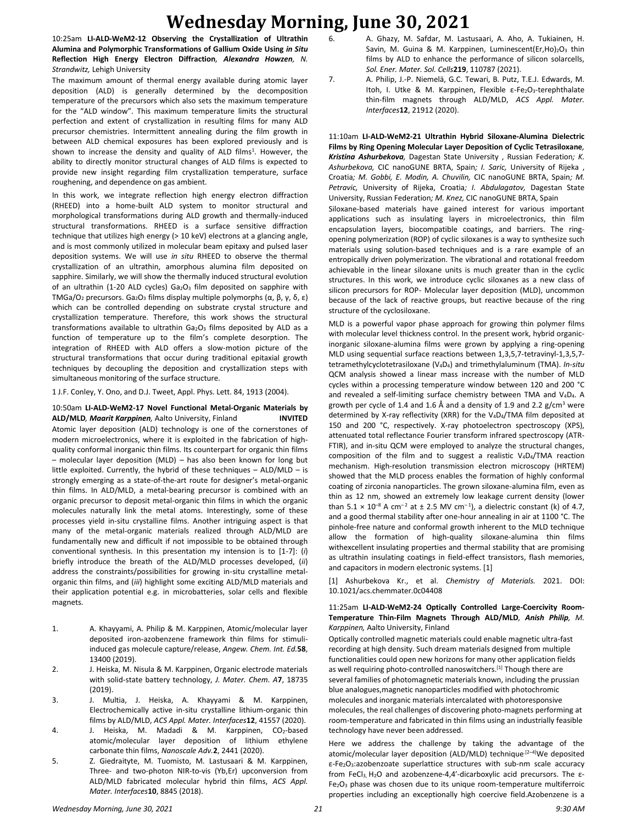10:25am **LI-ALD-WeM2-12 Observing the Crystallization of Ultrathin Alumina and Polymorphic Transformations of Gallium Oxide Using** *in Situ* **Reflection High Energy Electron Diffraction***, Alexandra Howzen, N. Strandwitz,* Lehigh University

The maximum amount of thermal energy available during atomic layer deposition (ALD) is generally determined by the decomposition temperature of the precursors which also sets the maximum temperature for the "ALD window". This maximum temperature limits the structural perfection and extent of crystallization in resulting films for many ALD precursor chemistries. Intermittent annealing during the film growth in between ALD chemical exposures has been explored previously and is shown to increase the density and quality of ALD films<sup>1</sup>. However, the ability to directly monitor structural changes of ALD films is expected to provide new insight regarding film crystallization temperature, surface roughening, and dependence on gas ambient.

In this work, we integrate reflection high energy electron diffraction (RHEED) into a home-built ALD system to monitor structural and morphological transformations during ALD growth and thermally-induced structural transformations. RHEED is a surface sensitive diffraction technique that utilizes high energy (> 10 keV) electrons at a glancing angle, and is most commonly utilized in molecular beam epitaxy and pulsed laser deposition systems. We will use *in situ* RHEED to observe the thermal crystallization of an ultrathin, amorphous alumina film deposited on sapphire. Similarly, we will show the thermally induced structural evolution of an ultrathin (1-20 ALD cycles)  $Ga<sub>2</sub>O<sub>3</sub>$  film deposited on sapphire with TMGa/O<sub>2</sub> precursors. Ga<sub>2</sub>O<sub>3</sub> films display multiple polymorphs (α, β, γ, δ, ε) which can be controlled depending on substrate crystal structure and crystallization temperature. Therefore, this work shows the structural transformations available to ultrathin  $Ga<sub>2</sub>O<sub>3</sub>$  films deposited by ALD as a function of temperature up to the film's complete desorption. The integration of RHEED with ALD offers a slow-motion picture of the structural transformations that occur during traditional epitaxial growth techniques by decoupling the deposition and crystallization steps with simultaneous monitoring of the surface structure.

1 J.F. Conley, Y. Ono, and D.J. Tweet, Appl. Phys. Lett. 84, 1913 (2004).

## 10:50am **LI-ALD-WeM2-17 Novel Functional Metal-Organic Materials by ALD/MLD***, Maarit Karppinen,* Aalto University, Finland **INVITED** Atomic layer deposition (ALD) technology is one of the cornerstones of modern microelectronics, where it is exploited in the fabrication of highquality conformal inorganic thin films. Its counterpart for organic thin films – molecular layer deposition (MLD) – has also been known for long but little exploited. Currently, the hybrid of these techniques – ALD/MLD – is strongly emerging as a state-of-the-art route for designer's metal-organic thin films. In ALD/MLD, a metal-bearing precursor is combined with an organic precursor to deposit metal-organic thin films in which the organic molecules naturally link the metal atoms. Interestingly, some of these processes yield in-situ crystalline films. Another intriguing aspect is that many of the metal-organic materials realized through ALD/MLD are fundamentally new and difficult if not impossible to be obtained through conventional synthesis. In this presentation my intension is to [1-7]: (*i*)

briefly introduce the breath of the ALD/MLD processes developed, (*ii*) address the constraints/possibilities for growing in-situ crystalline metalorganic thin films, and (*iii*) highlight some exciting ALD/MLD materials and their application potential e.g. in microbatteries, solar cells and flexible magnets.

- 1. A. Khayyami, A. Philip & M. Karppinen, Atomic/molecular layer deposited iron-azobenzene framework thin films for stimuliinduced gas molecule capture/release, *Angew. Chem. Int. Ed.***58**, 13400 (2019).
- 2. J. Heiska, M. Nisula & M. Karppinen, Organic electrode materials with solid-state battery technology, *J. Mater. Chem. A***7**, 18735 (2019).
- 3. J. Multia, J. Heiska, A. Khayyami & M. Karppinen, Electrochemically active in-situ crystalline lithium-organic thin films by ALD/MLD, *ACS Appl. Mater. Interfaces***12**, 41557 (2020).
- 4. J. Heiska, M. Madadi & M. Karppinen, CO<sub>2</sub>-based atomic/molecular layer deposition of lithium ethylene carbonate thin films, *Nanoscale Adv.***2**, 2441 (2020).
- 5. Z. Giedraityte, M. Tuomisto, M. Lastusaari & M. Karppinen, Three- and two-photon NIR-to-vis (Yb,Er) upconversion from ALD/MLD fabricated molecular hybrid thin films, *ACS Appl. Mater. Interfaces***10**, 8845 (2018).
- 6. A. Ghazy, M. Safdar, M. Lastusaari, A. Aho, A. Tukiainen, H. Savin, M. Guina & M. Karppinen, Luminescent(Er, Ho)<sub>2</sub>O<sub>3</sub> thin films by ALD to enhance the performance of silicon solarcells, *Sol. Ener. Mater. Sol. Cells***219**, 110787 (2021).
- 7. A. Philip, J.-P. Niemelä, G.C. Tewari, B. Putz, T.E.J. Edwards, M. Itoh, I. Utke & M. Karppinen, Flexible ε-Fe2O3-terephthalate thin-film magnets through ALD/MLD, *ACS Appl. Mater. Interfaces***12**, 21912 (2020).

11:10am **LI-ALD-WeM2-21 Ultrathin Hybrid Siloxane-Alumina Dielectric Films by Ring Opening Molecular Layer Deposition of Cyclic Tetrasiloxane***, Kristina Ashurbekova,* Dagestan State University , Russian Federation*; K. Ashurbekova,* CIC nanoGUNE BRTA, Spain*; I. Saric,* University of Rijeka , Croatia*; M. Gobbi, E. Modin, A. Chuvilin,* CIC nanoGUNE BRTA, Spain*; M. Petravic,* University of Rijeka, Croatia*; I. Abdulagatov,* Dagestan State University, Russian Federation*; M. Knez,* CIC nanoGUNE BRTA, Spain

Siloxane-based materials have gained interest for various important applications such as insulating layers in microelectronics, thin film encapsulation layers, biocompatible coatings, and barriers. The ringopening polymerization (ROP) of cyclic siloxanes is a way to synthesize such materials using solution-based techniques and is a rare example of an entropically driven polymerization. The vibrational and rotational freedom achievable in the linear siloxane units is much greater than in the cyclic structures. In this work, we introduce cyclic siloxanes as a new class of silicon precursors for ROP- Molecular layer deposition (MLD), uncommon because of the lack of reactive groups, but reactive because of the ring structure of the cyclosiloxane.

MLD is a powerful vapor phase approach for growing thin polymer films with molecular level thickness control. In the present work, hybrid organicinorganic siloxane-alumina films were grown by applying a ring-opening MLD using sequential surface reactions between 1,3,5,7-tetravinyl-1,3,5,7 tetramethylcyclotetrasiloxane (V4D4) and trimethylaluminum (TMA). *In-situ* QCM analysis showed a linear mass increase with the number of MLD cycles within a processing temperature window between 120 and 200 °C and revealed a self-limiting surface chemistry between TMA and V4D4. A growth per cycle of 1.4 and 1.6 Å and a density of 1.9 and 2.2  $g/cm<sup>3</sup>$  were determined by X-ray reflectivity (XRR) for the V4D4/TMA film deposited at 150 and 200 °C, respectively. X-ray photoelectron spectroscopy (XPS), attenuated total reflectance Fourier transform infrared spectroscopy (ATR-FTIR), and in-situ QCM were employed to analyze the structural changes, composition of the film and to suggest a realistic  $V_4D_4/TMA$  reaction mechanism. High-resolution transmission electron microscopy (HRTEM) showed that the MLD process enables the formation of highly conformal coating of zirconia nanoparticles. The grown siloxane-alumina film, even as thin as 12 nm, showed an extremely low leakage current density (lower than  $5.1 \times 10^{-8}$  A cm<sup>-2</sup> at  $\pm 2.5$  MV cm<sup>-1</sup>), a dielectric constant (k) of 4.7, and a good thermal stability after one-hour annealing in air at 1100 °C. The pinhole-free nature and conformal growth inherent to the MLD technique allow the formation of high-quality siloxane-alumina thin films withexcellent insulating properties and thermal stability that are promising as ultrathin insulating coatings in field-effect transistors, flash memories, and capacitors in modern electronic systems. [1]

[1] Ashurbekova Kr., et al. *Chemistry of Materials.* 2021. DOI: 10.1021/acs.chemmater.0c04408

#### 11:25am **LI-ALD-WeM2-24 Optically Controlled Large-Coercivity Room-Temperature Thin-Film Magnets Through ALD/MLD***, Anish Philip, M. Karppinen,* Aalto University, Finland

Optically controlled magnetic materials could enable magnetic ultra-fast recording at high density. Such dream materials designed from multiple functionalities could open new horizons for many other application fields as well requiring photo-controlled nanoswitchers.<sup>[1]</sup> Though there are several families of photomagnetic materials known, including the prussian blue analogues,magnetic nanoparticles modified with photochromic molecules and inorganic materials intercalated with photoresponsive molecules, the real challenges of discovering photo-magnets performing at room-temperature and fabricated in thin films using an industrially feasible technology have never been addressed.

Here we address the challenge by taking the advantage of the atomic/molecular layer deposition (ALD/MLD) technique<sup>.[2-4]</sup>We deposited ε-Fe2O3:azobenzoate superlattice structures with sub-nm scale accuracy from FeCl<sub>3</sub>, H<sub>2</sub>O and azobenzene-4,4'-dicarboxylic acid precursors. The  $\varepsilon$ -Fe2O<sup>3</sup> phase was chosen due to its unique room-temperature multiferroic properties including an exceptionally high coercive field.Azobenzene is a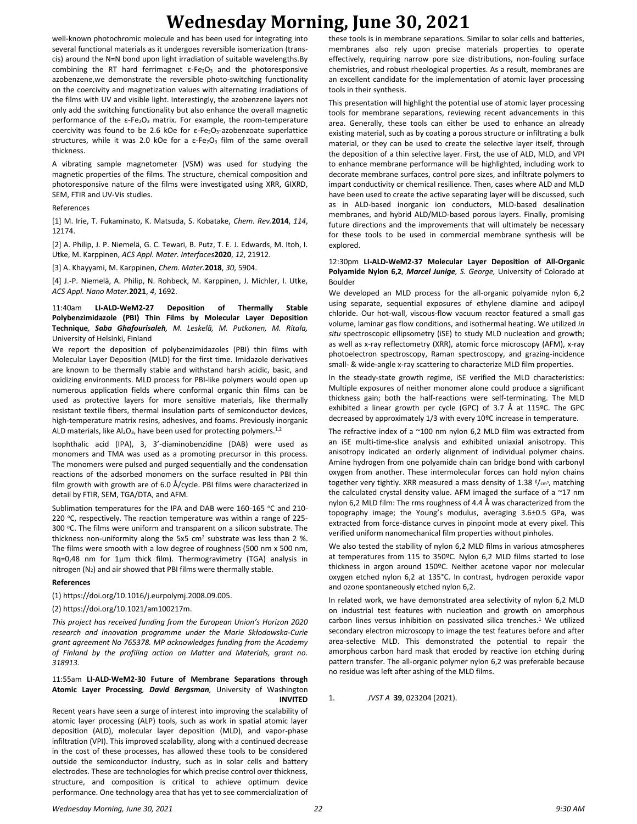well-known photochromic molecule and has been used for integrating into several functional materials as it undergoes reversible isomerization (transcis) around the N=N bond upon light irradiation of suitable wavelengths.By combining the RT hard ferrimagnet  $\varepsilon$ -Fe<sub>2</sub>O<sub>3</sub> and the photoresponsive azobenzene,we demonstrate the reversible photo-switching functionality on the coercivity and magnetization values with alternating irradiations of the films with UV and visible light. Interestingly, the azobenzene layers not only add the switching functionality but also enhance the overall magnetic performance of the  $\varepsilon$ -Fe<sub>2</sub>O<sub>3</sub> matrix. For example, the room-temperature coercivity was found to be 2.6 kOe for  $\varepsilon$ -Fe<sub>2</sub>O<sub>3</sub>-azobenzoate superlattice structures, while it was 2.0 kOe for a  $\varepsilon$ -Fe<sub>2</sub>O<sub>3</sub> film of the same overall thickness.

A vibrating sample magnetometer (VSM) was used for studying the magnetic properties of the films. The structure, chemical composition and photoresponsive nature of the films were investigated using XRR, GIXRD, SEM, FTIR and UV-Vis studies.

#### References

[1] M. Irie, T. Fukaminato, K. Matsuda, S. Kobatake, *Chem. Rev.***2014**, *114*, 12174.

[2] A. Philip, J. P. Niemelä, G. C. Tewari, B. Putz, T. E. J. Edwards, M. Itoh, I. Utke, M. Karppinen, *ACS Appl. Mater. Interfaces***2020**, *12*, 21912.

[3] A. Khayyami, M. Karppinen, *Chem. Mater.***2018**, *30*, 5904.

[4] J.-P. Niemelä, A. Philip, N. Rohbeck, M. Karppinen, J. Michler, I. Utke, *ACS Appl. Nano Mater.***2021**, *4*, 1692.

### 11:40am **LI-ALD-WeM2-27 Deposition of Thermally Stable Polybenzimidazole (PBI) Thin Films by Molecular Layer Deposition Technique***, Saba Ghafourisaleh, M. Leskelä, M. Putkonen, M. Ritala,*  University of Helsinki, Finland

We report the deposition of polybenzimidazoles (PBI) thin films with Molecular Layer Deposition (MLD) for the first time. Imidazole derivatives are known to be thermally stable and withstand harsh acidic, basic, and oxidizing environments. MLD process for PBI-like polymers would open up numerous application fields where conformal organic thin films can be used as protective layers for more sensitive materials, like thermally resistant textile fibers, thermal insulation parts of semiconductor devices, high-temperature matrix resins, adhesives, and foams. Previously inorganic ALD materials, like  $Al_2O_3$ , have been used for protecting polymers.<sup>1,2</sup>

Isophthalic acid (IPA), 3, 3'-diaminobenzidine (DAB) were used as monomers and TMA was used as a promoting precursor in this process. The monomers were pulsed and purged sequentially and the condensation reactions of the adsorbed monomers on the surface resulted in PBI thin film growth with growth are of 6.0 Å/cycle. PBI films were characterized in detail by FTIR, SEM, TGA/DTA, and AFM.

Sublimation temperatures for the IPA and DAB were 160-165 °C and 210-220  $\degree$ C, respectively. The reaction temperature was within a range of 225-300 °C. The films were uniform and transparent on a silicon substrate. The thickness non-uniformity along the 5x5  $cm<sup>2</sup>$  substrate was less than 2 %. The films were smooth with a low degree of roughness (500 nm x 500 nm, Rq=0,48 nm for 1µm thick film). Thermogravimetry (TGA) analysis in nitrogen (N2) and air showed that PBI films were thermally stable.

#### **References**

(1) https://doi.org/10.1016/j.eurpolymj.2008.09.005.

#### (2) https://doi.org/10.1021/am100217m.

*This project has received funding from the European Union's Horizon 2020 research and innovation programme under the Marie Skłodowska-Curie grant agreement No 765378. MP acknowledges funding from the Academy of Finland by the profiling action on Matter and Materials, grant no. 318913.*

#### 11:55am **LI-ALD-WeM2-30 Future of Membrane Separations through Atomic Layer Processing***, David Bergsman,* University of Washington **INVITED**

Recent years have seen a surge of interest into improving the scalability of atomic layer processing (ALP) tools, such as work in spatial atomic layer deposition (ALD), molecular layer deposition (MLD), and vapor-phase infiltration (VPI). This improved scalability, along with a continued decrease in the cost of these processes, has allowed these tools to be considered outside the semiconductor industry, such as in solar cells and battery electrodes. These are technologies for which precise control over thickness, structure, and composition is critical to achieve optimum device performance. One technology area that has yet to see commercialization of these tools is in membrane separations. Similar to solar cells and batteries, membranes also rely upon precise materials properties to operate effectively, requiring narrow pore size distributions, non-fouling surface chemistries, and robust rheological properties. As a result, membranes are an excellent candidate for the implementation of atomic layer processing tools in their synthesis.

This presentation will highlight the potential use of atomic layer processing tools for membrane separations, reviewing recent advancements in this area. Generally, these tools can either be used to enhance an already existing material, such as by coating a porous structure or infiltrating a bulk material, or they can be used to create the selective layer itself, through the deposition of a thin selective layer. First, the use of ALD, MLD, and VPI to enhance membrane performance will be highlighted, including work to decorate membrane surfaces, control pore sizes, and infiltrate polymers to impart conductivity or chemical resilience. Then, cases where ALD and MLD have been used to create the active separating layer will be discussed, such as in ALD-based inorganic ion conductors, MLD-based desalination membranes, and hybrid ALD/MLD-based porous layers. Finally, promising future directions and the improvements that will ultimately be necessary for these tools to be used in commercial membrane synthesis will be explored.

#### 12:30pm **LI-ALD-WeM2-37 Molecular Layer Deposition of All-Organic Polyamide Nylon 6,2***, Marcel Junige, S. George,* University of Colorado at Boulder

We developed an MLD process for the all-organic polyamide nylon 6,2 using separate, sequential exposures of ethylene diamine and adipoyl chloride. Our hot-wall, viscous-flow vacuum reactor featured a small gas volume, laminar gas flow conditions, and isothermal heating. We utilized *in situ* spectroscopic ellipsometry (iSE) to study MLD nucleation and growth; as well as x-ray reflectometry (XRR), atomic force microscopy (AFM), x-ray photoelectron spectroscopy, Raman spectroscopy, and grazing-incidence small- & wide-angle x-ray scattering to characterize MLD film properties.

In the steady-state growth regime, iSE verified the MLD characteristics: Multiple exposures of neither monomer alone could produce a significant thickness gain; both the half-reactions were self-terminating. The MLD exhibited a linear growth per cycle (GPC) of 3.7 Å at 115ºC. The GPC decreased by approximately 1/3 with every 10ºC increase in temperature.

The refractive index of a ~100 nm nylon 6,2 MLD film was extracted from an iSE multi-time-slice analysis and exhibited uniaxial anisotropy. This anisotropy indicated an orderly alignment of individual polymer chains. Amine hydrogen from one polyamide chain can bridge bond with carbonyl oxygen from another. These intermolecular forces can hold nylon chains together very tightly. XRR measured a mass density of 1.38  $\frac{g}{cm^3}$ , matching the calculated crystal density value. AFM imaged the surface of a  $\sim$ 17 nm nylon 6,2 MLD film: The rms roughness of 4.4 Å was characterized from the topography image; the Young's modulus, averaging 3.6±0.5 GPa, was extracted from force-distance curves in pinpoint mode at every pixel. This verified uniform nanomechanical film properties without pinholes.

We also tested the stability of nylon 6,2 MLD films in various atmospheres at temperatures from 115 to 350ºC. Nylon 6,2 MLD films started to lose thickness in argon around 150ºC. Neither acetone vapor nor molecular oxygen etched nylon 6,2 at 135°C. In contrast, hydrogen peroxide vapor and ozone spontaneously etched nylon 6,2.

In related work, we have demonstrated area selectivity of nylon 6,2 MLD on industrial test features with nucleation and growth on amorphous carbon lines versus inhibition on passivated silica trenches.<sup>1</sup> We utilized secondary electron microscopy to image the test features before and after area-selective MLD. This demonstrated the potential to repair the amorphous carbon hard mask that eroded by reactive ion etching during pattern transfer. The all-organic polymer nylon 6,2 was preferable because no residue was left after ashing of the MLD films.

## 1. *JVST A* **39**, 023204 (2021).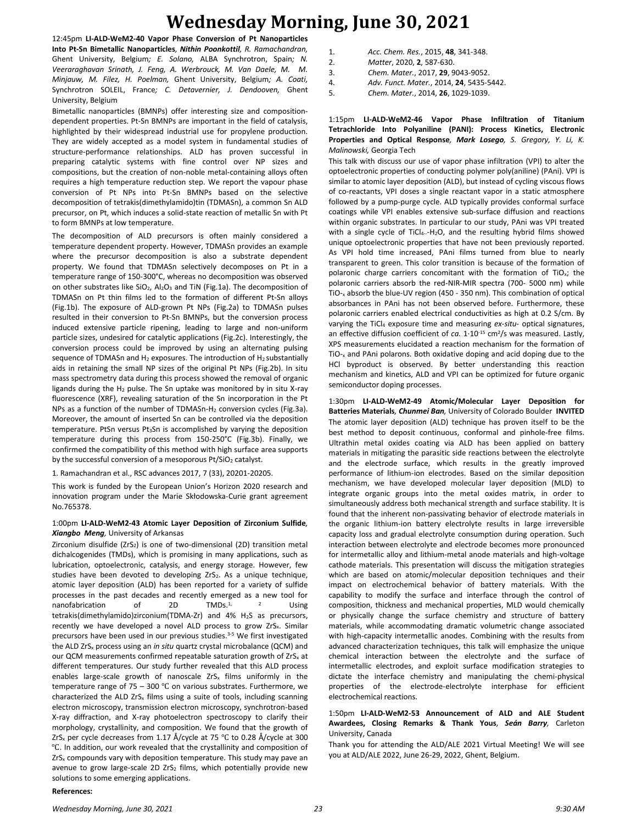12:45pm **LI-ALD-WeM2-40 Vapor Phase Conversion of Pt Nanoparticles Into Pt-Sn Bimetallic Nanoparticles***, Nithin Poonkottil, R. Ramachandran,*  Ghent University, Belgium*; E. Solano,* ALBA Synchrotron, Spain*; N. Veeraraghavan Srinath, J. Feng, A. Werbrouck, M. Van Daele, M. M. Minjauw, M. Filez, H. Poelman,* Ghent University, Belgium*; A. Coati,*  Synchrotron SOLEIL, France*; C. Detavernier, J. Dendooven,* Ghent University, Belgium

Bimetallic nanoparticles (BMNPs) offer interesting size and compositiondependent properties. Pt-Sn BMNPs are important in the field of catalysis, highlighted by their widespread industrial use for propylene production. They are widely accepted as a model system in fundamental studies of structure-performance relationships. ALD has proven successful in preparing catalytic systems with fine control over NP sizes and compositions, but the creation of non-noble metal-containing alloys often requires a high temperature reduction step. We report the vapour phase conversion of Pt NPs into Pt-Sn BMNPs based on the selective decomposition of tetrakis(dimethylamido)tin (TDMASn), a common Sn ALD precursor, on Pt, which induces a solid-state reaction of metallic Sn with Pt to form BMNPs at low temperature.

The decomposition of ALD precursors is often mainly considered a temperature dependent property. However, TDMASn provides an example where the precursor decomposition is also a substrate dependent property. We found that TDMASn selectively decomposes on Pt in a temperature range of 150-300°C, whereas no decomposition was observed on other substrates like SiO<sub>2</sub>, Al<sub>2</sub>O<sub>3</sub> and TiN (Fig.1a). The decomposition of TDMASn on Pt thin films led to the formation of different Pt-Sn alloys (Fig.1b). The exposure of ALD-grown Pt NPs (Fig.2a) to TDMASn pulses resulted in their conversion to Pt-Sn BMNPs, but the conversion process induced extensive particle ripening, leading to large and non-uniform particle sizes, undesired for catalytic applications (Fig.2c). Interestingly, the conversion process could be improved by using an alternating pulsing sequence of TDMASn and H<sub>2</sub> exposures. The introduction of H<sub>2</sub> substantially aids in retaining the small NP sizes of the original Pt NPs (Fig.2b). In situ mass spectrometry data during this process showed the removal of organic ligands during the H<sup>2</sup> pulse. The Sn uptake was monitored by in situ X-ray fluorescence (XRF), revealing saturation of the Sn incorporation in the Pt NPs as a function of the number of TDMASn-H<sup>2</sup> conversion cycles (Fig.3a). Moreover, the amount of inserted Sn can be controlled via the deposition temperature. PtSn versus Pt3Sn is accomplished by varying the deposition temperature during this process from 150-250°C (Fig.3b). Finally, we confirmed the compatibility of this method with high surface area supports by the successful conversion of a mesoporous  $Pt/SIO<sub>2</sub>$  catalyst.

1. Ramachandran et al., RSC advances 2017, 7 (33), 20201-20205.

This work is funded by the European Union's Horizon 2020 research and innovation program under the Marie Skłodowska-Curie grant agreement No.765378.

### 1:00pm **LI-ALD-WeM2-43 Atomic Layer Deposition of Zirconium Sulfide***, Xiangbo Meng,* University of Arkansas

Zirconium disulfide ( $ZrS_2$ ) is one of two-dimensional (2D) transition metal dichalcogenides (TMDs), which is promising in many applications, such as lubrication, optoelectronic, catalysis, and energy storage. However, few studies have been devoted to developing  $ZrS<sub>2</sub>$ . As a unique technique, atomic layer deposition (ALD) has been reported for a variety of sulfide processes in the past decades and recently emerged as a new tool for<br>nanofabrication of 2D TMDs  $\frac{1}{2}$  2 Lising nanofabrication of  $2D$  TMDs  $1/2$  Using tetrakis(dimethylamido)zirconium(TDMA-Zr) and 4% H2S as precursors, recently we have developed a novel ALD process to grow  $ZrS<sub>x</sub>$ . Similar precursors have been used in our previous studies.<sup>3-5</sup> We first investigated the ALD ZrS<sup>x</sup> process using an *in situ* quartz crystal microbalance (QCM) and our QCM measurements confirmed repeatable saturation growth of ZrS<sub>x</sub> at different temperatures. Our study further revealed that this ALD process enables large-scale growth of nanoscale ZrS<sub>x</sub> films uniformly in the temperature range of  $75 - 300$  °C on various substrates. Furthermore, we characterized the ALD ZrS<sub>x</sub> films using a suite of tools, including scanning electron microscopy, transmission electron microscopy, synchrotron-based X-ray diffraction, and X-ray photoelectron spectroscopy to clarify their morphology, crystallinity, and composition. We found that the growth of  $ZrS<sub>x</sub>$  per cycle decreases from 1.17 Å/cycle at 75 °C to 0.28 Å/cycle at 300 ℃. In addition, our work revealed that the crystallinity and composition of  $ZrS<sub>x</sub>$  compounds vary with deposition temperature. This study may pave an avenue to grow large-scale 2D ZrS<sub>2</sub> films, which potentially provide new solutions to some emerging applications.

| 1. | Acc. Chem. Res., 2015, 48, 341-348. |
|----|-------------------------------------|
| 2. | Matter, 2020, 2, 587-630.           |
| 3. | Chem. Mater., 2017, 29, 9043-9052.  |

- 4. *Adv. Funct. Mater.*, 2014, **24**, 5435-5442.
- 5. *Chem. Mater.*, 2014, **26**, 1029-1039.

## 1:15pm **LI-ALD-WeM2-46 Vapor Phase Infiltration of Titanium Tetrachloride Into Polyaniline (PANI): Process Kinetics, Electronic Properties and Optical Response***, Mark Losego, S. Gregory, Y. Li, K. Malinowski,* Georgia Tech

This talk with discuss our use of vapor phase infiltration (VPI) to alter the optoelectronic properties of conducting polymer poly(aniline) (PAni). VPI is similar to atomic layer deposition (ALD), but instead of cycling viscous flows of co-reactants, VPI doses a single reactant vapor in a static atmosphere followed by a pump-purge cycle. ALD typically provides conformal surface coatings while VPI enables extensive sub-surface diffusion and reactions within organic substrates. In particular to our study, PAni was VPI treated with a single cycle of TiCl<sub>4--</sub>H<sub>2</sub>O, and the resulting hybrid films showed unique optoelectronic properties that have not been previously reported. As VPI hold time increased, PAni films turned from blue to nearly transparent to green. This color transition is because of the formation of polaronic charge carriers concomitant with the formation of TiO<sub>x</sub>: the polaronic carriers absorb the red-NIR-MIR spectra (700- 5000 nm) while TiO-<sup>x</sup> absorb the blue-UV region (450 - 350 nm). This combination of optical absorbances in PAni has not been observed before. Furthermore, these polaronic carriers enabled electrical conductivities as high at 0.2 S/cm. By varying the TiCl<sup>4</sup> exposure time and measuring *ex-situ-* optical signatures, an effective diffusion coefficient of *ca.* 1.10<sup>-15</sup> cm<sup>2</sup>/s was measured. Lastly, XPS measurements elucidated a reaction mechanism for the formation of TiO-<sup>x</sup> and PAni polarons. Both oxidative doping and acid doping due to the HCl byproduct is observed. By better understanding this reaction mechanism and kinetics, ALD and VPI can be optimized for future organic semiconductor doping processes.

1:30pm **LI-ALD-WeM2-49 Atomic/Molecular Layer Deposition for Batteries Materials***, Chunmei Ban,* University of Colorado Boulder **INVITED** The atomic layer deposition (ALD) technique has proven itself to be the best method to deposit continuous, conformal and pinhole-free films. Ultrathin metal oxides coating via ALD has been applied on battery materials in mitigating the parasitic side reactions between the electrolyte and the electrode surface, which results in the greatly improved performance of lithium-ion electrodes. Based on the similar deposition mechanism, we have developed molecular layer deposition (MLD) to integrate organic groups into the metal oxides matrix, in order to simultaneously address both mechanical strength and surface stability. It is found that the inherent non-passivating behavior of electrode materials in the organic lithium-ion battery electrolyte results in large irreversible capacity loss and gradual electrolyte consumption during operation. Such interaction between electrolyte and electrode becomes more pronounced for intermetallic alloy and lithium-metal anode materials and high-voltage cathode materials. This presentation will discuss the mitigation strategies which are based on atomic/molecular deposition techniques and their impact on electrochemical behavior of battery materials. With the capability to modify the surface and interface through the control of composition, thickness and mechanical properties, MLD would chemically or physically change the surface chemistry and structure of battery materials, while accommodating dramatic volumetric change associated with high-capacity intermetallic anodes. Combining with the results from advanced characterization techniques, this talk will emphasize the unique chemical interaction between the electrolyte and the surface of intermetallic electrodes, and exploit surface modification strategies to dictate the interface chemistry and manipulating the chemi-physical properties of the electrode-electrolyte interphase for efficient electrochemical reactions.

### 1:50pm **LI-ALD-WeM2-53 Announcement of ALD and ALE Student Awardees, Closing Remarks & Thank Yous***, Seán Barry,* Carleton University, Canada

Thank you for attending the ALD/ALE 2021 Virtual Meeting! We will see you at ALD/ALE 2022, June 26-29, 2022, Ghent, Belgium.

#### **References:**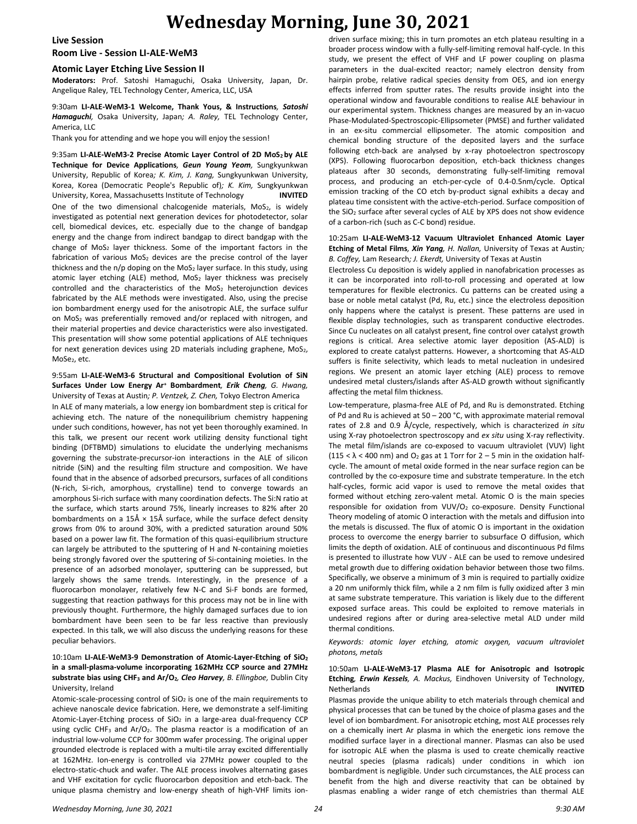#### **Live Session**

### **Room Live - Session LI-ALE-WeM3**

### **Atomic Layer Etching Live Session II**

**Moderators:** Prof. Satoshi Hamaguchi, Osaka University, Japan, Dr. Angelique Raley, TEL Technology Center, America, LLC, USA

#### 9:30am **LI-ALE-WeM3-1 Welcome, Thank Yous, & Instructions***, Satoshi Hamaguchi,* Osaka University, Japan*; A. Raley,* TEL Technology Center, America, LLC

Thank you for attending and we hope you will enjoy the session!

9:35am **LI-ALE-WeM3-2 Precise Atomic Layer Control of 2D MoS2 by ALE Technique for Device Applications***, Geun Young Yeom,* Sungkyunkwan University, Republic of Korea*; K. Kim, J. Kang,* Sungkyunkwan University, Korea, Korea (Democratic People's Republic of)*; K. Kim,* Sungkyunkwan University, Korea, Massachusetts Institute of Technology **INVITED** One of the two dimensional chalcogenide materials,  $MoS<sub>2</sub>$ , is widely investigated as potential next generation devices for photodetector, solar cell, biomedical devices, etc. especially due to the change of bandgap energy and the change from indirect bandgap to direct bandgap with the change of  $MoS<sub>2</sub>$  layer thickness. Some of the important factors in the fabrication of various MoS<sub>2</sub> devices are the precise control of the layer thickness and the n/p doping on the MoS<sub>2</sub> layer surface. In this study, using atomic layer etching (ALE) method,  $MoS<sub>2</sub>$  layer thickness was precisely controlled and the characteristics of the  $MoS<sub>2</sub>$  heterojunction devices fabricated by the ALE methods were investigated. Also, using the precise ion bombardment energy used for the anisotropic ALE, the surface sulfur on MoS<sup>2</sup> was preferentially removed and/or replaced with nitrogen, and their material properties and device characteristics were also investigated. This presentation will show some potential applications of ALE techniques for next generation devices using 2D materials including graphene,  $MoS<sub>2</sub>$ , MoSe2, etc.

9:55am **LI-ALE-WeM3-6 Structural and Compositional Evolution of SiN Surfaces Under Low Energy Ar<sup>+</sup> Bombardment***, Erik Cheng, G. Hwang,*  University of Texas at Austin*; P. Ventzek, Z. Chen,* Tokyo Electron America In ALE of many materials, a low energy ion bombardment step is critical for achieving etch. The nature of the nonequilibrium chemistry happening under such conditions, however, has not yet been thoroughly examined. In this talk, we present our recent work utilizing density functional tight binding (DFTBMD) simulations to elucidate the underlying mechanisms governing the substrate-precursor-ion interactions in the ALE of silicon nitride (SiN) and the resulting film structure and composition. We have found that in the absence of adsorbed precursors, surfaces of all conditions (N-rich, Si-rich, amorphous, crystalline) tend to converge towards an amorphous Si-rich surface with many coordination defects. The Si:N ratio at the surface, which starts around 75%, linearly increases to 82% after 20 bombardments on a 15Å  $\times$  15Å surface, while the surface defect density grows from 0% to around 30%, with a predicted saturation around 50% based on a power law fit. The formation of this quasi-equilibrium structure can largely be attributed to the sputtering of H and N-containing moieties being strongly favored over the sputtering of Si-containing moieties. In the presence of an adsorbed monolayer, sputtering can be suppressed, but largely shows the same trends. Interestingly, in the presence of a fluorocarbon monolayer, relatively few N-C and Si-F bonds are formed, suggesting that reaction pathways for this process may not be in line with previously thought. Furthermore, the highly damaged surfaces due to ion bombardment have been seen to be far less reactive than previously expected. In this talk, we will also discuss the underlying reasons for these peculiar behaviors.

## 10:10am **LI-ALE-WeM3-9 Demonstration of Atomic-Layer-Etching of SiO<sup>2</sup> in a small-plasma-volume incorporating 162MHz CCP source and 27MHz substrate bias using CHF<sup>3</sup> and Ar/O2***, Cleo Harvey, B. Ellingboe,* Dublin City University, Ireland

Atomic-scale-processing control of SiO<sub>2</sub> is one of the main requirements to achieve nanoscale device fabrication. Here, we demonstrate a self-limiting Atomic-Layer-Etching process of SiO<sub>2</sub> in a large-area dual-frequency CCP using cyclic CHF<sub>3</sub> and Ar/O<sub>2</sub>. The plasma reactor is a modification of an industrial low-volume CCP for 300mm wafer processing. The original upper grounded electrode is replaced with a multi-tile array excited differentially at 162MHz. Ion-energy is controlled via 27MHz power coupled to the electro-static-chuck and wafer. The ALE process involves alternating gases and VHF excitation for cyclic fluorocarbon deposition and etch-back. The unique plasma chemistry and low-energy sheath of high-VHF limits iondriven surface mixing; this in turn promotes an etch plateau resulting in a broader process window with a fully-self-limiting removal half-cycle. In this study, we present the effect of VHF and LF power coupling on plasma parameters in the dual-excited reactor; namely electron density from hairpin probe, relative radical species density from OES, and ion energy effects inferred from sputter rates. The results provide insight into the operational window and favourable conditions to realise ALE behaviour in our experimental system. Thickness changes are measured by an in-vacuo Phase-Modulated-Spectroscopic-Ellipsometer (PMSE) and further validated in an ex-situ commercial ellipsometer. The atomic composition and chemical bonding structure of the deposited layers and the surface following etch-back are analysed by x-ray photoelectron spectroscopy (XPS). Following fluorocarbon deposition, etch-back thickness changes plateaus after 30 seconds, demonstrating fully-self-limiting removal process, and producing an etch-per-cycle of 0.4-0.5nm/cycle. Optical emission tracking of the CO etch by-product signal exhibits a decay and plateau time consistent with the active-etch-period. Surface composition of the SiO<sub>2</sub> surface after several cycles of ALE by XPS does not show evidence of a carbon-rich (such as C-C bond) residue.

10:25am **LI-ALE-WeM3-12 Vacuum Ultraviolet Enhanced Atomic Layer Etching of Metal Films***, Xin Yang, H. Nallan,* University of Texas at Austin*; B. Coffey,* Lam Research*; J. Ekerdt,* University of Texas at Austin

Electroless Cu deposition is widely applied in nanofabrication processes as it can be incorporated into roll-to-roll processing and operated at low temperatures for flexible electronics. Cu patterns can be created using a base or noble metal catalyst (Pd, Ru, etc.) since the electroless deposition only happens where the catalyst is present. These patterns are used in flexible display technologies, such as transparent conductive electrodes. Since Cu nucleates on all catalyst present, fine control over catalyst growth regions is critical. Area selective atomic layer deposition (AS-ALD) is explored to create catalyst patterns. However, a shortcoming that AS-ALD suffers is finite selectivity, which leads to metal nucleation in undesired regions. We present an atomic layer etching (ALE) process to remove undesired metal clusters/islands after AS-ALD growth without significantly affecting the metal film thickness.

Low-temperature, plasma-free ALE of Pd, and Ru is demonstrated. Etching of Pd and Ru is achieved at 50 – 200 °C, with approximate material removal rates of 2.8 and 0.9 Å/cycle, respectively, which is characterized *in situ* using X-ray photoelectron spectroscopy and *ex situ* using X-ray reflectivity. The metal film/islands are co-exposed to vacuum ultraviolet (VUV) light  $(115 < \lambda < 400$  nm) and O<sub>2</sub> gas at 1 Torr for 2 – 5 min in the oxidation halfcycle. The amount of metal oxide formed in the near surface region can be controlled by the co-exposure time and substrate temperature. In the etch half-cycles, formic acid vapor is used to remove the metal oxides that formed without etching zero-valent metal. Atomic O is the main species responsible for oxidation from VUV/O<sub>2</sub> co-exposure. Density Functional Theory modeling of atomic O interaction with the metals and diffusion into the metals is discussed. The flux of atomic O is important in the oxidation process to overcome the energy barrier to subsurface O diffusion, which limits the depth of oxidation. ALE of continuous and discontinuous Pd films is presented to illustrate how VUV - ALE can be used to remove undesired metal growth due to differing oxidation behavior between those two films. Specifically, we observe a minimum of 3 min is required to partially oxidize a 20 nm uniformly thick film, while a 2 nm film is fully oxidized after 3 min at same substrate temperature. This variation is likely due to the different exposed surface areas. This could be exploited to remove materials in undesired regions after or during area-selective metal ALD under mild thermal conditions.

*Keywords: atomic layer etching, atomic oxygen, vacuum ultraviolet photons, metals*

## 10:50am **LI-ALE-WeM3-17 Plasma ALE for Anisotropic and Isotropic Etching***, Erwin Kessels, A. Mackus,* Eindhoven University of Technology, Netherlands **INVITED**

Plasmas provide the unique ability to etch materials through chemical and physical processes that can be tuned by the choice of plasma gases and the level of ion bombardment. For anisotropic etching, most ALE processes rely on a chemically inert Ar plasma in which the energetic ions remove the modified surface layer in a directional manner. Plasmas can also be used for isotropic ALE when the plasma is used to create chemically reactive neutral species (plasma radicals) under conditions in which ion bombardment is negligible. Under such circumstances, the ALE process can benefit from the high and diverse reactivity that can be obtained by plasmas enabling a wider range of etch chemistries than thermal ALE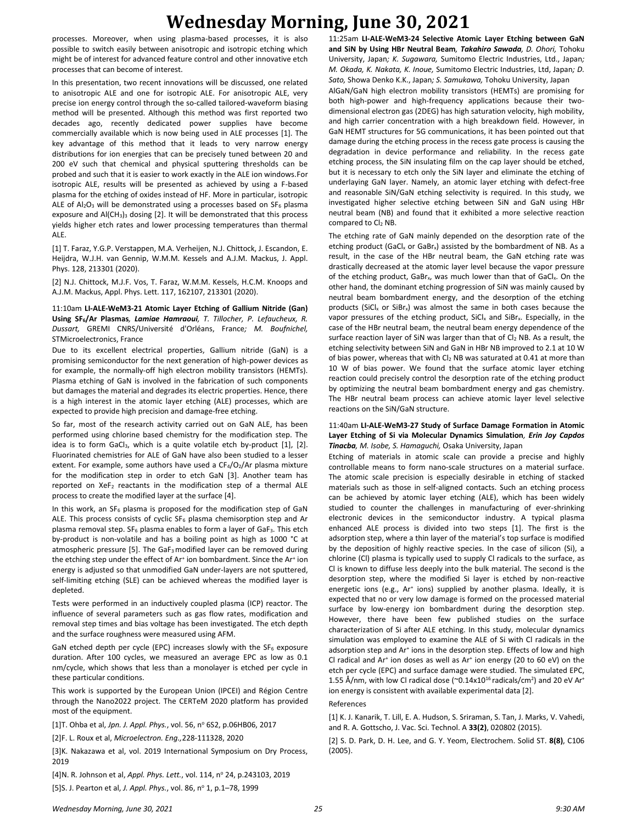processes. Moreover, when using plasma-based processes, it is also possible to switch easily between anisotropic and isotropic etching which might be of interest for advanced feature control and other innovative etch processes that can become of interest.

In this presentation, two recent innovations will be discussed, one related to anisotropic ALE and one for isotropic ALE. For anisotropic ALE, very precise ion energy control through the so-called tailored-waveform biasing method will be presented. Although this method was first reported two decades ago, recently dedicated power supplies have become commercially available which is now being used in ALE processes [1]. The key advantage of this method that it leads to very narrow energy distributions for ion energies that can be precisely tuned between 20 and 200 eV such that chemical and physical sputtering thresholds can be probed and such that it is easier to work exactly in the ALE ion windows.For isotropic ALE, results will be presented as achieved by using a F-based plasma for the etching of oxides instead of HF. More in particular, isotropic ALE of  $Al_2O_3$  will be demonstrated using a processes based on SF<sub>6</sub> plasma exposure and  $AI(CH_3)_3$  dosing [2]. It will be demonstrated that this process yields higher etch rates and lower processing temperatures than thermal ALE.

[1] T. Faraz, Y.G.P. Verstappen, M.A. Verheijen, N.J. Chittock, J. Escandon, E. Heijdra, W.J.H. van Gennip, W.M.M. Kessels and A.J.M. Mackus, J. Appl. Phys. 128, 213301 (2020).

[2] N.J. Chittock, M.J.F. Vos, T. Faraz, W.M.M. Kessels, H.C.M. Knoops and A.J.M. Mackus, Appl. Phys. Lett. 117, 162107, 213301 (2020).

11:10am **LI-ALE-WeM3-21 Atomic Layer Etching of Gallium Nitride (Gan) Using SF6/Ar Plasmas***, Lamiae Hamraoui, T. Tillocher, P. Lefaucheux, R. Dussart,* GREMI CNRS/Université d'Orléans, France*; M. Boufnichel,*  STMicroelectronics, France

Due to its excellent electrical properties, Gallium nitride (GaN) is a promising semiconductor for the next generation of high-power devices as for example, the normally-off high electron mobility transistors (HEMTs). Plasma etching of GaN is involved in the fabrication of such components but damages the material and degrades its electric properties. Hence, there is a high interest in the atomic layer etching (ALE) processes, which are expected to provide high precision and damage-free etching.

So far, most of the research activity carried out on GaN ALE, has been performed using chlorine based chemistry for the modification step. The idea is to form GaCl<sub>3</sub>, which is a quite volatile etch by-product [1], [2]. Fluorinated chemistries for ALE of GaN have also been studied to a lesser extent. For example, some authors have used a  $CF_4/O_2/Ar$  plasma mixture for the modification step in order to etch GaN [3]. Another team has reported on  $XeF_2$  reactants in the modification step of a thermal ALE process to create the modified layer at the surface [4].

In this work, an  $SF_6$  plasma is proposed for the modification step of GaN ALE. This process consists of cyclic  $SF_6$  plasma chemisorption step and Ar plasma removal step. SF<sub>6</sub> plasma enables to form a layer of GaF<sub>3</sub>. This etch by-product is non-volatile and has a boiling point as high as 1000 °C at atmospheric pressure [5]. The GaF3 modified layer can be removed during the etching step under the effect of Ar<sup>+</sup> ion bombardment. Since the Ar<sup>+</sup> ion energy is adjusted so that unmodified GaN under-layers are not sputtered, self-limiting etching (SLE) can be achieved whereas the modified layer is depleted.

Tests were performed in an inductively coupled plasma (ICP) reactor. The influence of several parameters such as gas flow rates, modification and removal step times and bias voltage has been investigated. The etch depth and the surface roughness were measured using AFM.

GaN etched depth per cycle (EPC) increases slowly with the  $SF<sub>6</sub>$  exposure duration. After 100 cycles, we measured an average EPC as low as 0.1 nm/cycle, which shows that less than a monolayer is etched per cycle in these particular conditions.

This work is supported by the European Union (IPCEI) and Région Centre through the Nano2022 project. The CERTeM 2020 platform has provided most of the equipment.

[1]T. Ohba et al, *Jpn. J. Appl. Phys.*, vol. 56, nº 6S2, p.06HB06, 2017

[2]F. L. Roux et al, *Microelectron. Eng.,*228-111328, 2020

[3]K. Nakazawa et al, vol. 2019 International Symposium on Dry Process, 2019

[4]N. R. Johnson et al, *Appl. Phys. Lett.*, vol. 114, nº 24, p.243103, 2019

[5]S. J. Pearton et al, *J. Appl. Phys.*, vol. 86, nº 1, p.1-78, 1999

11:25am **LI-ALE-WeM3-24 Selective Atomic Layer Etching between GaN and SiN by Using HBr Neutral Beam***, Takahiro Sawada, D. Ohori,* Tohoku University, Japan*; K. Sugawara,* Sumitomo Electric Industries, Ltd., Japan*; M. Okada, K. Nakata, K. Inoue,* Sumitomo Electric Industries, Ltd, Japan*; D. Sato,* Showa Denko K.K., Japan*; S. Samukawa,* Tohoku University, Japan

AlGaN/GaN high electron mobility transistors (HEMTs) are promising for both high-power and high-frequency applications because their twodimensional electron gas (2DEG) has high saturation velocity, high mobility, and high carrier concentration with a high breakdown field. However, in GaN HEMT structures for 5G communications, it has been pointed out that damage during the etching process in the recess gate process is causing the degradation in device performance and reliability. In the recess gate etching process, the SiN insulating film on the cap layer should be etched, but it is necessary to etch only the SiN layer and eliminate the etching of underlaying GaN layer. Namely, an atomic layer etching with defect-free and reasonable SiN/GaN etching selectivity is required. In this study, we investigated higher selective etching between SiN and GaN using HBr neutral beam (NB) and found that it exhibited a more selective reaction compared to Cl<sub>2</sub> NB.

The etching rate of GaN mainly depended on the desorption rate of the etching product (GaCl<sub>x</sub> or GaBr<sub>x</sub>) assisted by the bombardment of NB. As a result, in the case of the HBr neutral beam, the GaN etching rate was drastically decreased at the atomic layer level because the vapor pressure of the etching product, GaBr<sub>x</sub>, was much lower than that of GaCl<sub>x</sub>. On the other hand, the dominant etching progression of SiN was mainly caused by neutral beam bombardment energy, and the desorption of the etching products (SiCl<sub>x</sub> or SiBr<sub>x</sub>) was almost the same in both cases because the vapor pressures of the etching product,  $SiCl<sub>x</sub>$  and  $SiBr<sub>x</sub>$ . Especially, in the case of the HBr neutral beam, the neutral beam energy dependence of the surface reaction layer of SiN was larger than that of Cl2 NB. As a result, the etching selectivity between SiN and GaN in HBr NB improved to 2.1 at 10 W of bias power, whereas that with Cl<sub>2</sub> NB was saturated at 0.41 at more than 10 W of bias power. We found that the surface atomic layer etching reaction could precisely control the desorption rate of the etching product by optimizing the neutral beam bombardment energy and gas chemistry. The HBr neutral beam process can achieve atomic layer level selective reactions on the SiN/GaN structure.

## 11:40am **LI-ALE-WeM3-27 Study of Surface Damage Formation in Atomic Layer Etching of Si via Molecular Dynamics Simulation***, Erin Joy Capdos Tinacba, M. Isobe, S. Hamaguchi,* Osaka University, Japan

Etching of materials in atomic scale can provide a precise and highly controllable means to form nano-scale structures on a material surface. The atomic scale precision is especially desirable in etching of stacked materials such as those in self-aligned contacts. Such an etching process can be achieved by atomic layer etching (ALE), which has been widely studied to counter the challenges in manufacturing of ever-shrinking electronic devices in the semiconductor industry. A typical plasma enhanced ALE process is divided into two steps [1]. The first is the adsorption step, where a thin layer of the material's top surface is modified by the deposition of highly reactive species. In the case of silicon (Si), a chlorine (Cl) plasma is typically used to supply Cl radicals to the surface, as Cl is known to diffuse less deeply into the bulk material. The second is the desorption step, where the modified Si layer is etched by non-reactive energetic ions (e.g., Ar<sup>+</sup> ions) supplied by another plasma. Ideally, it is expected that no or very low damage is formed on the processed material surface by low-energy ion bombardment during the desorption step. However, there have been few published studies on the surface characterization of Si after ALE etching. In this study, molecular dynamics simulation was employed to examine the ALE of Si with Cl radicals in the adsorption step and Ar<sup>+</sup> ions in the desorption step. Effects of low and high Cl radical and  $Ar^+$  ion doses as well as  $Ar^+$  ion energy (20 to 60 eV) on the etch per cycle (EPC) and surface damage were studied. The simulated EPC, 1.55 Å/nm, with low CI radical dose ( $\degree$ 0.14x10<sup>16</sup> radicals/cm<sup>2</sup>) and 20 eV Ar<sup>+</sup> ion energy is consistent with available experimental data [2].

#### References

[1] K. J. Kanarik, T. Lill, E. A. Hudson, S. Sriraman, S. Tan, J. Marks, V. Vahedi, and R. A. Gottscho, J. Vac. Sci. Technol. A **33(2)**, 020802 (2015).

[2] S. D. Park, D. H. Lee, and G. Y. Yeom, Electrochem. Solid ST. **8(8)**, C106 (2005).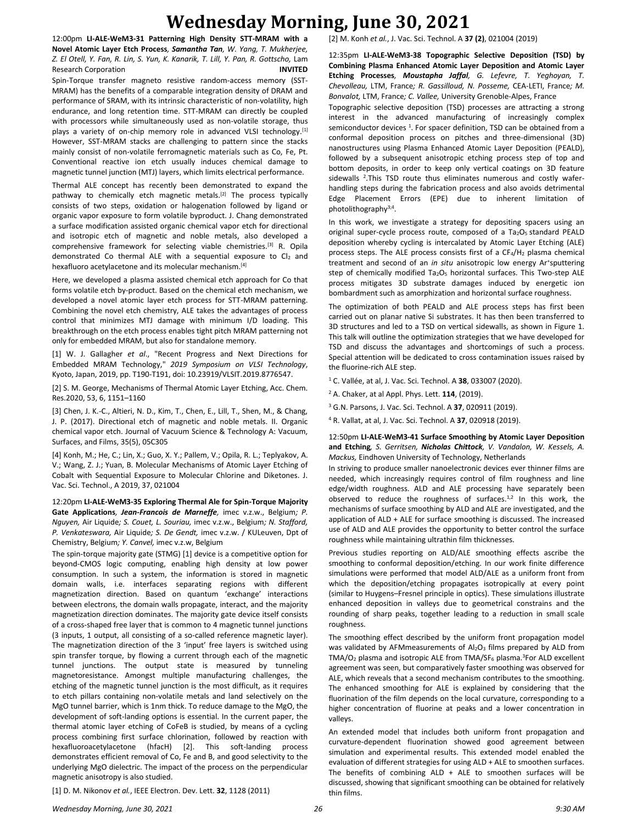12:00pm **LI-ALE-WeM3-31 Patterning High Density STT-MRAM with a Novel Atomic Layer Etch Process***, Samantha Tan, W. Yang, T. Mukherjee, Z. El Otell, Y. Fan, R. Lin, S. Yun, K. Kanarik, T. Lill, Y. Pan, R. Gottscho,* Lam Research Corporation **INVITED**

Spin-Torque transfer magneto resistive random-access memory (SST-MRAM) has the benefits of a comparable integration density of DRAM and performance of SRAM, with its intrinsic characteristic of non-volatility, high endurance, and long retention time. STT-MRAM can directly be coupled with processors while simultaneously used as non-volatile storage, thus plays a variety of on-chip memory role in advanced VLSI technology.<sup>[1]</sup> However, SST-MRAM stacks are challenging to pattern since the stacks mainly consist of non-volatile ferromagnetic materials such as Co, Fe, Pt. Conventional reactive ion etch usually induces chemical damage to magnetic tunnel junction (MTJ) layers, which limits electrical performance.

Thermal ALE concept has recently been demonstrated to expand the pathway to chemically etch magnetic metals.<sup>[2]</sup> The process typically consists of two steps, oxidation or halogenation followed by ligand or organic vapor exposure to form volatile byproduct. J. Chang demonstrated a surface modification assisted organic chemical vapor etch for directional and isotropic etch of magnetic and noble metals, also developed a comprehensive framework for selecting viable chemistries.[3] R. Opila demonstrated Co thermal ALE with a sequential exposure to  $Cl<sub>2</sub>$  and hexafluoro acetylacetone and its molecular mechanism.[4]

Here, we developed a plasma assisted chemical etch approach for Co that forms volatile etch by-product. Based on the chemical etch mechanism, we developed a novel atomic layer etch process for STT-MRAM patterning. Combining the novel etch chemistry, ALE takes the advantages of process control that minimizes MTJ damage with minimum I/D loading. This breakthrough on the etch process enables tight pitch MRAM patterning not only for embedded MRAM, but also for standalone memory.

[1] W. J. Gallagher *et al*., "Recent Progress and Next Directions for Embedded MRAM Technology," *2019 Symposium on VLSI Technology*, Kyoto, Japan, 2019, pp. T190-T191, doi: 10.23919/VLSIT.2019.8776547.

[2] S. M. George, Mechanisms of Thermal Atomic Layer Etching, Acc. Chem. Res.2020, 53, 6, 1151–1160

[3] Chen, J. K.-C., Altieri, N. D., Kim, T., Chen, E., Lill, T., Shen, M., & Chang, J. P. (2017). Directional etch of magnetic and noble metals. II. Organic chemical vapor etch. Journal of Vacuum Science & Technology A: Vacuum, Surfaces, and Films, 35(5), 05C305

[4] Konh, M.; He, C.; Lin, X.; Guo, X. Y.; Pallem, V.; Opila, R. L.; Teplyakov, A. V.; Wang, Z. J.; Yuan, B. Molecular Mechanisms of Atomic Layer Etching of Cobalt with Sequential Exposure to Molecular Chlorine and Diketones. J. Vac. Sci. Technol., A 2019, 37, 021004

12:20pm **LI-ALE-WeM3-35 Exploring Thermal Ale for Spin-Torque Majority Gate Applications***, Jean-Francois de Marneffe,* imec v.z.w., Belgium*; P. Nguyen,* Air Liquide*; S. Couet, L. Souriau,* imec v.z.w., Belgium*; N. Stafford, P. Venkateswara,* Air Liquide*; S. De Gendt,* imec v.z.w. / KULeuven, Dpt of Chemistry, Belgium*; Y. Canvel,* imec v.z.w, Belgium

The spin-torque majority gate (STMG) [1] device is a competitive option for beyond-CMOS logic computing, enabling high density at low power consumption. In such a system, the information is stored in magnetic domain walls, i.e. interfaces separating regions with different magnetization direction. Based on quantum 'exchange' interactions between electrons, the domain walls propagate, interact, and the majority magnetization direction dominates. The majority gate device itself consists of a cross-shaped free layer that is common to 4 magnetic tunnel junctions (3 inputs, 1 output, all consisting of a so-called reference magnetic layer). The magnetization direction of the 3 'input' free layers is switched using spin transfer torque, by flowing a current through each of the magnetic tunnel junctions. The output state is measured by tunneling magnetoresistance. Amongst multiple manufacturing challenges, the etching of the magnetic tunnel junction is the most difficult, as it requires to etch pillars containing non-volatile metals and land selectively on the MgO tunnel barrier, which is 1nm thick. To reduce damage to the MgO, the development of soft-landing options is essential. In the current paper, the thermal atomic layer etching of CoFeB is studied, by means of a cycling process combining first surface chlorination, followed by reaction with hexafluoroacetylacetone (hfacH) [2]. This soft-landing process demonstrates efficient removal of Co, Fe and B, and good selectivity to the underlying MgO dielectric. The impact of the process on the perpendicular magnetic anisotropy is also studied.

[1] D. M. Nikonov *et al.*, IEEE Electron. Dev. Lett. **32**, 1128 (2011)

[2] M. Konh *et al.*, J. Vac. Sci. Technol. A **37 (2)**, 021004 (2019)

12:35pm **LI-ALE-WeM3-38 Topographic Selective Deposition (TSD) by Combining Plasma Enhanced Atomic Layer Deposition and Atomic Layer Etching Processes***, Moustapha Jaffal, G. Lefevre, T. Yeghoyan, T. Chevolleau,* LTM, France*; R. Gassilloud, N. Posseme,* CEA-LETI, France*; M. Bonvalot,* LTM, France*; C. Vallee,* University Grenoble-Alpes, France

Topographic selective deposition (TSD) processes are attracting a strong interest in the advanced manufacturing of increasingly complex semiconductor devices <sup>1</sup>. For spacer definition, TSD can be obtained from a conformal deposition process on pitches and three-dimensional (3D) nanostructures using Plasma Enhanced Atomic Layer Deposition (PEALD), followed by a subsequent anisotropic etching process step of top and bottom deposits, in order to keep only vertical coatings on 3D feature sidewalls <sup>2</sup>. This TSD route thus eliminates numerous and costly waferhandling steps during the fabrication process and also avoids detrimental Edge Placement Errors (EPE) due to inherent limitation of photolithography<sup>3;4</sup>.

In this work, we investigate a strategy for depositing spacers using an original super-cycle process route, composed of a Ta<sub>2</sub>O<sub>5</sub> standard PEALD deposition whereby cycling is intercalated by Atomic Layer Etching (ALE) process steps. The ALE process consists first of a  $CF_4/H_2$  plasma chemical treatment and second of an *in situ* anisotropic low energy Ar<sup>+</sup> sputtering step of chemically modified  $Ta_2O_5$  horizontal surfaces. This Two-step ALE process mitigates 3D substrate damages induced by energetic ion bombardment such as amorphization and horizontal surface roughness.

The optimization of both PEALD and ALE process steps has first been carried out on planar native Si substrates. It has then been transferred to 3D structures and led to a TSD on vertical sidewalls, as shown in Figure 1. This talk will outline the optimization strategies that we have developed for TSD and discuss the advantages and shortcomings of such a process. Special attention will be dedicated to cross contamination issues raised by the fluorine-rich ALE step.

<sup>1</sup> C. Vallée, at al, J. Vac. Sci. Technol. A **38**, 033007 (2020).

<sup>2</sup> A. Chaker, at al Appl. Phys. Lett. **114**, (2019).

<sup>3</sup> G.N. Parsons, J. Vac. Sci. Technol. A **37**, 020911 (2019).

<sup>4</sup> R. Vallat, at al, J. Vac. Sci. Technol. A **37**, 020918 (2019).

12:50pm **LI-ALE-WeM3-41 Surface Smoothing by Atomic Layer Deposition and Etching***, S. Gerritsen, Nicholas Chittock, V. Vandalon, W. Kessels, A. Mackus,* Eindhoven University of Technology, Netherlands

In striving to produce smaller nanoelectronic devices ever thinner films are needed, which increasingly requires control of film roughness and line edge/width roughness. ALD and ALE processing have separately been observed to reduce the roughness of surfaces.<sup>1,2</sup> In this work, the mechanisms of surface smoothing by ALD and ALE are investigated, and the application of ALD + ALE for surface smoothing is discussed. The increased use of ALD and ALE provides the opportunity to better control the surface roughness while maintaining ultrathin film thicknesses.

Previous studies reporting on ALD/ALE smoothing effects ascribe the smoothing to conformal deposition/etching. In our work finite difference simulations were performed that model ALD/ALE as a uniform front from which the deposition/etching propagates isotropically at every point (similar to Huygens–Fresnel principle in optics). These simulations illustrate enhanced deposition in valleys due to geometrical constrains and the rounding of sharp peaks, together leading to a reduction in small scale roughness.

The smoothing effect described by the uniform front propagation model was validated by AFMmeasurements of Al<sub>2</sub>O<sub>3</sub> films prepared by ALD from TMA/O<sub>2</sub> plasma and isotropic ALE from TMA/SF<sub>6</sub> plasma.<sup>3</sup>For ALD excellent agreement was seen, but comparatively faster smoothing was observed for ALE, which reveals that a second mechanism contributes to the smoothing. The enhanced smoothing for ALE is explained by considering that the fluorination of the film depends on the local curvature, corresponding to a higher concentration of fluorine at peaks and a lower concentration in valleys.

An extended model that includes both uniform front propagation and curvature-dependent fluorination showed good agreement between simulation and experimental results. This extended model enabled the evaluation of different strategies for using ALD + ALE to smoothen surfaces. The benefits of combining  $ALD + ALE$  to smoothen surfaces will be discussed, showing that significant smoothing can be obtained for relatively thin films.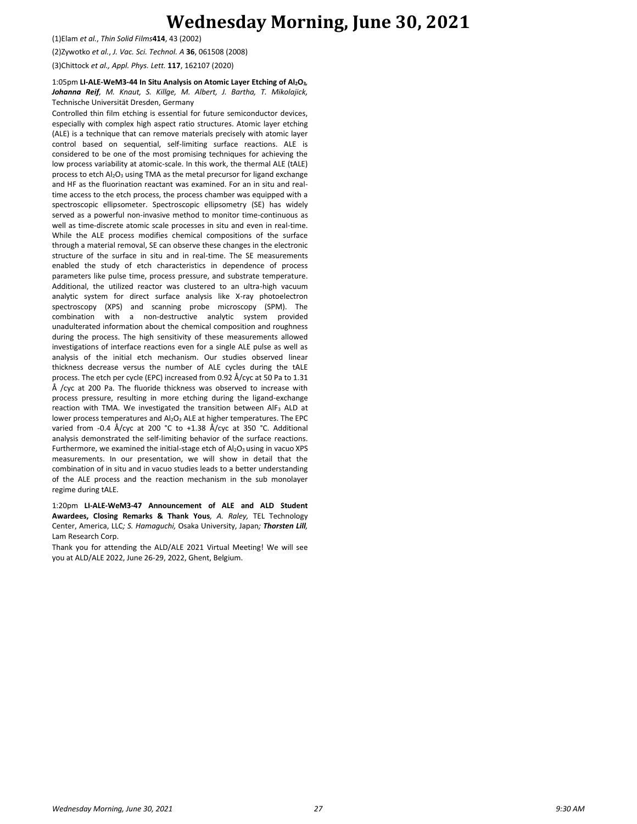(1)Elam *et al.*, *Thin Solid Films***414**, 43 (2002)

(2)Zywotko *et al.*, *J. Vac. Sci. Technol. A* **36**, 061508 (2008)

(3)Chittock *et al., Appl. Phys. Lett.* **117**, 162107 (2020)

### 1:05pm **LI-ALE-WeM3-44 In Situ Analysis on Atomic Layer Etching of Al2O3***, Johanna Reif, M. Knaut, S. Killge, M. Albert, J. Bartha, T. Mikolajick,*  Technische Universität Dresden, Germany

Controlled thin film etching is essential for future semiconductor devices, especially with complex high aspect ratio structures. Atomic layer etching (ALE) is a technique that can remove materials precisely with atomic layer control based on sequential, self-limiting surface reactions. ALE is considered to be one of the most promising techniques for achieving the low process variability at atomic-scale. In this work, the thermal ALE (tALE) process to etch Al<sub>2</sub>O<sub>3</sub> using TMA as the metal precursor for ligand exchange and HF as the fluorination reactant was examined. For an in situ and realtime access to the etch process, the process chamber was equipped with a spectroscopic ellipsometer. Spectroscopic ellipsometry (SE) has widely served as a powerful non-invasive method to monitor time-continuous as well as time-discrete atomic scale processes in situ and even in real-time. While the ALE process modifies chemical compositions of the surface through a material removal, SE can observe these changes in the electronic structure of the surface in situ and in real-time. The SE measurements enabled the study of etch characteristics in dependence of process parameters like pulse time, process pressure, and substrate temperature. Additional, the utilized reactor was clustered to an ultra-high vacuum analytic system for direct surface analysis like X-ray photoelectron spectroscopy (XPS) and scanning probe microscopy (SPM). The combination with a non-destructive analytic system provided unadulterated information about the chemical composition and roughness during the process. The high sensitivity of these measurements allowed investigations of interface reactions even for a single ALE pulse as well as analysis of the initial etch mechanism. Our studies observed linear thickness decrease versus the number of ALE cycles during the tALE process. The etch per cycle (EPC) increased from 0.92 Å/cyc at 50 Pa to 1.31 Å /cyc at 200 Pa. The fluoride thickness was observed to increase with process pressure, resulting in more etching during the ligand-exchange reaction with TMA. We investigated the transition between AlF<sup>3</sup> ALD at lower process temperatures and Al<sub>2</sub>O<sub>3</sub> ALE at higher temperatures. The EPC varied from -0.4 Å/cyc at 200 °C to +1.38 Å/cyc at 350 °C. Additional analysis demonstrated the self-limiting behavior of the surface reactions. Furthermore, we examined the initial-stage etch of  $Al_2O_3$  using in vacuo XPS measurements. In our presentation, we will show in detail that the combination of in situ and in vacuo studies leads to a better understanding of the ALE process and the reaction mechanism in the sub monolayer regime during tALE.

1:20pm **LI-ALE-WeM3-47 Announcement of ALE and ALD Student Awardees, Closing Remarks & Thank Yous***, A. Raley,* TEL Technology Center, America, LLC*; S. Hamaguchi,* Osaka University, Japan*; Thorsten Lill,*  Lam Research Corp.

Thank you for attending the ALD/ALE 2021 Virtual Meeting! We will see you at ALD/ALE 2022, June 26-29, 2022, Ghent, Belgium.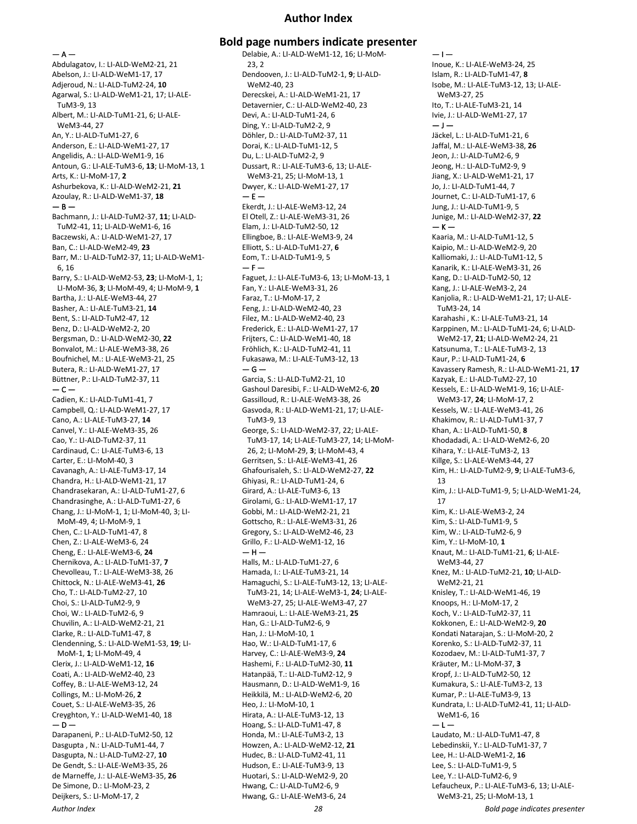## **Author Index**

 $- A -$ 

Abdulagatov, I.: LI-ALD-WeM2-21, 21 Abelson, J.: LI-ALD-WeM1-17, 17 Adjeroud, N.: LI-ALD-TuM2-24, **10** Agarwal, S.: LI-ALD-WeM1-21, 17; LI-ALE-TuM3-9, 13 Albert, M.: LI-ALD-TuM1-21, 6; LI-ALE-WeM3-44, 27 An, Y.: LI-ALD-TuM1-27, 6 Anderson, E.: LI-ALD-WeM1-27, 17 Angelidis, A.: LI-ALD-WeM1-9, 16 Antoun, G.: LI-ALE-TuM3-6, **13**; LI-MoM-13, 1 Arts, K.: LI-MoM-17, **2** Ashurbekova, K.: LI-ALD-WeM2-21, **21** Azoulay, R.: LI-ALD-WeM1-37, **18**  $-$  B  $-$ Bachmann, J.: LI-ALD-TuM2-37, **11**; LI-ALD-TuM2-41, 11; LI-ALD-WeM1-6, 16 Baczewski, A.: LI-ALD-WeM1-27, 17 Ban, C.: LI-ALD-WeM2-49, **23** Barr, M.: LI-ALD-TuM2-37, 11; LI-ALD-WeM1- 6, 16 Barry, S.: LI-ALD-WeM2-53, **23**; LI-MoM-1, 1; LI-MoM-36, **3**; LI-MoM-49, 4; LI-MoM-9, **1** Bartha, J.: LI-ALE-WeM3-44, 27 Basher, A.: LI-ALE-TuM3-21, **14** Bent, S.: LI-ALD-TuM2-47, 12 Benz, D.: LI-ALD-WeM2-2, 20 Bergsman, D.: LI-ALD-WeM2-30, **22** Bonvalot, M.: LI-ALE-WeM3-38, 26 Boufnichel, M.: LI-ALE-WeM3-21, 25 Butera, R.: LI-ALD-WeM1-27, 17 Büttner, P.: LI-ALD-TuM2-37, 11  $-$  C  $-$ Cadien, K.: LI-ALD-TuM1-41, 7 Campbell, Q.: LI-ALD-WeM1-27, 17 Cano, A.: LI-ALE-TuM3-27, **14** Canvel, Y.: LI-ALE-WeM3-35, 26 Cao, Y.: LI-ALD-TuM2-37, 11 Cardinaud, C.: LI-ALE-TuM3-6, 13 Carter, E.: LI-MoM-40, 3 Cavanagh, A.: LI-ALE-TuM3-17, 14 Chandra, H.: LI-ALD-WeM1-21, 17 Chandrasekaran, A.: LI-ALD-TuM1-27, 6 Chandrasinghe, A.: LI-ALD-TuM1-27, 6 Chang, J.: LI-MoM-1, 1; LI-MoM-40, 3; LI-MoM-49, 4; LI-MoM-9, 1 Chen, C.: LI-ALD-TuM1-47, 8 Chen, Z.: LI-ALE-WeM3-6, 24 Cheng, E.: LI-ALE-WeM3-6, **24** Chernikova, A.: LI-ALD-TuM1-37, **7** Chevolleau, T.: LI-ALE-WeM3-38, 26 Chittock, N.: LI-ALE-WeM3-41, **26** Cho, T.: LI-ALD-TuM2-27, 10 Choi, S.: LI-ALD-TuM2-9, 9 Choi, W.: LI-ALD-TuM2-6, 9 Chuvilin, A.: LI-ALD-WeM2-21, 21 Clarke, R.: LI-ALD-TuM1-47, 8 Clendenning, S.: LI-ALD-WeM1-53, **19**; LI-MoM-1, **1**; LI-MoM-49, 4 Clerix, J.: LI-ALD-WeM1-12, **16** Coati, A.: LI-ALD-WeM2-40, 23 Coffey, B.: LI-ALE-WeM3-12, 24 Collings, M.: LI-MoM-26, **2** Couet, S.: LI-ALE-WeM3-35, 26 Creyghton, Y.: LI-ALD-WeM1-40, 18 — D — Darapaneni, P.: LI-ALD-TuM2-50, 12 Dasgupta , N.: LI-ALD-TuM1-44, 7 Dasgupta, N.: LI-ALD-TuM2-27, **10** De Gendt, S.: LI-ALE-WeM3-35, 26 de Marneffe, J.: LI-ALE-WeM3-35, **26** De Simone, D.: LI-MoM-23, 2 Deijkers, S.: LI-MoM-17, 2

**Bold page numbers indicate presenter** Delabie, A.: LI-ALD-WeM1-12, 16; LI-MoM-23, 2 Dendooven, J.: LI-ALD-TuM2-1, **9**; LI-ALD-WeM2-40, 23 Derecskei, A.: LI-ALD-WeM1-21, 17 Detavernier, C.: LI-ALD-WeM2-40, 23 Devi, A.: LI-ALD-TuM1-24, 6 Ding, Y.: LI-ALD-TuM2-2, 9 Döhler, D.: LI-ALD-TuM2-37, 11 Dorai, K.: LI-ALD-TuM1-12, 5 Du, L.: LI-ALD-TuM2-2, 9 Dussart, R.: LI-ALE-TuM3-6, 13; LI-ALE-WeM3-21, 25; LI-MoM-13, 1 Dwyer, K.: LI-ALD-WeM1-27, 17  $- E -$ Ekerdt, J.: LI-ALE-WeM3-12, 24 El Otell, Z.: LI-ALE-WeM3-31, 26 Elam, J.: LI-ALD-TuM2-50, 12 Ellingboe, B.: LI-ALE-WeM3-9, 24 Elliott, S.: LI-ALD-TuM1-27, **6** Eom, T.: LI-ALD-TuM1-9, 5  $- F -$ Faguet, J.: LI-ALE-TuM3-6, 13; LI-MoM-13, 1 Fan, Y.: LI-ALE-WeM3-31, 26 Faraz, T.: LI-MoM-17, 2 Feng, J.: LI-ALD-WeM2-40, 23 Filez, M.: LI-ALD-WeM2-40, 23 Frederick, E.: LI-ALD-WeM1-27, 17 Frijters, C.: LI-ALD-WeM1-40, 18 Fröhlich, K.: LI-ALD-TuM2-41, 11 Fukasawa, M.: LI-ALE-TuM3-12, 13  $-$ Garcia, S.: LI-ALD-TuM2-21, 10 Gashoul Daresibi, F.: LI-ALD-WeM2-6, **20** Gassilloud, R.: LI-ALE-WeM3-38, 26 Gasvoda, R.: LI-ALD-WeM1-21, 17; LI-ALE-TuM3-9, 13 George, S.: LI-ALD-WeM2-37, 22; LI-ALE-TuM3-17, 14; LI-ALE-TuM3-27, 14; LI-MoM-26, 2; LI-MoM-29, **3**; LI-MoM-43, 4 Gerritsen, S.: LI-ALE-WeM3-41, 26 Ghafourisaleh, S.: LI-ALD-WeM2-27, **22** Ghiyasi, R.: LI-ALD-TuM1-24, 6 Girard, A.: LI-ALE-TuM3-6, 13 Girolami, G.: LI-ALD-WeM1-17, 17 Gobbi, M.: LI-ALD-WeM2-21, 21 Gottscho, R.: LI-ALE-WeM3-31, 26 Gregory, S.: LI-ALD-WeM2-46, 23 Grillo, F.: LI-ALD-WeM1-12, 16  $-$  H  $-$ Halls, M.: LI-ALD-TuM1-27, 6 Hamada, I.: LI-ALE-TuM3-21, 14 Hamaguchi, S.: LI-ALE-TuM3-12, 13; LI-ALE-TuM3-21, 14; LI-ALE-WeM3-1, **24**; LI-ALE-WeM3-27, 25; LI-ALE-WeM3-47, 27 Hamraoui, L.: LI-ALE-WeM3-21, **25** Han, G.: LI-ALD-TuM2-6, 9 Han, J.: LI-MoM-10, 1 Hao, W.: LI-ALD-TuM1-17, 6 Harvey, C.: LI-ALE-WeM3-9, **24** Hashemi, F.: LI-ALD-TuM2-30, **11** Hatanpää, T.: LI-ALD-TuM2-12, 9 Hausmann, D.: LI-ALD-WeM1-9, 16 Heikkilä, M.: LI-ALD-WeM2-6, 20 Heo, J.: LI-MoM-10, 1 Hirata, A.: LI-ALE-TuM3-12, 13 Hoang, S.: LI-ALD-TuM1-47, 8 Honda, M.: LI-ALE-TuM3-2, 13 Howzen, A.: LI-ALD-WeM2-12, **21** Hudec, B.: LI-ALD-TuM2-41, 11 Hudson, E.: LI-ALE-TuM3-9, 13 Huotari, S.: LI-ALD-WeM2-9, 20 Hwang, C.: LI-ALD-TuM2-6, 9 Hwang, G.: LI-ALE-WeM3-6, 24

 $-1-$ Inoue, K.: LI-ALE-WeM3-24, 25 Islam, R.: LI-ALD-TuM1-47, **8** Isobe, M.: LI-ALE-TuM3-12, 13; LI-ALE-WeM3-27, 25 Ito, T.: LI-ALE-TuM3-21, 14 Ivie, J.: LI-ALD-WeM1-27, 17  $-1-$ Jäckel, L.: LI-ALD-TuM1-21, 6 Jaffal, M.: LI-ALE-WeM3-38, **26** Jeon, J.: LI-ALD-TuM2-6, 9 Jeong, H.: LI-ALD-TuM2-9, 9 Jiang, X.: LI-ALD-WeM1-21, 17 Jo, J.: LI-ALD-TuM1-44, 7 Journet, C.: LI-ALD-TuM1-17, 6 Jung, J.: LI-ALD-TuM1-9, 5 Junige, M.: LI-ALD-WeM2-37, **22**  $-$  K  $-$ Kaaria, M.: LI-ALD-TuM1-12, 5 Kaipio, M.: LI-ALD-WeM2-9, 20 Kalliomaki, J.: LI-ALD-TuM1-12, 5 Kanarik, K.: LI-ALE-WeM3-31, 26 Kang, D.: LI-ALD-TuM2-50, 12 Kang, J.: LI-ALE-WeM3-2, 24 Kanjolia, R.: LI-ALD-WeM1-21, 17; LI-ALE-TuM3-24, 14 Karahashi , K.: LI-ALE-TuM3-21, 14 Karppinen, M.: LI-ALD-TuM1-24, 6; LI-ALD-WeM2-17, **21**; LI-ALD-WeM2-24, 21 Katsunuma, T.: LI-ALE-TuM3-2, 13 Kaur, P.: LI-ALD-TuM1-24, **6** Kavassery Ramesh, R.: LI-ALD-WeM1-21, **17** Kazyak, E.: LI-ALD-TuM2-27, 10 Kessels, E.: LI-ALD-WeM1-9, 16; LI-ALE-WeM3-17, **24**; LI-MoM-17, 2 Kessels, W.: LI-ALE-WeM3-41, 26 Khakimov, R.: LI-ALD-TuM1-37, 7 Khan, A.: LI-ALD-TuM1-50, **8** Khodadadi, A.: LI-ALD-WeM2-6, 20 Kihara, Y.: LI-ALE-TuM3-2, 13 Killge, S.: LI-ALE-WeM3-44, 27 Kim, H.: LI-ALD-TuM2-9, **9**; LI-ALE-TuM3-6, 13 Kim, J.: LI-ALD-TuM1-9, 5; LI-ALD-WeM1-24, 17 Kim, K.: LI-ALE-WeM3-2, 24 Kim, S.: LI-ALD-TuM1-9, 5 Kim, W.: LI-ALD-TuM2-6, 9 Kim, Y.: LI-MoM-10, **1** Knaut, M.: LI-ALD-TuM1-21, **6**; LI-ALE-WeM3-44, 27 Knez, M.: LI-ALD-TuM2-21, **10**; LI-ALD-WeM2-21, 21 Knisley, T.: LI-ALD-WeM1-46, 19 Knoops, H.: LI-MoM-17, 2 Koch, V.: LI-ALD-TuM2-37, 11 Kokkonen, E.: LI-ALD-WeM2-9, **20** Kondati Natarajan, S.: LI-MoM-20, 2 Korenko, S.: LI-ALD-TuM2-37, 11 Kozodaev, M.: LI-ALD-TuM1-37, 7 Kräuter, M.: LI-MoM-37, **3** Kropf, J.: LI-ALD-TuM2-50, 12 Kumakura, S.: LI-ALE-TuM3-2, 13 Kumar, P.: LI-ALE-TuM3-9, 13 Kundrata, I.: LI-ALD-TuM2-41, 11; LI-ALD-WeM1-6, 16  $-1-$ Laudato, M.: LI-ALD-TuM1-47, 8 Lebedinskii, Y.: LI-ALD-TuM1-37, 7 Lee, H.: LI-ALD-WeM1-2, **16** Lee, S.: LI-ALD-TuM1-9, 5 Lee, Y.: LI-ALD-TuM2-6, 9 Lefaucheux, P.: LI-ALE-TuM3-6, 13; LI-ALE-WeM3-21, 25; LI-MoM-13, 1